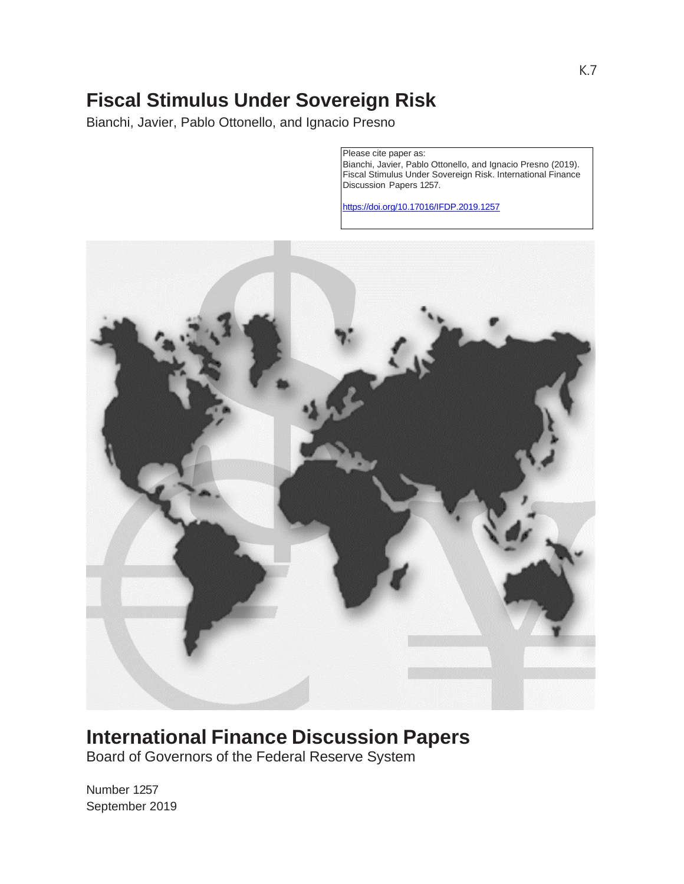# **Fiscal Stimulus Under Sovereign Risk**

Bianchi, Javier, Pablo Ottonello, and Ignacio Presno

Please cite paper as: Bianchi, Javier, Pablo Ottonello, and Ignacio Presno (2019). Fiscal Stimulus Under Sovereign Risk. International Finance Discussion Papers 1257.

[https://doi.org/10.17016/IFDP.2019.1](https://doi.org/10.17016/IFDP.2019.)257



# **International Finance Discussion Papers**

Board of Governors of the Federal Reserve System

Number 1257 September 2019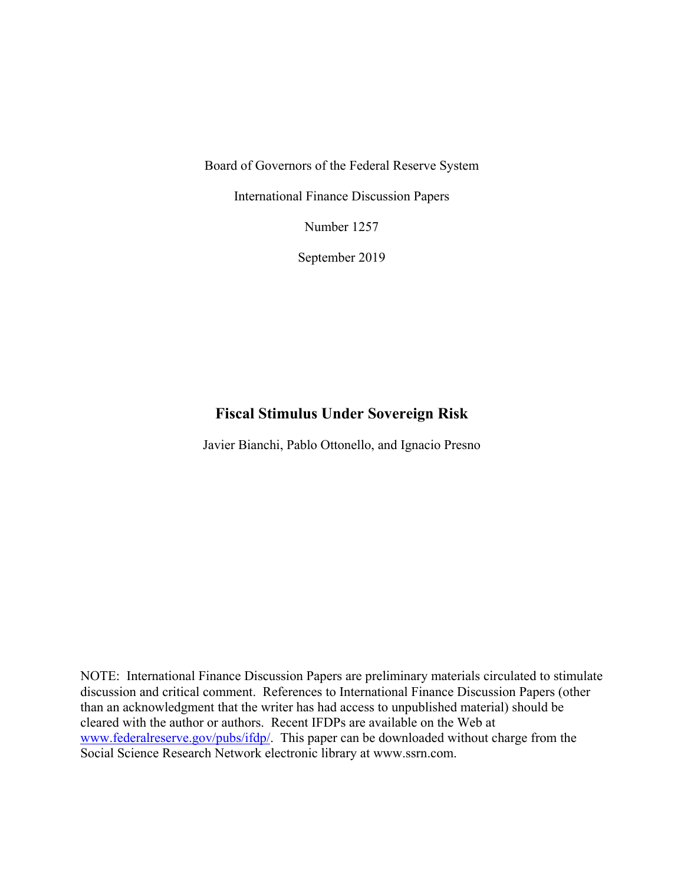Board of Governors of the Federal Reserve System

International Finance Discussion Papers

Number 1257

September 2019

### **Fiscal Stimulus Under Sovereign Risk**

Javier Bianchi, Pablo Ottonello, and Ignacio Presno

NOTE: International Finance Discussion Papers are preliminary materials circulated to stimulate discussion and critical comment. References to International Finance Discussion Papers (other than an acknowledgment that the writer has had access to unpublished material) should be cleared with the author or authors. Recent IFDPs are available on the Web at www.federalreserve.gov/pubs/ifdp/. This paper can be downloaded without charge from the Social Science Research Network electronic library at www.ssrn.com.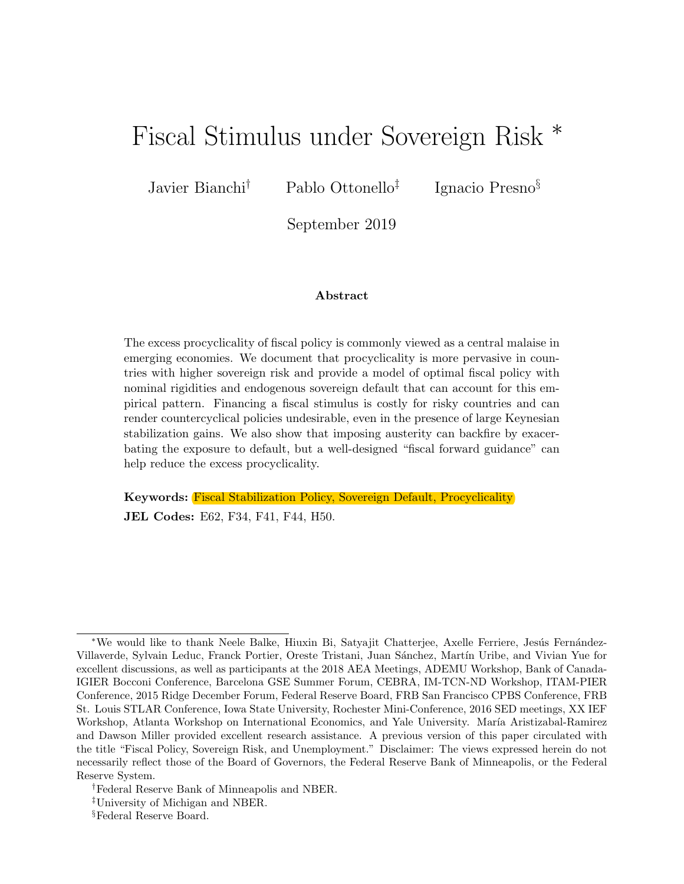# Fiscal Stimulus under Sovereign Risk <sup>∗</sup>

Javier Bianchi† Pablo Ottonello‡

Ignacio Presno§

September 2019

#### Abstract

The excess procyclicality of fiscal policy is commonly viewed as a central malaise in emerging economies. We document that procyclicality is more pervasive in countries with higher sovereign risk and provide a model of optimal fiscal policy with nominal rigidities and endogenous sovereign default that can account for this empirical pattern. Financing a fiscal stimulus is costly for risky countries and can render countercyclical policies undesirable, even in the presence of large Keynesian stabilization gains. We also show that imposing austerity can backfire by exacerbating the exposure to default, but a well-designed "fiscal forward guidance" can help reduce the excess procyclicality.

Keywords: Fiscal Stabilization Policy, Sovereign Default, Procyclicality JEL Codes: E62, F34, F41, F44, H50.

<sup>\*</sup>We would like to thank Neele Balke, Hiuxin Bi, Satyajit Chatterjee, Axelle Ferriere, Jesús Fernández-Villaverde, Sylvain Leduc, Franck Portier, Oreste Tristani, Juan Sánchez, Martín Uribe, and Vivian Yue for excellent discussions, as well as participants at the 2018 AEA Meetings, ADEMU Workshop, Bank of Canada-IGIER Bocconi Conference, Barcelona GSE Summer Forum, CEBRA, IM-TCN-ND Workshop, ITAM-PIER Conference, 2015 Ridge December Forum, Federal Reserve Board, FRB San Francisco CPBS Conference, FRB St. Louis STLAR Conference, Iowa State University, Rochester Mini-Conference, 2016 SED meetings, XX IEF Workshop, Atlanta Workshop on International Economics, and Yale University. María Aristizabal-Ramirez and Dawson Miller provided excellent research assistance. A previous version of this paper circulated with the title "Fiscal Policy, Sovereign Risk, and Unemployment." Disclaimer: The views expressed herein do not necessarily reflect those of the Board of Governors, the Federal Reserve Bank of Minneapolis, or the Federal Reserve System.

<sup>†</sup>Federal Reserve Bank of Minneapolis and NBER.

<sup>‡</sup>University of Michigan and NBER.

<sup>§</sup>Federal Reserve Board.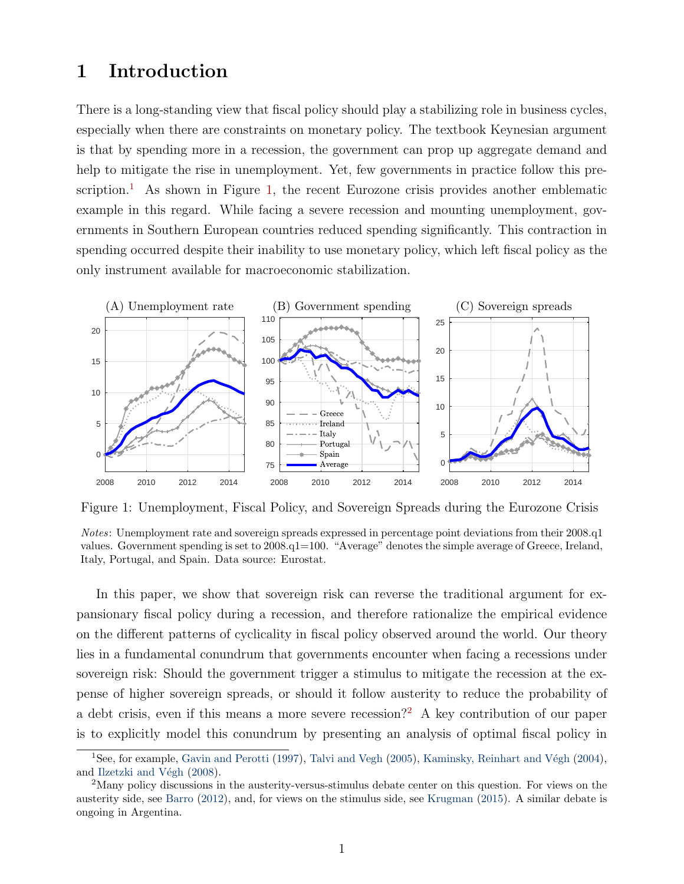### <span id="page-3-1"></span>1 Introduction

There is a long-standing view that fiscal policy should play a stabilizing role in business cycles, especially when there are constraints on monetary policy. The textbook Keynesian argument is that by spending more in a recession, the government can prop up aggregate demand and help to mitigate the rise in unemployment. Yet, few governments in practice follow this pre-scription.<sup>[1](#page-3-0)</sup> As shown in Figure [1,](#page-3-1) the recent Eurozone crisis provides another emblematic example in this regard. While facing a severe recession and mounting unemployment, governments in Southern European countries reduced spending significantly. This contraction in spending occurred despite their inability to use monetary policy, which left fiscal policy as the only instrument available for macroeconomic stabilization.



Figure 1: Unemployment, Fiscal Policy, and Sovereign Spreads during the Eurozone Crisis

Notes: Unemployment rate and sovereign spreads expressed in percentage point deviations from their 2008.q1 values. Government spending is set to 2008.q1=100. "Average" denotes the simple average of Greece, Ireland, Italy, Portugal, and Spain. Data source: Eurostat.

In this paper, we show that sovereign risk can reverse the traditional argument for expansionary fiscal policy during a recession, and therefore rationalize the empirical evidence on the different patterns of cyclicality in fiscal policy observed around the world. Our theory lies in a fundamental conundrum that governments encounter when facing a recessions under sovereign risk: Should the government trigger a stimulus to mitigate the recession at the expense of higher sovereign spreads, or should it follow austerity to reduce the probability of a debt crisis, even if this means a more severe recession?<sup>[2](#page-3-2)</sup> A key contribution of our paper is to explicitly model this conundrum by presenting an analysis of optimal fiscal policy in

<span id="page-3-0"></span><sup>&</sup>lt;sup>1</sup>See, for example, [Gavin and Perotti](#page-46-0) [\(1997\)](#page-46-0), [Talvi and Vegh](#page-48-0) [\(2005\)](#page-48-0), Kaminsky, Reinhart and Végh [\(2004\)](#page-47-0), and Ilzetzki and Végh [\(2008\)](#page-46-1).

<span id="page-3-2"></span><sup>&</sup>lt;sup>2</sup>Many policy discussions in the austerity-versus-stimulus debate center on this question. For views on the austerity side, see [Barro](#page-44-0) [\(2012\)](#page-44-0), and, for views on the stimulus side, see [Krugman](#page-47-1) [\(2015\)](#page-47-1). A similar debate is ongoing in Argentina.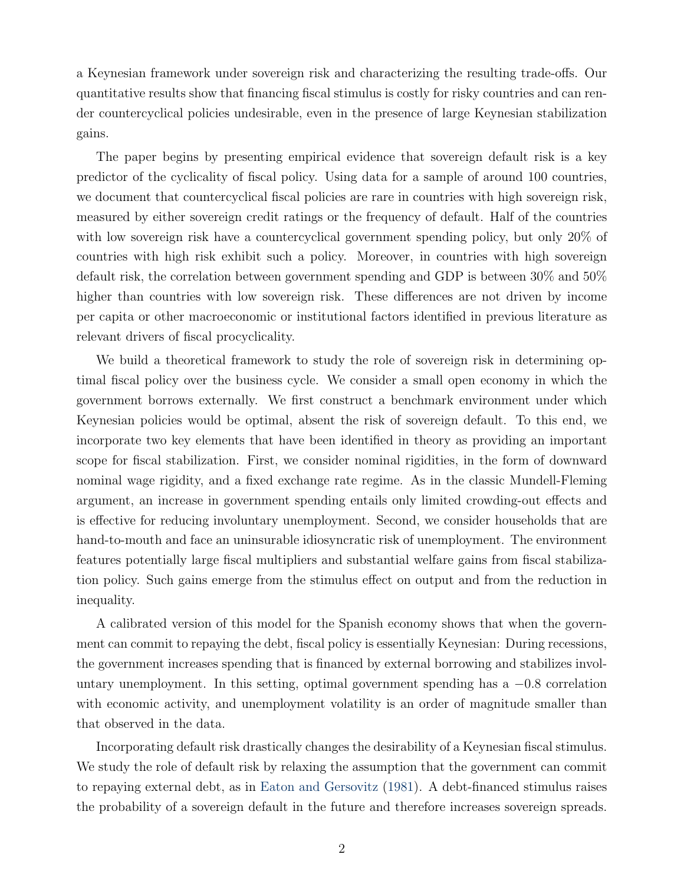a Keynesian framework under sovereign risk and characterizing the resulting trade-offs. Our quantitative results show that financing fiscal stimulus is costly for risky countries and can render countercyclical policies undesirable, even in the presence of large Keynesian stabilization gains.

The paper begins by presenting empirical evidence that sovereign default risk is a key predictor of the cyclicality of fiscal policy. Using data for a sample of around 100 countries, we document that countercyclical fiscal policies are rare in countries with high sovereign risk, measured by either sovereign credit ratings or the frequency of default. Half of the countries with low sovereign risk have a countercyclical government spending policy, but only 20% of countries with high risk exhibit such a policy. Moreover, in countries with high sovereign default risk, the correlation between government spending and GDP is between 30% and 50% higher than countries with low sovereign risk. These differences are not driven by income per capita or other macroeconomic or institutional factors identified in previous literature as relevant drivers of fiscal procyclicality.

We build a theoretical framework to study the role of sovereign risk in determining optimal fiscal policy over the business cycle. We consider a small open economy in which the government borrows externally. We first construct a benchmark environment under which Keynesian policies would be optimal, absent the risk of sovereign default. To this end, we incorporate two key elements that have been identified in theory as providing an important scope for fiscal stabilization. First, we consider nominal rigidities, in the form of downward nominal wage rigidity, and a fixed exchange rate regime. As in the classic Mundell-Fleming argument, an increase in government spending entails only limited crowding-out effects and is effective for reducing involuntary unemployment. Second, we consider households that are hand-to-mouth and face an uninsurable idiosyncratic risk of unemployment. The environment features potentially large fiscal multipliers and substantial welfare gains from fiscal stabilization policy. Such gains emerge from the stimulus effect on output and from the reduction in inequality.

A calibrated version of this model for the Spanish economy shows that when the government can commit to repaying the debt, fiscal policy is essentially Keynesian: During recessions, the government increases spending that is financed by external borrowing and stabilizes involuntary unemployment. In this setting, optimal government spending has a  $-0.8$  correlation with economic activity, and unemployment volatility is an order of magnitude smaller than that observed in the data.

Incorporating default risk drastically changes the desirability of a Keynesian fiscal stimulus. We study the role of default risk by relaxing the assumption that the government can commit to repaying external debt, as in [Eaton and Gersovitz](#page-45-0) [\(1981\)](#page-45-0). A debt-financed stimulus raises the probability of a sovereign default in the future and therefore increases sovereign spreads.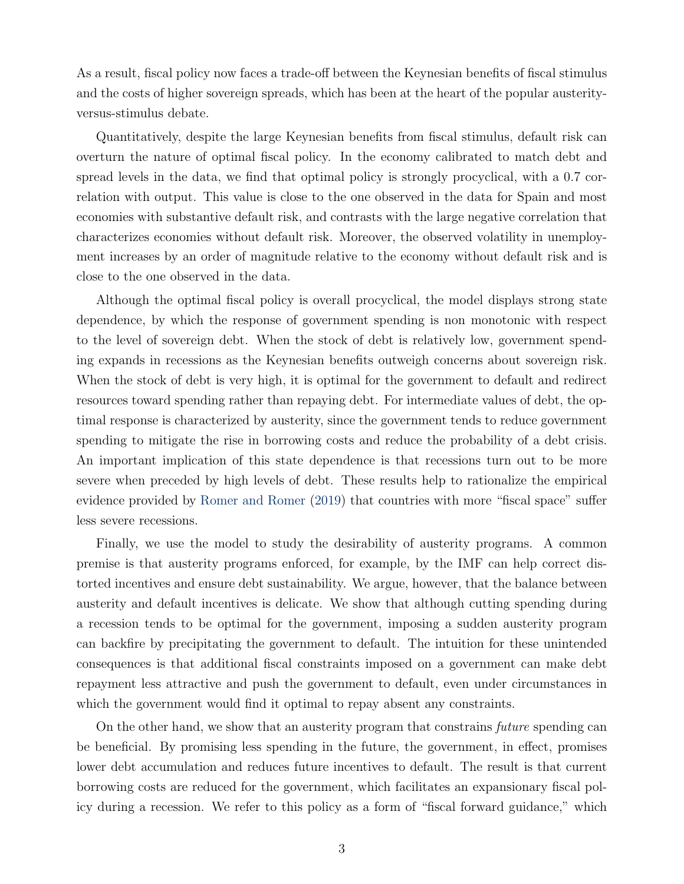As a result, fiscal policy now faces a trade-off between the Keynesian benefits of fiscal stimulus and the costs of higher sovereign spreads, which has been at the heart of the popular austerityversus-stimulus debate.

Quantitatively, despite the large Keynesian benefits from fiscal stimulus, default risk can overturn the nature of optimal fiscal policy. In the economy calibrated to match debt and spread levels in the data, we find that optimal policy is strongly procyclical, with a 0.7 correlation with output. This value is close to the one observed in the data for Spain and most economies with substantive default risk, and contrasts with the large negative correlation that characterizes economies without default risk. Moreover, the observed volatility in unemployment increases by an order of magnitude relative to the economy without default risk and is close to the one observed in the data.

Although the optimal fiscal policy is overall procyclical, the model displays strong state dependence, by which the response of government spending is non monotonic with respect to the level of sovereign debt. When the stock of debt is relatively low, government spending expands in recessions as the Keynesian benefits outweigh concerns about sovereign risk. When the stock of debt is very high, it is optimal for the government to default and redirect resources toward spending rather than repaying debt. For intermediate values of debt, the optimal response is characterized by austerity, since the government tends to reduce government spending to mitigate the rise in borrowing costs and reduce the probability of a debt crisis. An important implication of this state dependence is that recessions turn out to be more severe when preceded by high levels of debt. These results help to rationalize the empirical evidence provided by [Romer and Romer](#page-47-2) [\(2019\)](#page-47-2) that countries with more "fiscal space" suffer less severe recessions.

Finally, we use the model to study the desirability of austerity programs. A common premise is that austerity programs enforced, for example, by the IMF can help correct distorted incentives and ensure debt sustainability. We argue, however, that the balance between austerity and default incentives is delicate. We show that although cutting spending during a recession tends to be optimal for the government, imposing a sudden austerity program can backfire by precipitating the government to default. The intuition for these unintended consequences is that additional fiscal constraints imposed on a government can make debt repayment less attractive and push the government to default, even under circumstances in which the government would find it optimal to repay absent any constraints.

On the other hand, we show that an austerity program that constrains future spending can be beneficial. By promising less spending in the future, the government, in effect, promises lower debt accumulation and reduces future incentives to default. The result is that current borrowing costs are reduced for the government, which facilitates an expansionary fiscal policy during a recession. We refer to this policy as a form of "fiscal forward guidance," which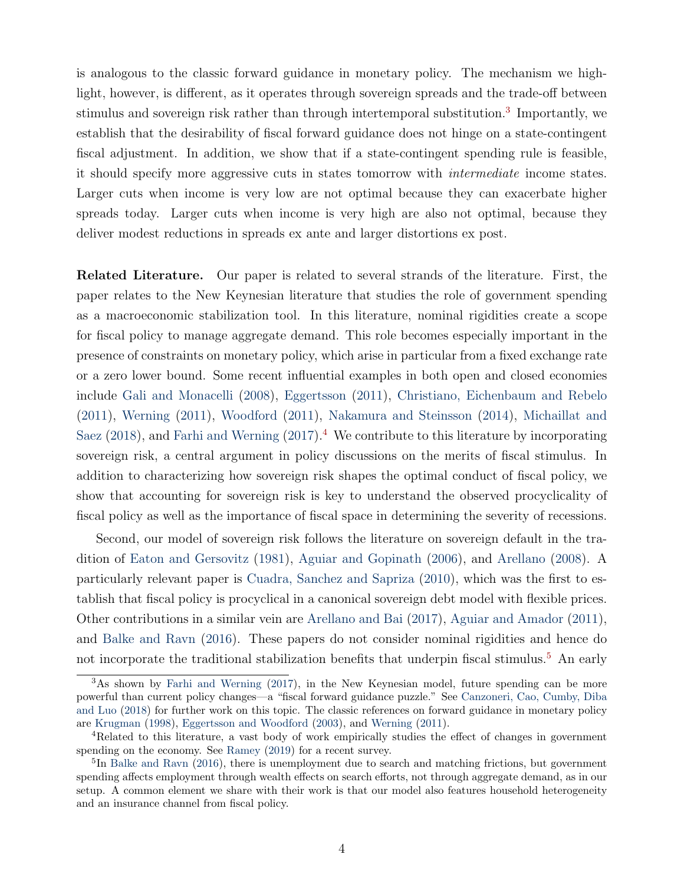is analogous to the classic forward guidance in monetary policy. The mechanism we highlight, however, is different, as it operates through sovereign spreads and the trade-off between stimulus and sovereign risk rather than through intertemporal substitution.<sup>[3](#page-6-0)</sup> Importantly, we establish that the desirability of fiscal forward guidance does not hinge on a state-contingent fiscal adjustment. In addition, we show that if a state-contingent spending rule is feasible, it should specify more aggressive cuts in states tomorrow with intermediate income states. Larger cuts when income is very low are not optimal because they can exacerbate higher spreads today. Larger cuts when income is very high are also not optimal, because they deliver modest reductions in spreads ex ante and larger distortions ex post.

Related Literature. Our paper is related to several strands of the literature. First, the paper relates to the New Keynesian literature that studies the role of government spending as a macroeconomic stabilization tool. In this literature, nominal rigidities create a scope for fiscal policy to manage aggregate demand. This role becomes especially important in the presence of constraints on monetary policy, which arise in particular from a fixed exchange rate or a zero lower bound. Some recent influential examples in both open and closed economies include [Gali and Monacelli](#page-46-2) [\(2008\)](#page-46-2), [Eggertsson](#page-45-1) [\(2011\)](#page-45-1), [Christiano, Eichenbaum and Rebelo](#page-45-2) [\(2011\)](#page-45-2), [Werning](#page-48-1) [\(2011\)](#page-48-1), [Woodford](#page-48-2) [\(2011\)](#page-48-2), [Nakamura and Steinsson](#page-47-3) [\(2014\)](#page-47-3), [Michaillat and](#page-47-4) [Saez](#page-47-4) [\(2018\)](#page-47-4), and [Farhi and Werning](#page-45-3) [\(2017\)](#page-45-3).<sup>[4](#page-6-1)</sup> We contribute to this literature by incorporating sovereign risk, a central argument in policy discussions on the merits of fiscal stimulus. In addition to characterizing how sovereign risk shapes the optimal conduct of fiscal policy, we show that accounting for sovereign risk is key to understand the observed procyclicality of fiscal policy as well as the importance of fiscal space in determining the severity of recessions.

Second, our model of sovereign risk follows the literature on sovereign default in the tradition of [Eaton and Gersovitz](#page-45-0) [\(1981\)](#page-45-0), [Aguiar and Gopinath](#page-43-0) [\(2006\)](#page-43-0), and [Arellano](#page-43-1) [\(2008\)](#page-43-1). A particularly relevant paper is [Cuadra, Sanchez and Sapriza](#page-45-4) [\(2010\)](#page-45-4), which was the first to establish that fiscal policy is procyclical in a canonical sovereign debt model with flexible prices. Other contributions in a similar vein are [Arellano and Bai](#page-43-2) [\(2017\)](#page-43-2), [Aguiar and Amador](#page-43-3) [\(2011\)](#page-43-3), and [Balke and Ravn](#page-43-4) [\(2016\)](#page-43-4). These papers do not consider nominal rigidities and hence do not incorporate the traditional stabilization benefits that underpin fiscal stimulus.<sup>[5](#page-6-2)</sup> An early

<span id="page-6-0"></span><sup>&</sup>lt;sup>3</sup>As shown by [Farhi and Werning](#page-45-3) [\(2017\)](#page-45-3), in the New Keynesian model, future spending can be more powerful than current policy changes—a "fiscal forward guidance puzzle." See [Canzoneri, Cao, Cumby, Diba](#page-44-1) [and Luo](#page-44-1) [\(2018\)](#page-44-1) for further work on this topic. The classic references on forward guidance in monetary policy are [Krugman](#page-47-5) [\(1998\)](#page-47-5), [Eggertsson and Woodford](#page-45-5) [\(2003\)](#page-45-5), and [Werning](#page-48-1) [\(2011\)](#page-48-1).

<span id="page-6-1"></span><sup>4</sup>Related to this literature, a vast body of work empirically studies the effect of changes in government spending on the economy. See [Ramey](#page-47-6) [\(2019\)](#page-47-6) for a recent survey.

<span id="page-6-2"></span><sup>&</sup>lt;sup>5</sup>In [Balke and Ravn](#page-43-4) [\(2016\)](#page-43-4), there is unemployment due to search and matching frictions, but government spending affects employment through wealth effects on search efforts, not through aggregate demand, as in our setup. A common element we share with their work is that our model also features household heterogeneity and an insurance channel from fiscal policy.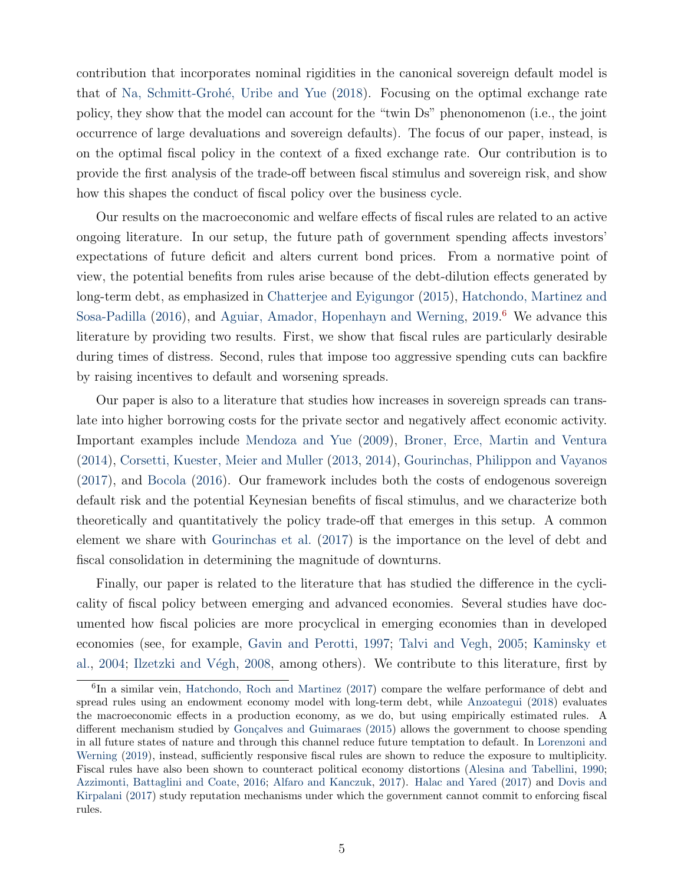contribution that incorporates nominal rigidities in the canonical sovereign default model is that of Na, Schmitt-Grohé, Uribe and Yue [\(2018\)](#page-47-7). Focusing on the optimal exchange rate policy, they show that the model can account for the "twin Ds" phenonomenon (i.e., the joint occurrence of large devaluations and sovereign defaults). The focus of our paper, instead, is on the optimal fiscal policy in the context of a fixed exchange rate. Our contribution is to provide the first analysis of the trade-off between fiscal stimulus and sovereign risk, and show how this shapes the conduct of fiscal policy over the business cycle.

Our results on the macroeconomic and welfare effects of fiscal rules are related to an active ongoing literature. In our setup, the future path of government spending affects investors' expectations of future deficit and alters current bond prices. From a normative point of view, the potential benefits from rules arise because of the debt-dilution effects generated by long-term debt, as emphasized in [Chatterjee and Eyigungor](#page-44-2) [\(2015\)](#page-44-2), [Hatchondo, Martinez and](#page-46-3) [Sosa-Padilla](#page-46-3) [\(2016\)](#page-46-3), and [Aguiar, Amador, Hopenhayn and Werning,](#page-43-5) [2019.](#page-43-5)<sup>[6](#page-7-0)</sup> We advance this literature by providing two results. First, we show that fiscal rules are particularly desirable during times of distress. Second, rules that impose too aggressive spending cuts can backfire by raising incentives to default and worsening spreads.

Our paper is also to a literature that studies how increases in sovereign spreads can translate into higher borrowing costs for the private sector and negatively affect economic activity. Important examples include [Mendoza and Yue](#page-47-8) [\(2009\)](#page-47-8), [Broner, Erce, Martin and Ventura](#page-44-3) [\(2014\)](#page-44-3), [Corsetti, Kuester, Meier and Muller](#page-45-6) [\(2013,](#page-45-7) [2014\)](#page-45-6), [Gourinchas, Philippon and Vayanos](#page-46-4) [\(2017\)](#page-46-4), and [Bocola](#page-44-4) [\(2016\)](#page-44-4). Our framework includes both the costs of endogenous sovereign default risk and the potential Keynesian benefits of fiscal stimulus, and we characterize both theoretically and quantitatively the policy trade-off that emerges in this setup. A common element we share with [Gourinchas et al.](#page-46-4) [\(2017\)](#page-46-4) is the importance on the level of debt and fiscal consolidation in determining the magnitude of downturns.

Finally, our paper is related to the literature that has studied the difference in the cyclicality of fiscal policy between emerging and advanced economies. Several studies have documented how fiscal policies are more procyclical in emerging economies than in developed economies (see, for example, [Gavin and Perotti,](#page-46-0) [1997;](#page-46-0) [Talvi and Vegh,](#page-48-0) [2005;](#page-48-0) [Kaminsky et](#page-47-0) [al.,](#page-47-0) [2004;](#page-47-0) Ilzetzki and Végh, [2008,](#page-46-1) among others). We contribute to this literature, first by

<span id="page-7-0"></span><sup>&</sup>lt;sup>6</sup>In a similar vein, [Hatchondo, Roch and Martinez](#page-46-5) [\(2017\)](#page-46-5) compare the welfare performance of debt and spread rules using an endowment economy model with long-term debt, while [Anzoategui](#page-43-6) [\(2018\)](#page-43-6) evaluates the macroeconomic effects in a production economy, as we do, but using empirically estimated rules. A different mechanism studied by Gonçalves and Guimaraes [\(2015\)](#page-46-6) allows the government to choose spending in all future states of nature and through this channel reduce future temptation to default. In [Lorenzoni and](#page-47-9) [Werning](#page-47-9) [\(2019\)](#page-47-9), instead, sufficiently responsive fiscal rules are shown to reduce the exposure to multiplicity. Fiscal rules have also been shown to counteract political economy distortions [\(Alesina and Tabellini,](#page-43-7) [1990;](#page-43-7) [Azzimonti, Battaglini and Coate,](#page-43-8) [2016;](#page-43-8) [Alfaro and Kanczuk,](#page-43-9) [2017\)](#page-43-9). [Halac and Yared](#page-46-7) [\(2017\)](#page-46-7) and [Dovis and](#page-45-8) [Kirpalani](#page-45-8) [\(2017\)](#page-45-8) study reputation mechanisms under which the government cannot commit to enforcing fiscal rules.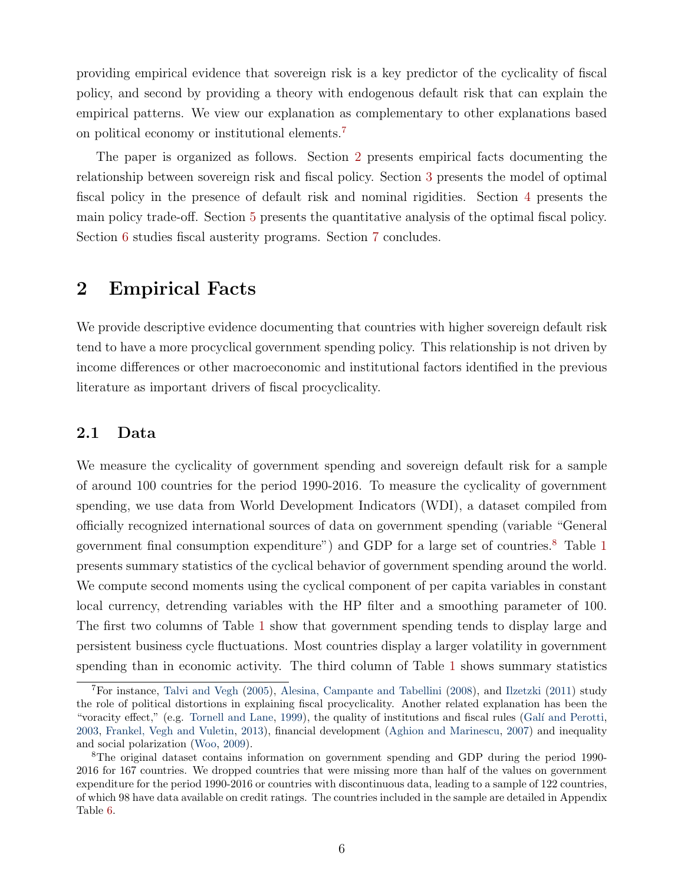providing empirical evidence that sovereign risk is a key predictor of the cyclicality of fiscal policy, and second by providing a theory with endogenous default risk that can explain the empirical patterns. We view our explanation as complementary to other explanations based on political economy or institutional elements.[7](#page-8-0)

The paper is organized as follows. Section [2](#page-8-1) presents empirical facts documenting the relationship between sovereign risk and fiscal policy. Section [3](#page-13-0) presents the model of optimal fiscal policy in the presence of default risk and nominal rigidities. Section [4](#page-22-0) presents the main policy trade-off. Section [5](#page-28-0) presents the quantitative analysis of the optimal fiscal policy. Section [6](#page-37-0) studies fiscal austerity programs. Section [7](#page-41-0) concludes.

### <span id="page-8-1"></span>2 Empirical Facts

We provide descriptive evidence documenting that countries with higher sovereign default risk tend to have a more procyclical government spending policy. This relationship is not driven by income differences or other macroeconomic and institutional factors identified in the previous literature as important drivers of fiscal procyclicality.

### 2.1 Data

We measure the cyclicality of government spending and sovereign default risk for a sample of around 100 countries for the period 1990-2016. To measure the cyclicality of government spending, we use data from World Development Indicators (WDI), a dataset compiled from officially recognized international sources of data on government spending (variable "General government final consumption expenditure") and GDP for a large set of countries.<sup>[8](#page-8-2)</sup> Table [1](#page-9-0) presents summary statistics of the cyclical behavior of government spending around the world. We compute second moments using the cyclical component of per capita variables in constant local currency, detrending variables with the HP filter and a smoothing parameter of 100. The first two columns of Table [1](#page-9-0) show that government spending tends to display large and persistent business cycle fluctuations. Most countries display a larger volatility in government spending than in economic activity. The third column of Table [1](#page-9-0) shows summary statistics

<span id="page-8-0"></span><sup>7</sup>For instance, [Talvi and Vegh](#page-48-0) [\(2005\)](#page-48-0), [Alesina, Campante and Tabellini](#page-43-10) [\(2008\)](#page-43-10), and [Ilzetzki](#page-46-8) [\(2011\)](#page-46-8) study the role of political distortions in explaining fiscal procyclicality. Another related explanation has been the "voracity effect," (e.g. [Tornell and Lane,](#page-48-3) [1999\)](#page-48-3), the quality of institutions and fiscal rules (Galí and Perotti, [2003,](#page-45-9) [Frankel, Vegh and Vuletin,](#page-45-10) [2013\)](#page-45-10), financial development [\(Aghion and Marinescu,](#page-43-11) [2007\)](#page-43-11) and inequality and social polarization [\(Woo,](#page-48-4) [2009\)](#page-48-4).

<span id="page-8-2"></span><sup>8</sup>The original dataset contains information on government spending and GDP during the period 1990- 2016 for 167 countries. We dropped countries that were missing more than half of the values on government expenditure for the period 1990-2016 or countries with discontinuous data, leading to a sample of 122 countries, of which 98 have data available on credit ratings. The countries included in the sample are detailed in Appendix Table [6.](#page-49-0)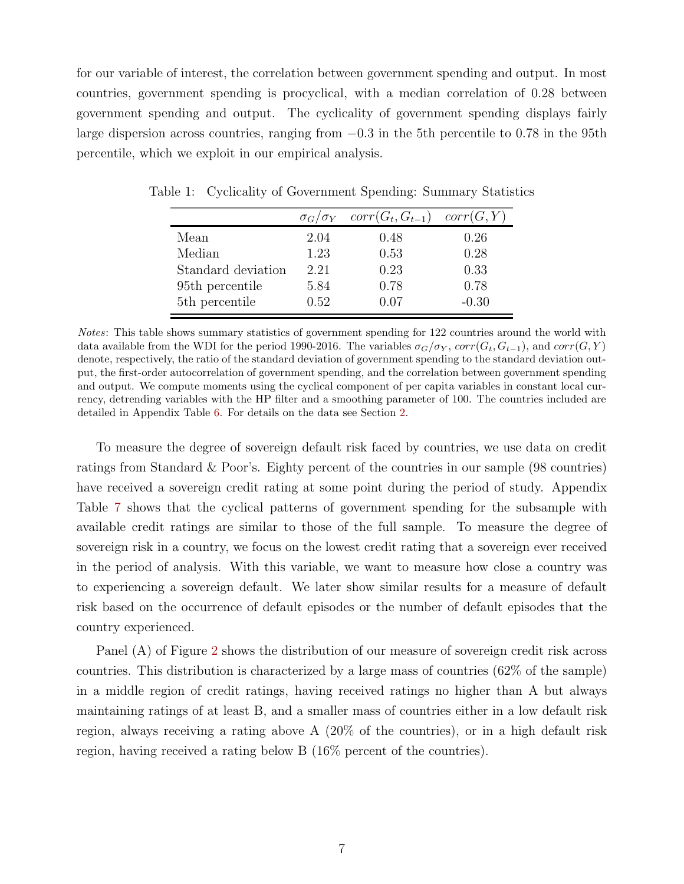for our variable of interest, the correlation between government spending and output. In most countries, government spending is procyclical, with a median correlation of 0.28 between government spending and output. The cyclicality of government spending displays fairly large dispersion across countries, ranging from −0.3 in the 5th percentile to 0.78 in the 95th percentile, which we exploit in our empirical analysis.

<span id="page-9-0"></span>

|                             | $\sigma_G/\sigma_Y$ | $corr(G_t, G_{t-1})$ | corr(G, Y) |
|-----------------------------|---------------------|----------------------|------------|
| Mean                        | 2.04                | 0.48                 | 0.26       |
| Median                      | 1.23                | 0.53                 | 0.28       |
| Standard deviation          | 2.21                | 0.23                 | 0.33       |
| 95 <sup>th</sup> percentile | 5.84                | 0.78                 | 0.78       |
| 5 <sup>th</sup> percentile  | 0.52                | 0.07                 | $-0.30$    |

Table 1: Cyclicality of Government Spending: Summary Statistics

Notes: This table shows summary statistics of government spending for 122 countries around the world with data available from the WDI for the period 1990-2016. The variables  $\sigma_G/\sigma_Y$ ,  $corr(G_t, G_{t-1})$ , and  $corr(G, Y)$ denote, respectively, the ratio of the standard deviation of government spending to the standard deviation output, the first-order autocorrelation of government spending, and the correlation between government spending and output. We compute moments using the cyclical component of per capita variables in constant local currency, detrending variables with the HP filter and a smoothing parameter of 100. The countries included are detailed in Appendix Table [6.](#page-49-0) For details on the data see Section [2.](#page-8-1)

To measure the degree of sovereign default risk faced by countries, we use data on credit ratings from Standard & Poor's. Eighty percent of the countries in our sample (98 countries) have received a sovereign credit rating at some point during the period of study. Appendix Table [7](#page-50-0) shows that the cyclical patterns of government spending for the subsample with available credit ratings are similar to those of the full sample. To measure the degree of sovereign risk in a country, we focus on the lowest credit rating that a sovereign ever received in the period of analysis. With this variable, we want to measure how close a country was to experiencing a sovereign default. We later show similar results for a measure of default risk based on the occurrence of default episodes or the number of default episodes that the country experienced.

Panel (A) of Figure [2](#page-10-0) shows the distribution of our measure of sovereign credit risk across countries. This distribution is characterized by a large mass of countries (62% of the sample) in a middle region of credit ratings, having received ratings no higher than A but always maintaining ratings of at least B, and a smaller mass of countries either in a low default risk region, always receiving a rating above A (20% of the countries), or in a high default risk region, having received a rating below B (16% percent of the countries).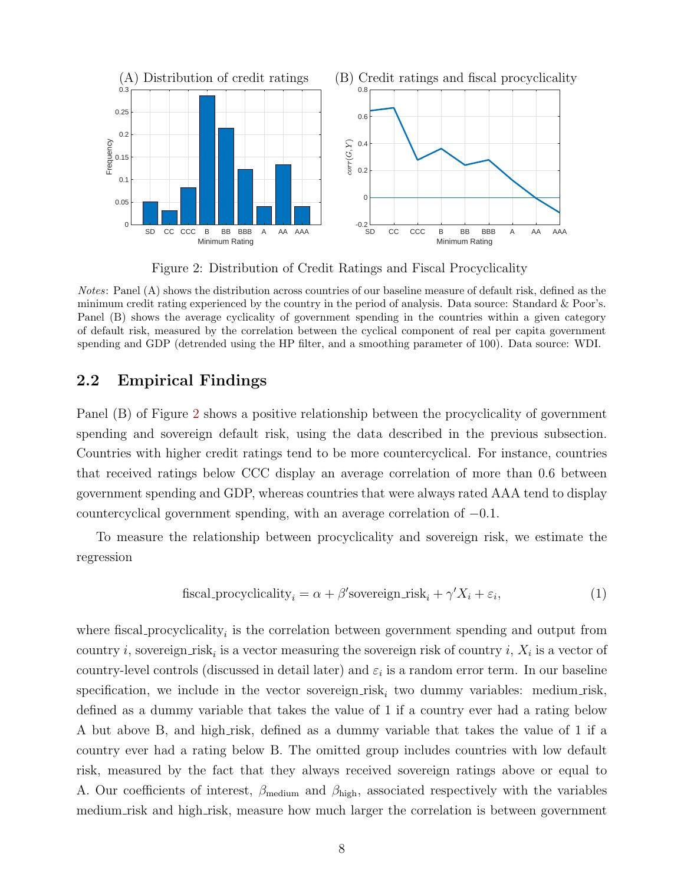

<span id="page-10-0"></span>Figure 2: Distribution of Credit Ratings and Fiscal Procyclicality

Notes: Panel (A) shows the distribution across countries of our baseline measure of default risk, defined as the minimum credit rating experienced by the country in the period of analysis. Data source: Standard & Poor's. Panel (B) shows the average cyclicality of government spending in the countries within a given category of default risk, measured by the correlation between the cyclical component of real per capita government spending and GDP (detrended using the HP filter, and a smoothing parameter of 100). Data source: WDI.

### 2.2 Empirical Findings

Panel (B) of Figure [2](#page-10-0) shows a positive relationship between the procyclicality of government spending and sovereign default risk, using the data described in the previous subsection. Countries with higher credit ratings tend to be more countercyclical. For instance, countries that received ratings below CCC display an average correlation of more than 0.6 between government spending and GDP, whereas countries that were always rated AAA tend to display countercyclical government spending, with an average correlation of  $-0.1$ .

To measure the relationship between procyclicality and sovereign risk, we estimate the regression

<span id="page-10-1"></span>
$$
f is cal\_procyclicality_i = \alpha + \beta's overeign\_risk_i + \gamma' X_i + \varepsilon_i,
$$
\n(1)

where fiscal procyclicality<sub>i</sub> is the correlation between government spending and output from country *i*, sovereign risk<sub>*i*</sub> is a vector measuring the sovereign risk of country *i*,  $X_i$  is a vector of country-level controls (discussed in detail later) and  $\varepsilon_i$  is a random error term. In our baseline specification, we include in the vector sovereign  $\text{risk}_i$  two dummy variables: medium risk, defined as a dummy variable that takes the value of 1 if a country ever had a rating below A but above B, and high risk, defined as a dummy variable that takes the value of 1 if a country ever had a rating below B. The omitted group includes countries with low default risk, measured by the fact that they always received sovereign ratings above or equal to A. Our coefficients of interest,  $\beta_{\text{medium}}$  and  $\beta_{\text{high}}$ , associated respectively with the variables medium risk and high risk, measure how much larger the correlation is between government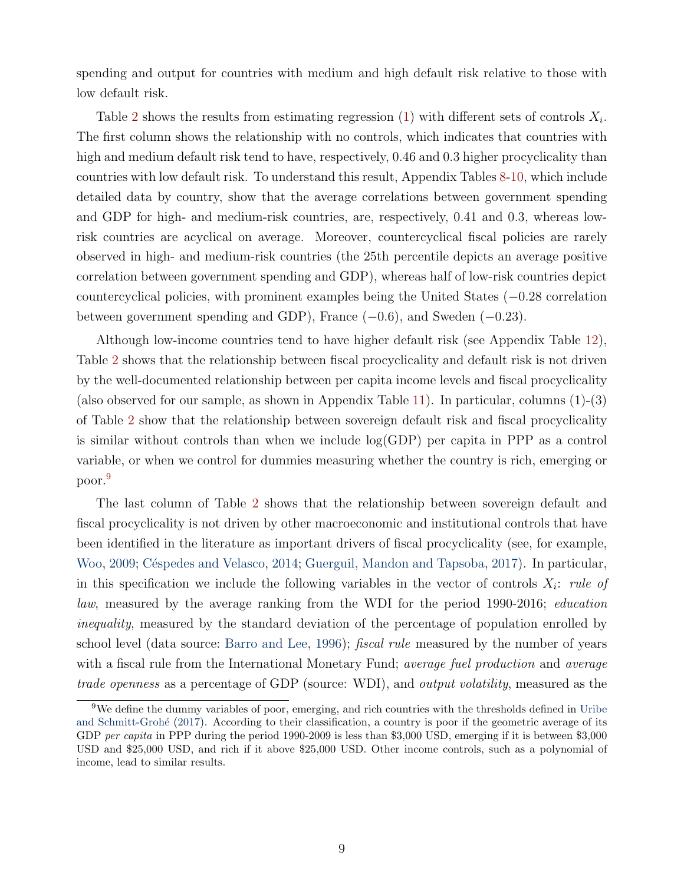spending and output for countries with medium and high default risk relative to those with low default risk.

Table [2](#page-12-0) shows the results from estimating regression [\(1\)](#page-10-1) with different sets of controls  $X_i$ . The first column shows the relationship with no controls, which indicates that countries with high and medium default risk tend to have, respectively, 0.46 and 0.3 higher procyclicality than countries with low default risk. To understand this result, Appendix Tables [8-](#page-50-1)[10,](#page-52-0) which include detailed data by country, show that the average correlations between government spending and GDP for high- and medium-risk countries, are, respectively, 0.41 and 0.3, whereas lowrisk countries are acyclical on average. Moreover, countercyclical fiscal policies are rarely observed in high- and medium-risk countries (the 25th percentile depicts an average positive correlation between government spending and GDP), whereas half of low-risk countries depict countercyclical policies, with prominent examples being the United States (−0.28 correlation between government spending and GDP), France (−0.6), and Sweden (−0.23).

Although low-income countries tend to have higher default risk (see Appendix Table [12\)](#page-53-0), Table [2](#page-12-0) shows that the relationship between fiscal procyclicality and default risk is not driven by the well-documented relationship between per capita income levels and fiscal procyclicality (also observed for our sample, as shown in Appendix Table [11\)](#page-52-1). In particular, columns (1)-(3) of Table [2](#page-12-0) show that the relationship between sovereign default risk and fiscal procyclicality is similar without controls than when we include log(GDP) per capita in PPP as a control variable, or when we control for dummies measuring whether the country is rich, emerging or poor.[9](#page-11-0)

The last column of Table [2](#page-12-0) shows that the relationship between sovereign default and fiscal procyclicality is not driven by other macroeconomic and institutional controls that have been identified in the literature as important drivers of fiscal procyclicality (see, for example, [Woo,](#page-48-4) [2009;](#page-48-4) Céspedes and Velasco, [2014;](#page-44-5) [Guerguil, Mandon and Tapsoba,](#page-46-9) [2017\)](#page-46-9). In particular, in this specification we include the following variables in the vector of controls  $X_i$ : rule of law, measured by the average ranking from the WDI for the period 1990-2016; education inequality, measured by the standard deviation of the percentage of population enrolled by school level (data source: [Barro and Lee,](#page-44-6) [1996\)](#page-44-6); *fiscal rule* measured by the number of years with a fiscal rule from the International Monetary Fund; *average fuel production* and *average* trade openness as a percentage of GDP (source: WDI), and *output volatility*, measured as the

<span id="page-11-0"></span><sup>9</sup>We define the dummy variables of poor, emerging, and rich countries with the thresholds defined in [Uribe](#page-48-5) and Schmitt-Grohé [\(2017\)](#page-48-5). According to their classification, a country is poor if the geometric average of its GDP per capita in PPP during the period 1990-2009 is less than \$3,000 USD, emerging if it is between \$3,000 USD and \$25,000 USD, and rich if it above \$25,000 USD. Other income controls, such as a polynomial of income, lead to similar results.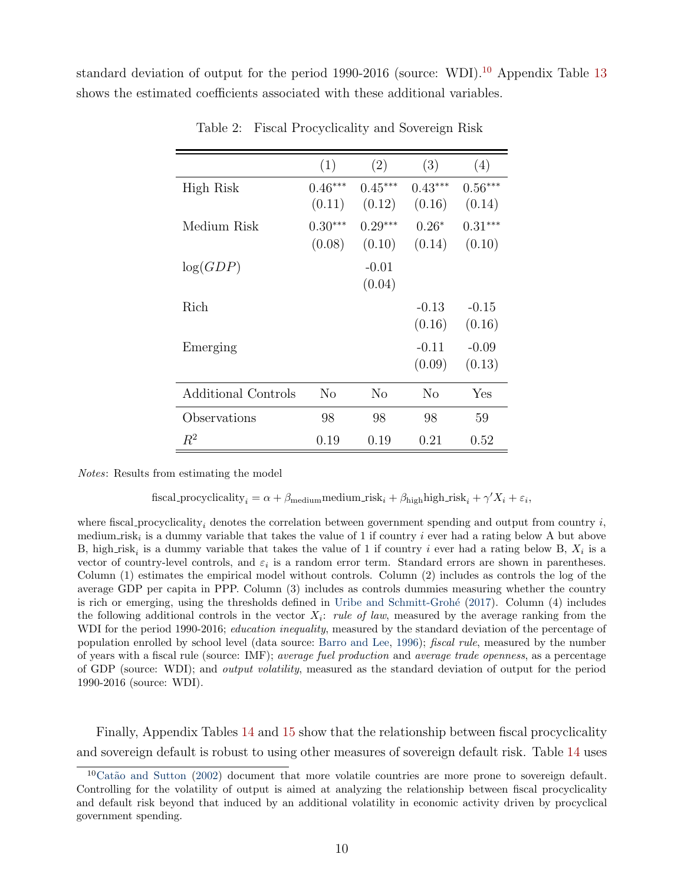standard deviation of output for the period 1990-2016 (source: WDI).<sup>[10](#page-12-1)</sup> Appendix Table [13](#page-54-0) shows the estimated coefficients associated with these additional variables.

|                     | (1)       | (2)            | (3)       | (4)       |
|---------------------|-----------|----------------|-----------|-----------|
| High Risk           | $0.46***$ | $0.45***$      | $0.43***$ | $0.56***$ |
|                     | (0.11)    | (0.12)         | (0.16)    | (0.14)    |
| Medium Risk         | $0.30***$ | $0.29***$      | $0.26*$   | $0.31***$ |
|                     | (0.08)    | (0.10)         | (0.14)    | (0.10)    |
| log(GDP)            |           | $-0.01$        |           |           |
|                     |           | (0.04)         |           |           |
| Rich                |           |                | $-0.13$   | $-0.15$   |
|                     |           |                | (0.16)    | (0.16)    |
| Emerging            |           |                | $-0.11$   | $-0.09$   |
|                     |           |                | (0.09)    | (0.13)    |
| Additional Controls | No        | N <sub>o</sub> | $\rm No$  | Yes       |
| Observations        | 98        | 98             | 98        | 59        |
| $R^2$               | 0.19      | 0.19           | 0.21      | 0.52      |

<span id="page-12-0"></span>Table 2: Fiscal Procyclicality and Sovereign Risk

Notes: Results from estimating the model

fiscal procyclicality<sub>i</sub> =  $\alpha + \beta_{\text{medium}}$ medium risk<sub>i</sub> +  $\beta_{\text{high}}$ high risk<sub>i</sub> +  $\gamma' X_i + \varepsilon_i$ ,

where fiscal procyclicality, denotes the correlation between government spending and output from country  $i$ , medium risk<sub>i</sub> is a dummy variable that takes the value of 1 if country *i* ever had a rating below A but above B, high risk<sub>i</sub> is a dummy variable that takes the value of 1 if country i ever had a rating below B,  $X_i$  is a vector of country-level controls, and  $\varepsilon_i$  is a random error term. Standard errors are shown in parentheses. Column (1) estimates the empirical model without controls. Column (2) includes as controls the log of the average GDP per capita in PPP. Column (3) includes as controls dummies measuring whether the country is rich or emerging, using the thresholds defined in Uribe and Schmitt-Grohé [\(2017\)](#page-48-5). Column (4) includes the following additional controls in the vector  $X_i$ : rule of law, measured by the average ranking from the WDI for the period 1990-2016; *education inequality*, measured by the standard deviation of the percentage of population enrolled by school level (data source: [Barro and Lee,](#page-44-6) [1996\)](#page-44-6); fiscal rule, measured by the number of years with a fiscal rule (source: IMF); average fuel production and average trade openness, as a percentage of GDP (source: WDI); and output volatility, measured as the standard deviation of output for the period 1990-2016 (source: WDI).

Finally, Appendix Tables [14](#page-55-0) and [15](#page-56-0) show that the relationship between fiscal procyclicality and sovereign default is robust to using other measures of sovereign default risk. Table [14](#page-55-0) uses

<span id="page-12-1"></span> ${}^{10}$ Catão and Sutton [\(2002\)](#page-44-7) document that more volatile countries are more prone to sovereign default. Controlling for the volatility of output is aimed at analyzing the relationship between fiscal procyclicality and default risk beyond that induced by an additional volatility in economic activity driven by procyclical government spending.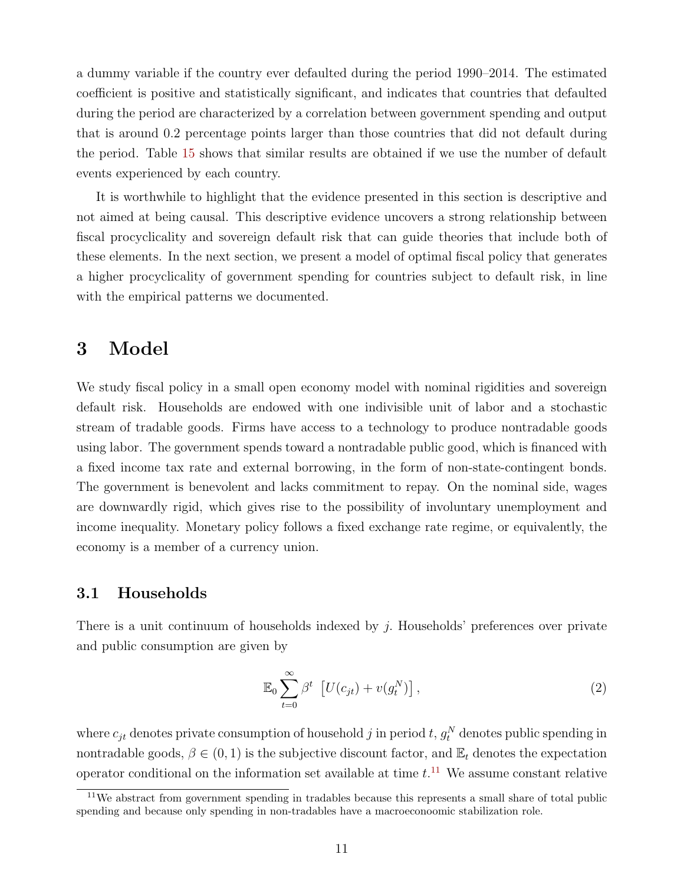a dummy variable if the country ever defaulted during the period 1990–2014. The estimated coefficient is positive and statistically significant, and indicates that countries that defaulted during the period are characterized by a correlation between government spending and output that is around 0.2 percentage points larger than those countries that did not default during the period. Table [15](#page-56-0) shows that similar results are obtained if we use the number of default events experienced by each country.

It is worthwhile to highlight that the evidence presented in this section is descriptive and not aimed at being causal. This descriptive evidence uncovers a strong relationship between fiscal procyclicality and sovereign default risk that can guide theories that include both of these elements. In the next section, we present a model of optimal fiscal policy that generates a higher procyclicality of government spending for countries subject to default risk, in line with the empirical patterns we documented.

### <span id="page-13-0"></span>3 Model

We study fiscal policy in a small open economy model with nominal rigidities and sovereign default risk. Households are endowed with one indivisible unit of labor and a stochastic stream of tradable goods. Firms have access to a technology to produce nontradable goods using labor. The government spends toward a nontradable public good, which is financed with a fixed income tax rate and external borrowing, in the form of non-state-contingent bonds. The government is benevolent and lacks commitment to repay. On the nominal side, wages are downwardly rigid, which gives rise to the possibility of involuntary unemployment and income inequality. Monetary policy follows a fixed exchange rate regime, or equivalently, the economy is a member of a currency union.

### <span id="page-13-3"></span>3.1 Households

There is a unit continuum of households indexed by j. Households' preferences over private and public consumption are given by

<span id="page-13-2"></span>
$$
\mathbb{E}_0 \sum_{t=0}^{\infty} \beta^t \left[ U(c_{jt}) + v(g_t^N) \right], \tag{2}
$$

where  $c_{jt}$  denotes private consumption of household j in period t,  $g_t^N$  denotes public spending in nontradable goods,  $\beta \in (0, 1)$  is the subjective discount factor, and  $\mathbb{E}_t$  denotes the expectation operator conditional on the information set available at time  $t$ .<sup>[11](#page-13-1)</sup> We assume constant relative

<span id="page-13-1"></span><sup>11</sup>We abstract from government spending in tradables because this represents a small share of total public spending and because only spending in non-tradables have a macroeconoomic stabilization role.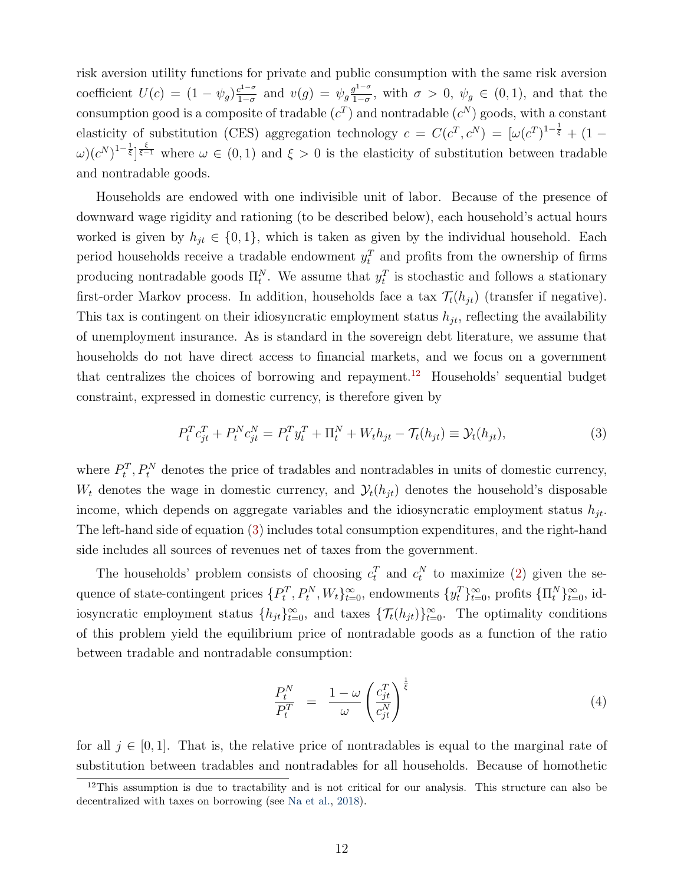risk aversion utility functions for private and public consumption with the same risk aversion coefficient  $U(c) = (1 - \psi_g) \frac{c^{1-\sigma}}{1-\sigma}$  $\frac{c^{1-\sigma}}{1-\sigma}$  and  $v(g) = \psi_g \frac{g^{1-\sigma}}{1-\sigma}$  $\frac{g^{1-\sigma}}{1-\sigma}$ , with  $\sigma > 0$ ,  $\psi_g \in (0,1)$ , and that the consumption good is a composite of tradable  $(c^T)$  and nontradable  $(c^N)$  goods, with a constant elasticity of substitution (CES) aggregation technology  $c = C(c^T, c^N) = [\omega(c^T)^{1-\frac{1}{\xi}} + (1-\frac{1}{\xi})^T]$  $(\omega)(c^N)^{1-\frac{1}{\xi}}\Big|\frac{\xi}{\xi-1}$  where  $\omega \in (0,1)$  and  $\xi > 0$  is the elasticity of substitution between tradable and nontradable goods.

Households are endowed with one indivisible unit of labor. Because of the presence of downward wage rigidity and rationing (to be described below), each household's actual hours worked is given by  $h_{jt} \in \{0, 1\}$ , which is taken as given by the individual household. Each period households receive a tradable endowment  $y_t^T$  and profits from the ownership of firms producing nontradable goods  $\Pi_t^N$ . We assume that  $y_t^T$  is stochastic and follows a stationary first-order Markov process. In addition, households face a tax  $\mathcal{T}_t(h_{jt})$  (transfer if negative). This tax is contingent on their idiosyncratic employment status  $h_{jt}$ , reflecting the availability of unemployment insurance. As is standard in the sovereign debt literature, we assume that households do not have direct access to financial markets, and we focus on a government that centralizes the choices of borrowing and repayment.<sup>[12](#page-14-0)</sup> Households' sequential budget constraint, expressed in domestic currency, is therefore given by

<span id="page-14-1"></span>
$$
P_t^T c_{jt}^T + P_t^N c_{jt}^N = P_t^T y_t^T + \Pi_t^N + W_t h_{jt} - \mathcal{T}_t(h_{jt}) \equiv \mathcal{Y}_t(h_{jt}),
$$
\n(3)

where  $P_t^T$ ,  $P_t^N$  denotes the price of tradables and nontradables in units of domestic currency,  $W_t$  denotes the wage in domestic currency, and  $\mathcal{Y}_t(h_{it})$  denotes the household's disposable income, which depends on aggregate variables and the idiosyncratic employment status  $h_{it}$ . The left-hand side of equation [\(3\)](#page-14-1) includes total consumption expenditures, and the right-hand side includes all sources of revenues net of taxes from the government.

The households' problem consists of choosing  $c_t^T$  and  $c_t^N$  to maximize [\(2\)](#page-13-2) given the sequence of state-contingent prices  $\{P_t^T, P_t^N, W_t\}_{t=0}^{\infty}$ , endowments  $\{y_t^T\}_{t=0}^{\infty}$ , profits  $\{\Pi_t^N\}_{t=0}^{\infty}$ , idiosyncratic employment status  $\{h_{jt}\}_{t=0}^{\infty}$ , and taxes  $\{\mathcal{T}_{t}(h_{jt})\}_{t=0}^{\infty}$ . The optimality conditions of this problem yield the equilibrium price of nontradable goods as a function of the ratio between tradable and nontradable consumption:

<span id="page-14-2"></span>
$$
\frac{P_t^N}{P_t^T} = \frac{1 - \omega}{\omega} \left( \frac{c_{jt}^T}{c_{jt}^N} \right)^{\frac{1}{\xi}}
$$
\n(4)

for all  $j \in [0, 1]$ . That is, the relative price of nontradables is equal to the marginal rate of substitution between tradables and nontradables for all households. Because of homothetic

<span id="page-14-0"></span><sup>&</sup>lt;sup>12</sup>This assumption is due to tractability and is not critical for our analysis. This structure can also be decentralized with taxes on borrowing (see [Na et al.,](#page-47-7) [2018\)](#page-47-7).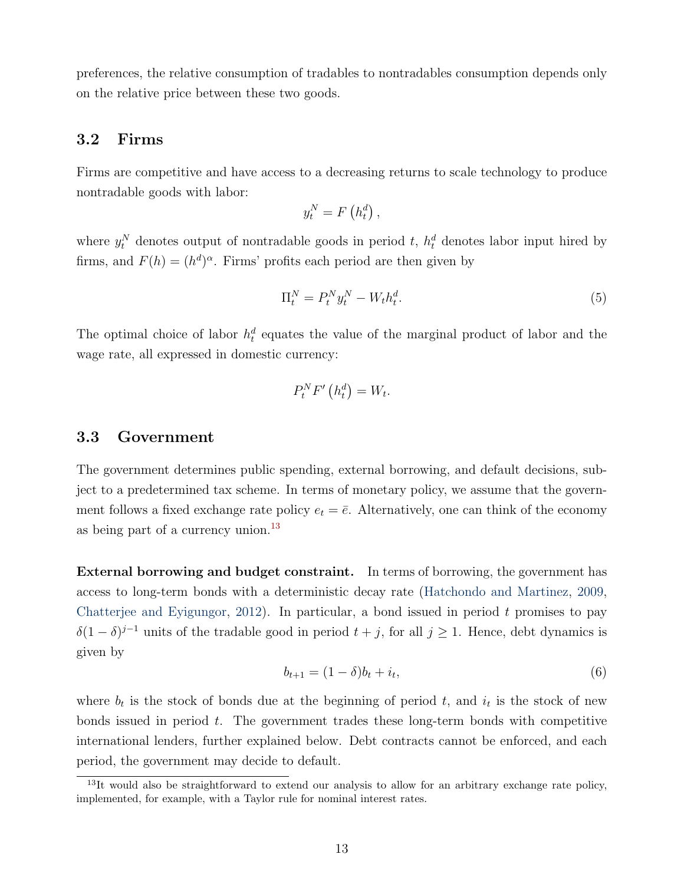preferences, the relative consumption of tradables to nontradables consumption depends only on the relative price between these two goods.

#### <span id="page-15-1"></span>3.2 Firms

Firms are competitive and have access to a decreasing returns to scale technology to produce nontradable goods with labor:

$$
y_t^N = F\left(h_t^d\right),
$$

where  $y_t^N$  denotes output of nontradable goods in period t,  $h_t^d$  denotes labor input hired by firms, and  $F(h) = (h^d)^\alpha$ . Firms' profits each period are then given by

$$
\Pi_t^N = P_t^N y_t^N - W_t h_t^d. \tag{5}
$$

The optimal choice of labor  $h_t^d$  equates the value of the marginal product of labor and the wage rate, all expressed in domestic currency:

$$
P_t^N F'\left(h_t^d\right) = W_t.
$$

### 3.3 Government

The government determines public spending, external borrowing, and default decisions, subject to a predetermined tax scheme. In terms of monetary policy, we assume that the government follows a fixed exchange rate policy  $e_t = \bar{e}$ . Alternatively, one can think of the economy as being part of a currency union.<sup>[13](#page-15-0)</sup>

External borrowing and budget constraint. In terms of borrowing, the government has access to long-term bonds with a deterministic decay rate [\(Hatchondo and Martinez,](#page-46-10) [2009,](#page-46-10) [Chatterjee and Eyigungor,](#page-44-8) [2012\)](#page-44-8). In particular, a bond issued in period  $t$  promises to pay  $\delta(1-\delta)^{j-1}$  units of the tradable good in period  $t+j$ , for all  $j\geq 1$ . Hence, debt dynamics is given by

$$
b_{t+1} = (1 - \delta)b_t + i_t,\tag{6}
$$

where  $b_t$  is the stock of bonds due at the beginning of period t, and  $i_t$  is the stock of new bonds issued in period  $t$ . The government trades these long-term bonds with competitive international lenders, further explained below. Debt contracts cannot be enforced, and each period, the government may decide to default.

<span id="page-15-0"></span><sup>&</sup>lt;sup>13</sup>It would also be straightforward to extend our analysis to allow for an arbitrary exchange rate policy, implemented, for example, with a Taylor rule for nominal interest rates.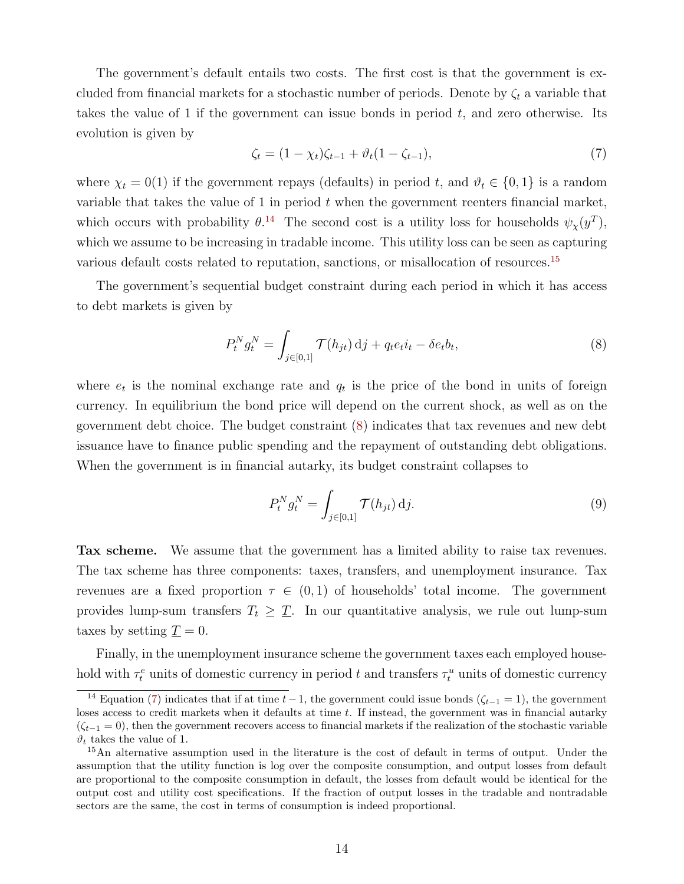The government's default entails two costs. The first cost is that the government is excluded from financial markets for a stochastic number of periods. Denote by  $\zeta_t$  a variable that takes the value of 1 if the government can issue bonds in period  $t$ , and zero otherwise. Its evolution is given by

<span id="page-16-3"></span>
$$
\zeta_t = (1 - \chi_t)\zeta_{t-1} + \vartheta_t(1 - \zeta_{t-1}),\tag{7}
$$

where  $\chi_t = 0(1)$  if the government repays (defaults) in period t, and  $\vartheta_t \in \{0, 1\}$  is a random variable that takes the value of 1 in period  $t$  when the government reenters financial market, which occurs with probability  $\theta$ <sup>[14](#page-16-0)</sup>. The second cost is a utility loss for households  $\psi_{\chi}(y^T)$ , which we assume to be increasing in tradable income. This utility loss can be seen as capturing various default costs related to reputation, sanctions, or misallocation of resources.[15](#page-16-1)

The government's sequential budget constraint during each period in which it has access to debt markets is given by

<span id="page-16-2"></span>
$$
P_t^N g_t^N = \int_{j \in [0,1]} \mathcal{T}(h_{jt}) \, \mathrm{d}j + q_t e_t i_t - \delta e_t b_t,\tag{8}
$$

where  $e_t$  is the nominal exchange rate and  $q_t$  is the price of the bond in units of foreign currency. In equilibrium the bond price will depend on the current shock, as well as on the government debt choice. The budget constraint [\(8\)](#page-16-2) indicates that tax revenues and new debt issuance have to finance public spending and the repayment of outstanding debt obligations. When the government is in financial autarky, its budget constraint collapses to

$$
P_t^N g_t^N = \int_{j \in [0,1]} \mathcal{T}(h_{jt}) \, \mathrm{d}j. \tag{9}
$$

Tax scheme. We assume that the government has a limited ability to raise tax revenues. The tax scheme has three components: taxes, transfers, and unemployment insurance. Tax revenues are a fixed proportion  $\tau \in (0,1)$  of households' total income. The government provides lump-sum transfers  $T_t \geq T$ . In our quantitative analysis, we rule out lump-sum taxes by setting  $\underline{T} = 0$ .

Finally, in the unemployment insurance scheme the government taxes each employed household with  $\tau_t^e$  units of domestic currency in period t and transfers  $\tau_t^u$  units of domestic currency

<span id="page-16-0"></span><sup>&</sup>lt;sup>14</sup> Equation [\(7\)](#page-16-3) indicates that if at time  $t-1$ , the government could issue bonds ( $\zeta_{t-1} = 1$ ), the government loses access to credit markets when it defaults at time  $t$ . If instead, the government was in financial autarky  $(\zeta_{t-1} = 0)$ , then the government recovers access to financial markets if the realization of the stochastic variable  $\vartheta_t$  takes the value of 1.

<span id="page-16-1"></span><sup>15</sup>An alternative assumption used in the literature is the cost of default in terms of output. Under the assumption that the utility function is log over the composite consumption, and output losses from default are proportional to the composite consumption in default, the losses from default would be identical for the output cost and utility cost specifications. If the fraction of output losses in the tradable and nontradable sectors are the same, the cost in terms of consumption is indeed proportional.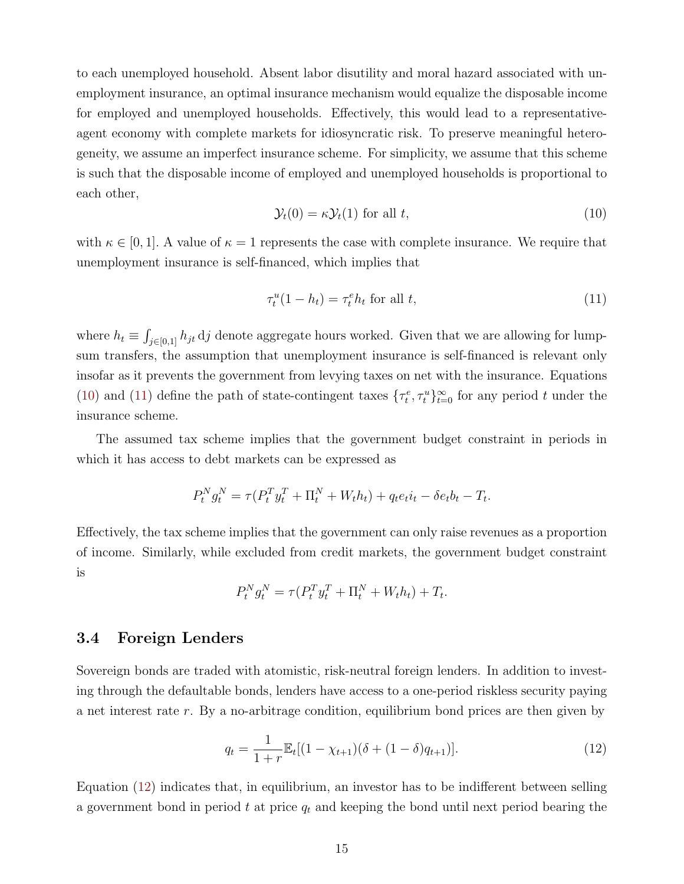to each unemployed household. Absent labor disutility and moral hazard associated with unemployment insurance, an optimal insurance mechanism would equalize the disposable income for employed and unemployed households. Effectively, this would lead to a representativeagent economy with complete markets for idiosyncratic risk. To preserve meaningful heterogeneity, we assume an imperfect insurance scheme. For simplicity, we assume that this scheme is such that the disposable income of employed and unemployed households is proportional to each other,

<span id="page-17-0"></span>
$$
\mathcal{Y}_t(0) = \kappa \mathcal{Y}_t(1) \text{ for all } t,\tag{10}
$$

with  $\kappa \in [0,1]$ . A value of  $\kappa = 1$  represents the case with complete insurance. We require that unemployment insurance is self-financed, which implies that

<span id="page-17-1"></span>
$$
\tau_t^u(1 - h_t) = \tau_t^e h_t \text{ for all } t,\tag{11}
$$

where  $h_t \equiv \int_{j\in[0,1]} h_{jt} \, \mathrm{d}j$  denote aggregate hours worked. Given that we are allowing for lumpsum transfers, the assumption that unemployment insurance is self-financed is relevant only insofar as it prevents the government from levying taxes on net with the insurance. Equations [\(10\)](#page-17-0) and [\(11\)](#page-17-1) define the path of state-contingent taxes  $\{\tau_t^e, \tau_t^u\}_{t=0}^{\infty}$  for any period t under the insurance scheme.

The assumed tax scheme implies that the government budget constraint in periods in which it has access to debt markets can be expressed as

$$
P_t^N g_t^N = \tau (P_t^T y_t^T + \Pi_t^N + W_t h_t) + q_t e_t i_t - \delta e_t b_t - T_t.
$$

Effectively, the tax scheme implies that the government can only raise revenues as a proportion of income. Similarly, while excluded from credit markets, the government budget constraint is

$$
P_t^N g_t^N = \tau (P_t^T y_t^T + \Pi_t^N + W_t h_t) + T_t.
$$

### 3.4 Foreign Lenders

Sovereign bonds are traded with atomistic, risk-neutral foreign lenders. In addition to investing through the defaultable bonds, lenders have access to a one-period riskless security paying a net interest rate r. By a no-arbitrage condition, equilibrium bond prices are then given by

<span id="page-17-2"></span>
$$
q_t = \frac{1}{1+r} \mathbb{E}_t [(1 - \chi_{t+1})(\delta + (1 - \delta)q_{t+1})]. \tag{12}
$$

Equation [\(12\)](#page-17-2) indicates that, in equilibrium, an investor has to be indifferent between selling a government bond in period t at price  $q_t$  and keeping the bond until next period bearing the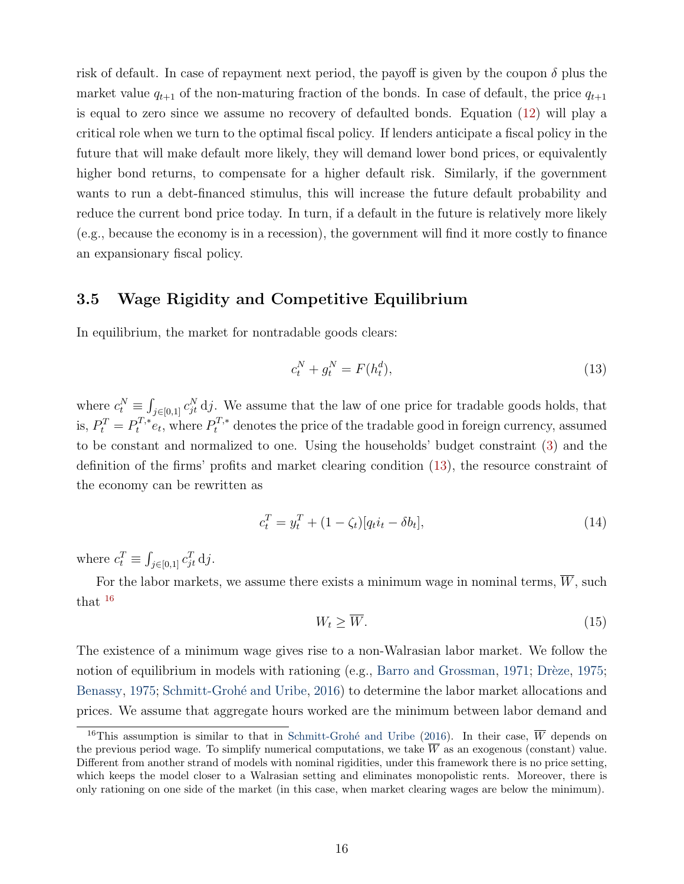risk of default. In case of repayment next period, the payoff is given by the coupon  $\delta$  plus the market value  $q_{t+1}$  of the non-maturing fraction of the bonds. In case of default, the price  $q_{t+1}$ is equal to zero since we assume no recovery of defaulted bonds. Equation [\(12\)](#page-17-2) will play a critical role when we turn to the optimal fiscal policy. If lenders anticipate a fiscal policy in the future that will make default more likely, they will demand lower bond prices, or equivalently higher bond returns, to compensate for a higher default risk. Similarly, if the government wants to run a debt-financed stimulus, this will increase the future default probability and reduce the current bond price today. In turn, if a default in the future is relatively more likely (e.g., because the economy is in a recession), the government will find it more costly to finance an expansionary fiscal policy.

### 3.5 Wage Rigidity and Competitive Equilibrium

In equilibrium, the market for nontradable goods clears:

<span id="page-18-0"></span>
$$
c_t^N + g_t^N = F(h_t^d),\tag{13}
$$

where  $c_t^N \equiv \int_{j \in [0,1]} c_{jt}^N \, \mathrm{d}j$ . We assume that the law of one price for tradable goods holds, that is,  $P_t^T = P_t^{T,*} e_t$ , where  $P_t^{T,*}$  denotes the price of the tradable good in foreign currency, assumed to be constant and normalized to one. Using the households' budget constraint [\(3\)](#page-14-1) and the definition of the firms' profits and market clearing condition [\(13\)](#page-18-0), the resource constraint of the economy can be rewritten as

$$
c_t^T = y_t^T + (1 - \zeta_t)[q_t i_t - \delta b_t],
$$
\n(14)

where  $c_t^T \equiv \int_{j \in [0,1]} c_{jt}^T \, \mathrm{d}j$ .

For the labor markets, we assume there exists a minimum wage in nominal terms,  $\overline{W}$ , such that [16](#page-18-1)

<span id="page-18-2"></span>
$$
W_t \ge \overline{W}.\tag{15}
$$

The existence of a minimum wage gives rise to a non-Walrasian labor market. We follow the notion of equilibrium in models with rationing (e.g., [Barro and Grossman,](#page-44-9) [1971;](#page-44-9) Drèze, [1975;](#page-45-11) [Benassy,](#page-44-10) [1975;](#page-44-10) Schmitt-Grohé and Uribe, [2016\)](#page-48-6) to determine the labor market allocations and prices. We assume that aggregate hours worked are the minimum between labor demand and

<span id="page-18-1"></span><sup>&</sup>lt;sup>16</sup>This assumption is similar to that in Schmitt-Grohé and Uribe [\(2016\)](#page-48-6). In their case,  $\overline{W}$  depends on the previous period wage. To simplify numerical computations, we take  $\overline{W}$  as an exogenous (constant) value. Different from another strand of models with nominal rigidities, under this framework there is no price setting, which keeps the model closer to a Walrasian setting and eliminates monopolistic rents. Moreover, there is only rationing on one side of the market (in this case, when market clearing wages are below the minimum).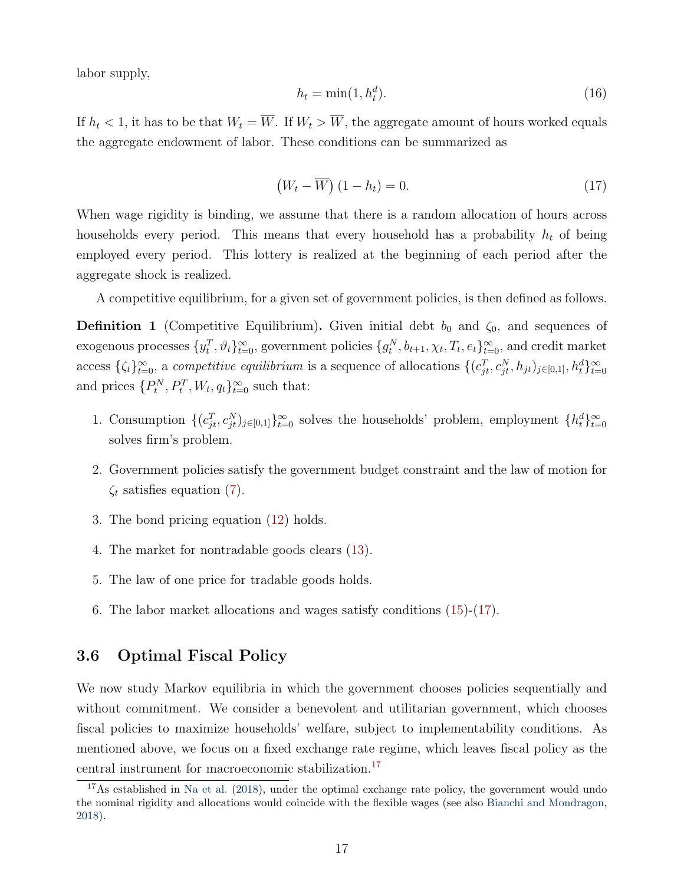labor supply,

$$
h_t = \min(1, h_t^d). \tag{16}
$$

If  $h_t < 1$ , it has to be that  $W_t = \overline{W}$ . If  $W_t > \overline{W}$ , the aggregate amount of hours worked equals the aggregate endowment of labor. These conditions can be summarized as

<span id="page-19-0"></span>
$$
(W_t - \overline{W}) (1 - h_t) = 0.
$$
\n<sup>(17)</sup>

When wage rigidity is binding, we assume that there is a random allocation of hours across households every period. This means that every household has a probability  $h_t$  of being employed every period. This lottery is realized at the beginning of each period after the aggregate shock is realized.

A competitive equilibrium, for a given set of government policies, is then defined as follows.

**Definition 1** (Competitive Equilibrium). Given initial debt  $b_0$  and  $\zeta_0$ , and sequences of exogenous processes  $\{y_t^T, \vartheta_t\}_{t=0}^{\infty}$ , government policies  $\{g_t^N, b_{t+1}, \chi_t, T_t, e_t\}_{t=0}^{\infty}$ , and credit market access  $\{\zeta_t\}_{t=0}^{\infty}$ , a *competitive equilibrium* is a sequence of allocations  $\{(c_{jt}^T, c_{jt}^N, h_{jt})_{j\in[0,1]}, h_t^d\}_{t=0}^{\infty}$ and prices  $\{P_t^N, P_t^T, W_t, q_t\}_{t=0}^{\infty}$  such that:

- 1. Consumption  $\{(c_{jt}^T, c_{jt}^N)_{j\in[0,1]}\}_{t=0}^\infty$  solves the households' problem, employment  $\{h_t^d\}_{t=0}^\infty$ solves firm's problem.
- 2. Government policies satisfy the government budget constraint and the law of motion for  $\zeta_t$  satisfies equation [\(7\)](#page-16-3).
- 3. The bond pricing equation [\(12\)](#page-17-2) holds.
- 4. The market for nontradable goods clears [\(13\)](#page-18-0).
- 5. The law of one price for tradable goods holds.
- 6. The labor market allocations and wages satisfy conditions [\(15\)](#page-18-2)-[\(17\)](#page-19-0).

### 3.6 Optimal Fiscal Policy

We now study Markov equilibria in which the government chooses policies sequentially and without commitment. We consider a benevolent and utilitarian government, which chooses fiscal policies to maximize households' welfare, subject to implementability conditions. As mentioned above, we focus on a fixed exchange rate regime, which leaves fiscal policy as the central instrument for macroeconomic stabilization.[17](#page-19-1)

<span id="page-19-1"></span><sup>&</sup>lt;sup>17</sup>As established in [Na et al.](#page-47-7) [\(2018\)](#page-47-7), under the optimal exchange rate policy, the government would undo the nominal rigidity and allocations would coincide with the flexible wages (see also [Bianchi and Mondragon,](#page-44-11) [2018\)](#page-44-11).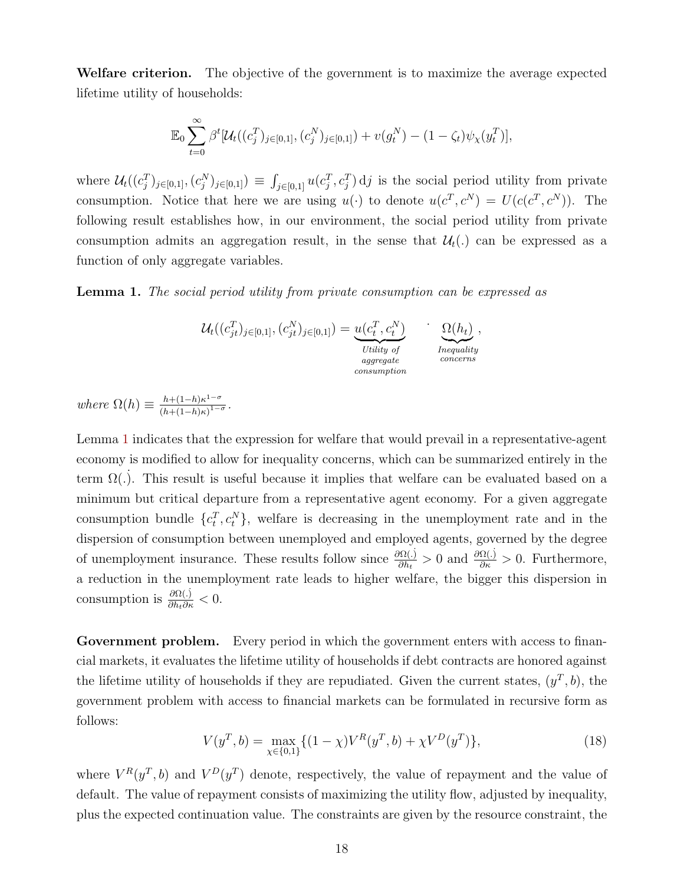Welfare criterion. The objective of the government is to maximize the average expected lifetime utility of households:

$$
\mathbb{E}_0 \sum_{t=0}^{\infty} \beta^t [\mathcal{U}_t((c_j^T)_{j \in [0,1]}, (c_j^N)_{j \in [0,1]}) + v(g_t^N) - (1 - \zeta_t) \psi_\chi(y_t^T)],
$$

where  $\mathcal{U}_t((c_j^T)_{j\in[0,1]},(c_j^N)_{j\in[0,1]})\equiv \int_{j\in[0,1]} u(c_j^T,c_j^T) d j$  is the social period utility from private consumption. Notice that here we are using  $u(\cdot)$  to denote  $u(c^T, c^N) = U(c(c^T, c^N))$ . The following result establishes how, in our environment, the social period utility from private consumption admits an aggregation result, in the sense that  $\mathcal{U}_t(.)$  can be expressed as a function of only aggregate variables.

<span id="page-20-0"></span>Lemma 1. The social period utility from private consumption can be expressed as

$$
\mathcal{U}_t((c_{jt}^T)_{j\in[0,1]}, (c_{jt}^N)_{j\in[0,1]}) = \underbrace{u(c_t^T, c_t^N)}_{\text{Utility of}\atop \text{converns}} \qquad \underbrace{\Omega(h_t)}_{\text{Inequality}},
$$

where  $\Omega(h) \equiv \frac{h + (1-h)\kappa^{1-\sigma}}{(h + (1-h)\kappa)^{1-\sigma}}$  $\frac{n+(1-h)\kappa}{(h+(1-h)\kappa)^{1-\sigma}}.$ 

Lemma [1](#page-20-0) indicates that the expression for welfare that would prevail in a representative-agent economy is modified to allow for inequality concerns, which can be summarized entirely in the term  $\Omega(.)$ . This result is useful because it implies that welfare can be evaluated based on a minimum but critical departure from a representative agent economy. For a given aggregate consumption bundle  $\{c_t^T, c_t^N\}$ , welfare is decreasing in the unemployment rate and in the dispersion of consumption between unemployed and employed agents, governed by the degree of unemployment insurance. These results follow since  $\frac{\partial \Omega(j)}{\partial h}$  $\frac{\partial \Omega(.)}{\partial h_t} > 0$  and  $\frac{\partial \Omega(.)}{\partial \kappa} > 0$ . Furthermore, a reduction in the unemployment rate leads to higher welfare, the bigger this dispersion in consumption is  $\frac{\partial \Omega(.)}{\partial h_t \partial \kappa} < 0$ .

Government problem. Every period in which the government enters with access to financial markets, it evaluates the lifetime utility of households if debt contracts are honored against the lifetime utility of households if they are repudiated. Given the current states,  $(y^T, b)$ , the government problem with access to financial markets can be formulated in recursive form as follows:

<span id="page-20-1"></span>
$$
V(y^T, b) = \max_{\chi \in \{0, 1\}} \{ (1 - \chi)V^R(y^T, b) + \chi V^D(y^T) \},\tag{18}
$$

where  $V^R(y^T, b)$  and  $V^D(y^T)$  denote, respectively, the value of repayment and the value of default. The value of repayment consists of maximizing the utility flow, adjusted by inequality, plus the expected continuation value. The constraints are given by the resource constraint, the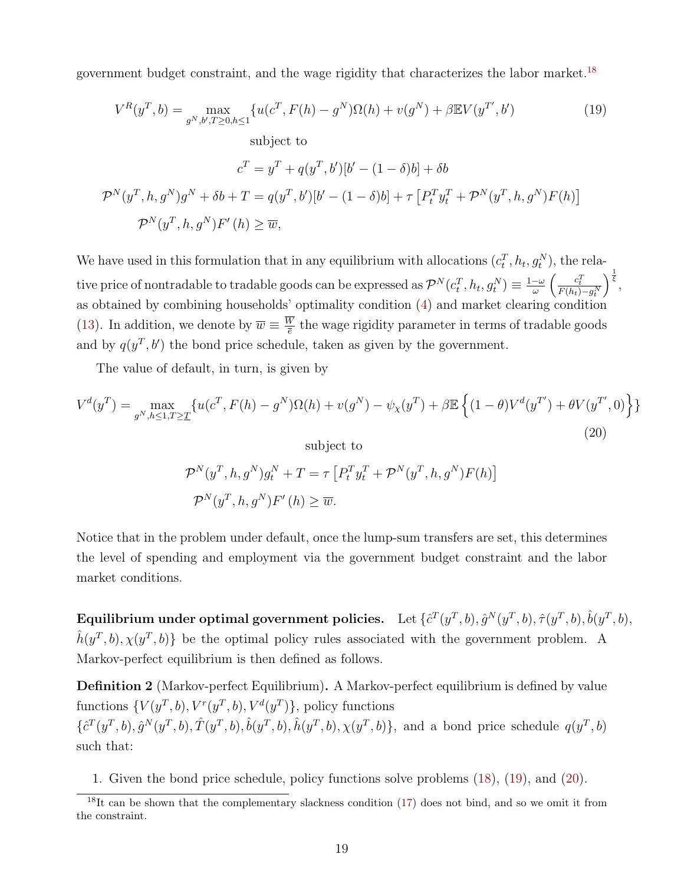government budget constraint, and the wage rigidity that characterizes the labor market.<sup>[18](#page-21-0)</sup>

<span id="page-21-1"></span>
$$
V^{R}(y^{T}, b) = \max_{g^{N}, b', T \ge 0, h \le 1} \{ u(c^{T}, F(h) - g^{N})\Omega(h) + v(g^{N}) + \beta \mathbb{E}V(y^{T'}, b') \qquad (19)
$$
  
subject to  

$$
c^{T} = y^{T} + q(y^{T}, b')[b' - (1 - \delta)b] + \delta b
$$

$$
\mathcal{P}^{N}(y^{T}, h, g^{N})g^{N} + \delta b + T = q(y^{T}, b')[b' - (1 - \delta)b] + \tau [P_{t}^{T}y_{t}^{T} + \mathcal{P}^{N}(y^{T}, h, g^{N})F(h)]
$$

$$
\mathcal{P}^{N}(y^{T}, h, g^{N})F'(h) \ge \overline{w},
$$
 (10)

We have used in this formulation that in any equilibrium with allocations  $(c_t^T, h_t, g_t^N)$ , the relative price of nontradable to tradable goods can be expressed as  $\mathcal{P}^N(c_t^T,h_t,g_t^N)\equiv \frac{1-\omega}{\omega}$  $\frac{c\omega}{\omega}\left(\frac{c_t^T}{F(h_t)-g_t^N}\right)$  $\Big)^{\frac{1}{\xi}},$ as obtained by combining households' optimality condition [\(4\)](#page-14-2) and market clearing condition [\(13\)](#page-18-0). In addition, we denote by  $\overline{w} \equiv \frac{W}{\overline{e}}$  $\frac{w}{\overline{e}}$  the wage rigidity parameter in terms of tradable goods and by  $q(y^T, b')$  the bond price schedule, taken as given by the government.

<span id="page-21-2"></span>The value of default, in turn, is given by

$$
V^{d}(y^{T}) = \max_{g^{N}, h \leq 1, T \geq T} \{ u(c^{T}, F(h) - g^{N})\Omega(h) + v(g^{N}) - \psi_{\chi}(y^{T}) + \beta \mathbb{E} \left\{ (1 - \theta)V^{d}(y^{T'}) + \theta V(y^{T'}, 0) \right\} \}
$$
\n(20)

\n
$$
\text{subject to}
$$
\n
$$
\mathcal{P}^{N}(y^{T}, h, g^{N})g_{t}^{N} + T = \tau \left[ P_{t}^{T}y_{t}^{T} + \mathcal{P}^{N}(y^{T}, h, g^{N})F(h) \right]
$$
\n
$$
\mathcal{P}^{N}(y^{T}, h, g^{N})F'(h) \geq \overline{w}.
$$

Notice that in the problem under default, once the lump-sum transfers are set, this determines the level of spending and employment via the government budget constraint and the labor market conditions.

Equilibrium under optimal government policies. Let  $\{\hat{c}^T(y^T,b),\hat{g}^N(y^T,b),\hat{\tau}(y^T,b),\hat{b}(y^T,b),$  $\hat{h}(y^T, b), \chi(y^T, b)$  be the optimal policy rules associated with the government problem. A Markov-perfect equilibrium is then defined as follows.

Definition 2 (Markov-perfect Equilibrium). A Markov-perfect equilibrium is defined by value functions  $\{V(y^T, b), V^r(y^T, b), V^d(y^T)\}\$ , policy functions  $\{\hat{c}^T(y^T, b), \hat{g}^N(y^T, b), \hat{T}(y^T, b), \hat{b}(y^T, b), \hat{h}(y^T, b), \chi(y^T, b)\}\$ , and a bond price schedule  $q(y^T, b)$ such that:

1. Given the bond price schedule, policy functions solve problems [\(18\)](#page-20-1), [\(19\)](#page-21-1), and [\(20\)](#page-21-2).

<span id="page-21-0"></span><sup>&</sup>lt;sup>18</sup>It can be shown that the complementary slackness condition [\(17\)](#page-19-0) does not bind, and so we omit it from the constraint.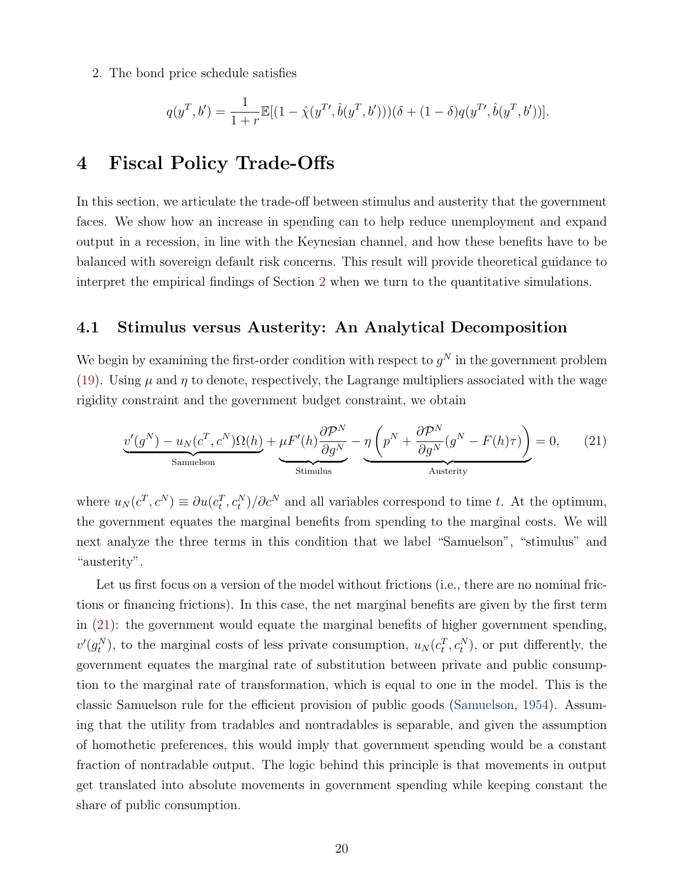2. The bond price schedule satisfies

$$
q(y^T, b') = \frac{1}{1+r} \mathbb{E}[(1-\hat{\chi}(y^T, \hat{b}(y^T, b')))(\delta + (1-\delta)q(y^T, \hat{b}(y^T, b'))].
$$

### <span id="page-22-0"></span>4 Fiscal Policy Trade-Offs

In this section, we articulate the trade-off between stimulus and austerity that the government faces. We show how an increase in spending can to help reduce unemployment and expand output in a recession, in line with the Keynesian channel, and how these benefits have to be balanced with sovereign default risk concerns. This result will provide theoretical guidance to interpret the empirical findings of Section [2](#page-8-1) when we turn to the quantitative simulations.

### 4.1 Stimulus versus Austerity: An Analytical Decomposition

We begin by examining the first-order condition with respect to  $g^N$  in the government problem [\(19\)](#page-21-1). Using  $\mu$  and  $\eta$  to denote, respectively, the Lagrange multipliers associated with the wage rigidity constraint and the government budget constraint, we obtain

<span id="page-22-1"></span>
$$
\underbrace{v'(g^N) - u_N(c^T, c^N)\Omega(h)}_{\text{Samuelson}} + \underbrace{\mu F'(h)\frac{\partial \mathcal{P}^N}{\partial g^N}}_{\text{Stimulus}} - \underbrace{\eta\left(p^N + \frac{\partial \mathcal{P}^N}{\partial g^N}(g^N - F(h)\tau)\right)}_{\text{Austerity}} = 0, \qquad (21)
$$

where  $u_N(c^T, c^N) \equiv \partial u(c_t^T, c_t^N) / \partial c^N$  and all variables correspond to time t. At the optimum, the government equates the marginal benefits from spending to the marginal costs. We will next analyze the three terms in this condition that we label "Samuelson", "stimulus" and "austerity".

Let us first focus on a version of the model without frictions (i.e., there are no nominal frictions or financing frictions). In this case, the net marginal benefits are given by the first term in [\(21\)](#page-22-1): the government would equate the marginal benefits of higher government spending,  $v'(g_t^N)$ , to the marginal costs of less private consumption,  $u_N(c_t^T, c_t^N)$ , or put differently, the government equates the marginal rate of substitution between private and public consumption to the marginal rate of transformation, which is equal to one in the model. This is the classic Samuelson rule for the efficient provision of public goods [\(Samuelson,](#page-48-7) [1954\)](#page-48-7). Assuming that the utility from tradables and nontradables is separable, and given the assumption of homothetic preferences, this would imply that government spending would be a constant fraction of nontradable output. The logic behind this principle is that movements in output get translated into absolute movements in government spending while keeping constant the share of public consumption.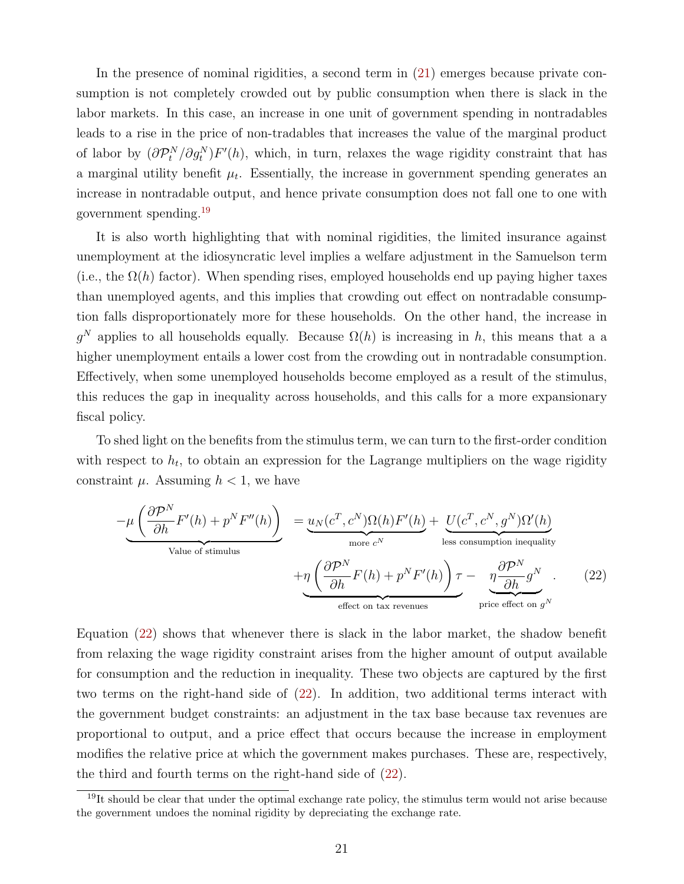In the presence of nominal rigidities, a second term in [\(21\)](#page-22-1) emerges because private consumption is not completely crowded out by public consumption when there is slack in the labor markets. In this case, an increase in one unit of government spending in nontradables leads to a rise in the price of non-tradables that increases the value of the marginal product of labor by  $(\partial \mathcal{P}_t^N / \partial g_t^N) F'(h)$ , which, in turn, relaxes the wage rigidity constraint that has a marginal utility benefit  $\mu_t$ . Essentially, the increase in government spending generates an increase in nontradable output, and hence private consumption does not fall one to one with government spending.[19](#page-23-0)

It is also worth highlighting that with nominal rigidities, the limited insurance against unemployment at the idiosyncratic level implies a welfare adjustment in the Samuelson term (i.e., the  $\Omega(h)$  factor). When spending rises, employed households end up paying higher taxes than unemployed agents, and this implies that crowding out effect on nontradable consumption falls disproportionately more for these households. On the other hand, the increase in  $g^N$  applies to all households equally. Because  $\Omega(h)$  is increasing in h, this means that a a higher unemployment entails a lower cost from the crowding out in nontradable consumption. Effectively, when some unemployed households become employed as a result of the stimulus, this reduces the gap in inequality across households, and this calls for a more expansionary fiscal policy.

To shed light on the benefits from the stimulus term, we can turn to the first-order condition with respect to  $h_t$ , to obtain an expression for the Lagrange multipliers on the wage rigidity constraint  $\mu$ . Assuming  $h < 1$ , we have

<span id="page-23-1"></span>
$$
-\mu \underbrace{\left(\frac{\partial \mathcal{P}^N}{\partial h} F'(h) + p^N F''(h)\right)}_{\text{Value of stimulus}} = \underbrace{u_N(c^T, c^N) \Omega(h) F'(h)}_{\text{more } c^N} + \underbrace{U(c^T, c^N, g^N) \Omega'(h)}_{\text{else consumption inequality}} + \underbrace{\eta \left(\frac{\partial \mathcal{P}^N}{\partial h} F(h) + p^N F'(h)\right) \tau}_{\text{effect on tax revenues}} - \underbrace{\eta \frac{\partial \mathcal{P}^N}{\partial h} g^N}_{\text{price effect on } g^N}.
$$
 (22)

Equation [\(22\)](#page-23-1) shows that whenever there is slack in the labor market, the shadow benefit from relaxing the wage rigidity constraint arises from the higher amount of output available for consumption and the reduction in inequality. These two objects are captured by the first two terms on the right-hand side of [\(22\)](#page-23-1). In addition, two additional terms interact with the government budget constraints: an adjustment in the tax base because tax revenues are proportional to output, and a price effect that occurs because the increase in employment modifies the relative price at which the government makes purchases. These are, respectively, the third and fourth terms on the right-hand side of [\(22\)](#page-23-1).

<span id="page-23-0"></span><sup>&</sup>lt;sup>19</sup>It should be clear that under the optimal exchange rate policy, the stimulus term would not arise because the government undoes the nominal rigidity by depreciating the exchange rate.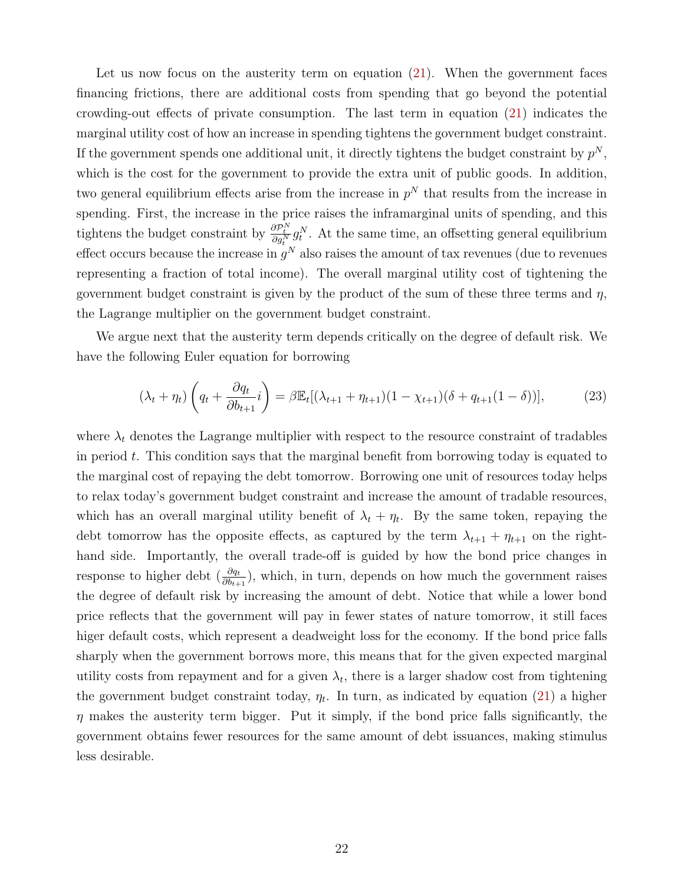Let us now focus on the austerity term on equation [\(21\)](#page-22-1). When the government faces financing frictions, there are additional costs from spending that go beyond the potential crowding-out effects of private consumption. The last term in equation [\(21\)](#page-22-1) indicates the marginal utility cost of how an increase in spending tightens the government budget constraint. If the government spends one additional unit, it directly tightens the budget constraint by  $p^N$ , which is the cost for the government to provide the extra unit of public goods. In addition, two general equilibrium effects arise from the increase in  $p<sup>N</sup>$  that results from the increase in spending. First, the increase in the price raises the inframarginal units of spending, and this tightens the budget constraint by  $\frac{\partial \mathcal{P}_t^N}{\partial g_t^N} g_t^N$ . At the same time, an offsetting general equilibrium effect occurs because the increase in  $g^N$  also raises the amount of tax revenues (due to revenues representing a fraction of total income). The overall marginal utility cost of tightening the government budget constraint is given by the product of the sum of these three terms and  $\eta$ , the Lagrange multiplier on the government budget constraint.

We argue next that the austerity term depends critically on the degree of default risk. We have the following Euler equation for borrowing

$$
(\lambda_t + \eta_t) \left( q_t + \frac{\partial q_t}{\partial b_{t+1}} i \right) = \beta \mathbb{E}_t [(\lambda_{t+1} + \eta_{t+1})(1 - \chi_{t+1})(\delta + q_{t+1}(1 - \delta))], \tag{23}
$$

where  $\lambda_t$  denotes the Lagrange multiplier with respect to the resource constraint of tradables in period  $t$ . This condition says that the marginal benefit from borrowing today is equated to the marginal cost of repaying the debt tomorrow. Borrowing one unit of resources today helps to relax today's government budget constraint and increase the amount of tradable resources, which has an overall marginal utility benefit of  $\lambda_t + \eta_t$ . By the same token, repaying the debt tomorrow has the opposite effects, as captured by the term  $\lambda_{t+1} + \eta_{t+1}$  on the righthand side. Importantly, the overall trade-off is guided by how the bond price changes in response to higher debt  $(\frac{\partial q_t}{\partial b_{t+1}})$ , which, in turn, depends on how much the government raises the degree of default risk by increasing the amount of debt. Notice that while a lower bond price reflects that the government will pay in fewer states of nature tomorrow, it still faces higer default costs, which represent a deadweight loss for the economy. If the bond price falls sharply when the government borrows more, this means that for the given expected marginal utility costs from repayment and for a given  $\lambda_t$ , there is a larger shadow cost from tightening the government budget constraint today,  $\eta_t$ . In turn, as indicated by equation [\(21\)](#page-22-1) a higher  $\eta$  makes the austerity term bigger. Put it simply, if the bond price falls significantly, the government obtains fewer resources for the same amount of debt issuances, making stimulus less desirable.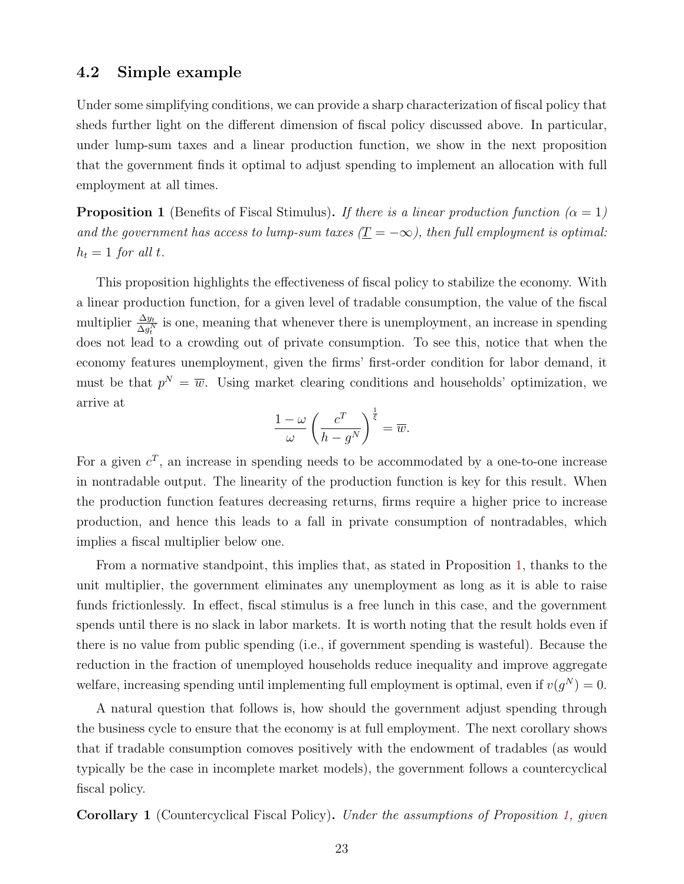### 4.2 Simple example

Under some simplifying conditions, we can provide a sharp characterization of fiscal policy that sheds further light on the different dimension of fiscal policy discussed above. In particular, under lump-sum taxes and a linear production function, we show in the next proposition that the government finds it optimal to adjust spending to implement an allocation with full employment at all times.

<span id="page-25-0"></span>**Proposition 1** (Benefits of Fiscal Stimulus). If there is a linear production function ( $\alpha = 1$ ) and the government has access to lump-sum taxes  $(\underline{T} = -\infty)$ , then full employment is optimal:  $h_t = 1$  for all t.

This proposition highlights the effectiveness of fiscal policy to stabilize the economy. With a linear production function, for a given level of tradable consumption, the value of the fiscal multiplier  $\frac{\Delta y_t}{\Delta g_t^N}$  is one, meaning that whenever there is unemployment, an increase in spending does not lead to a crowding out of private consumption. To see this, notice that when the economy features unemployment, given the firms' first-order condition for labor demand, it must be that  $p^N = \overline{w}$ . Using market clearing conditions and households' optimization, we arrive at

$$
\frac{1-\omega}{\omega} \left( \frac{c^T}{h-g^N} \right)^{\frac{1}{\xi}} = \overline{w}.
$$

For a given  $c^T$ , an increase in spending needs to be accommodated by a one-to-one increase in nontradable output. The linearity of the production function is key for this result. When the production function features decreasing returns, firms require a higher price to increase production, and hence this leads to a fall in private consumption of nontradables, which implies a fiscal multiplier below one.

From a normative standpoint, this implies that, as stated in Proposition [1,](#page-25-0) thanks to the unit multiplier, the government eliminates any unemployment as long as it is able to raise funds frictionlessly. In effect, fiscal stimulus is a free lunch in this case, and the government spends until there is no slack in labor markets. It is worth noting that the result holds even if there is no value from public spending (i.e., if government spending is wasteful). Because the reduction in the fraction of unemployed households reduce inequality and improve aggregate welfare, increasing spending until implementing full employment is optimal, even if  $v(g^N) = 0$ .

A natural question that follows is, how should the government adjust spending through the business cycle to ensure that the economy is at full employment. The next corollary shows that if tradable consumption comoves positively with the endowment of tradables (as would typically be the case in incomplete market models), the government follows a countercyclical fiscal policy.

Corollary 1 (Countercyclical Fiscal Policy). Under the assumptions of Proposition [1,](#page-25-0) given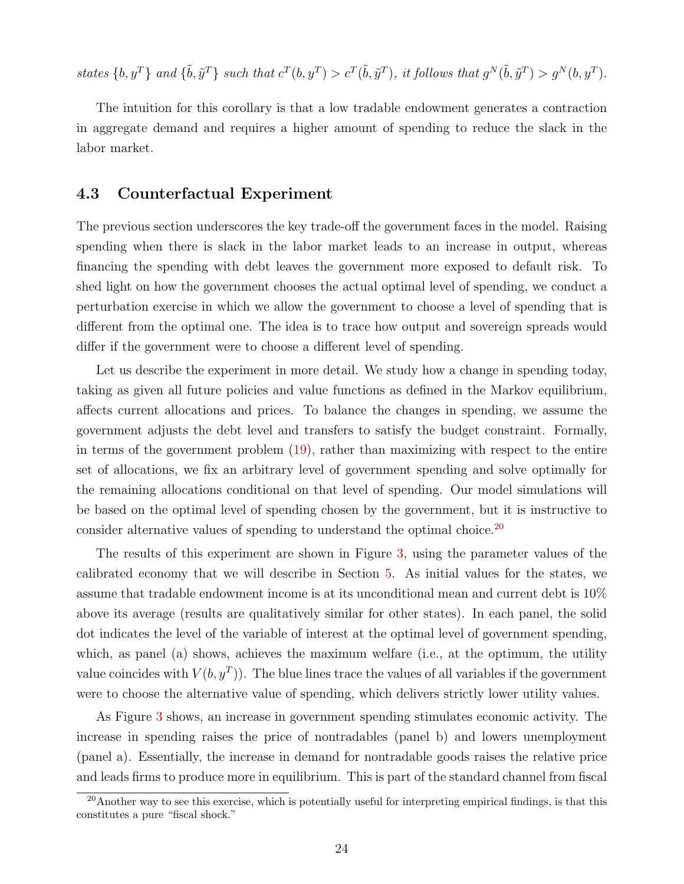states  $\{b, y^T\}$  and  $\{\tilde{b}, \tilde{y}^T\}$  such that  $c^T(b, y^T) > c^T(\tilde{b}, \tilde{y}^T)$ , it follows that  $g^N(\tilde{b}, \tilde{y}^T) > g^N(b, y^T)$ .

The intuition for this corollary is that a low tradable endowment generates a contraction in aggregate demand and requires a higher amount of spending to reduce the slack in the labor market.

#### 4.3 Counterfactual Experiment

The previous section underscores the key trade-off the government faces in the model. Raising spending when there is slack in the labor market leads to an increase in output, whereas financing the spending with debt leaves the government more exposed to default risk. To shed light on how the government chooses the actual optimal level of spending, we conduct a perturbation exercise in which we allow the government to choose a level of spending that is different from the optimal one. The idea is to trace how output and sovereign spreads would differ if the government were to choose a different level of spending.

Let us describe the experiment in more detail. We study how a change in spending today, taking as given all future policies and value functions as defined in the Markov equilibrium, affects current allocations and prices. To balance the changes in spending, we assume the government adjusts the debt level and transfers to satisfy the budget constraint. Formally, in terms of the government problem [\(19\)](#page-21-1), rather than maximizing with respect to the entire set of allocations, we fix an arbitrary level of government spending and solve optimally for the remaining allocations conditional on that level of spending. Our model simulations will be based on the optimal level of spending chosen by the government, but it is instructive to consider alternative values of spending to understand the optimal choice.<sup>[20](#page-26-0)</sup>

The results of this experiment are shown in Figure [3,](#page-27-0) using the parameter values of the calibrated economy that we will describe in Section [5.](#page-28-0) As initial values for the states, we assume that tradable endowment income is at its unconditional mean and current debt is 10% above its average (results are qualitatively similar for other states). In each panel, the solid dot indicates the level of the variable of interest at the optimal level of government spending, which, as panel (a) shows, achieves the maximum welfare (i.e., at the optimum, the utility value coincides with  $V(b, y^T)$ ). The blue lines trace the values of all variables if the government were to choose the alternative value of spending, which delivers strictly lower utility values.

As Figure [3](#page-27-0) shows, an increase in government spending stimulates economic activity. The increase in spending raises the price of nontradables (panel b) and lowers unemployment (panel a). Essentially, the increase in demand for nontradable goods raises the relative price and leads firms to produce more in equilibrium. This is part of the standard channel from fiscal

<span id="page-26-0"></span> $^{20}$ Another way to see this exercise, which is potentially useful for interpreting empirical findings, is that this constitutes a pure "fiscal shock."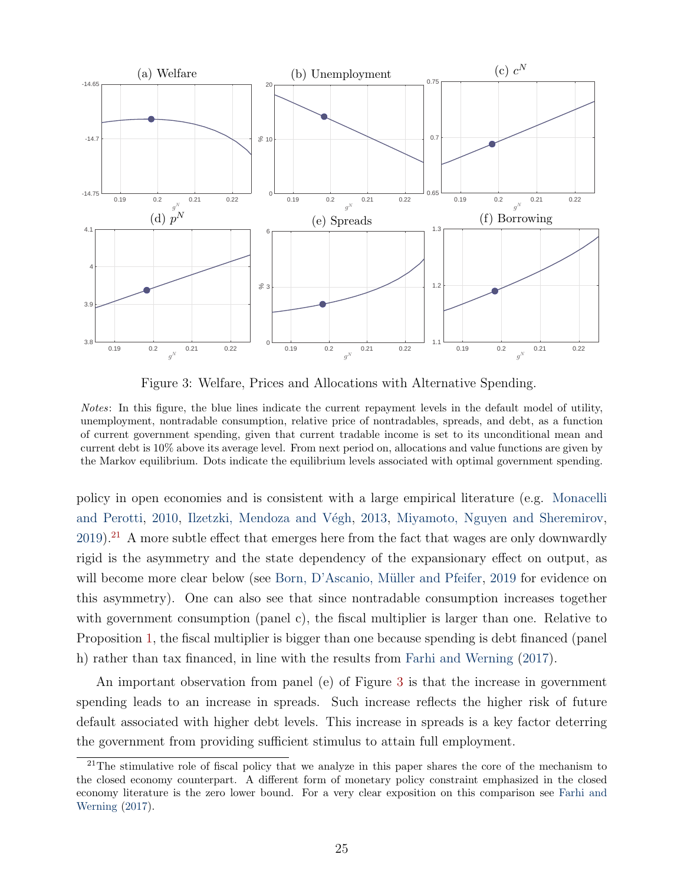

<span id="page-27-0"></span>Figure 3: Welfare, Prices and Allocations with Alternative Spending.

Notes: In this figure, the blue lines indicate the current repayment levels in the default model of utility, unemployment, nontradable consumption, relative price of nontradables, spreads, and debt, as a function of current government spending, given that current tradable income is set to its unconditional mean and current debt is 10% above its average level. From next period on, allocations and value functions are given by the Markov equilibrium. Dots indicate the equilibrium levels associated with optimal government spending.

policy in open economies and is consistent with a large empirical literature (e.g. [Monacelli](#page-47-10) [and Perotti,](#page-47-10) [2010,](#page-47-10) Ilzetzki, Mendoza and Végh, [2013,](#page-47-11) [Miyamoto, Nguyen and Sheremirov,](#page-47-12)  $2019$ .<sup>[21](#page-27-1)</sup> A more subtle effect that emerges here from the fact that wages are only downwardly rigid is the asymmetry and the state dependency of the expansionary effect on output, as will become more clear below (see Born, D'Ascanio, Müller and Pfeifer, [2019](#page-44-12) for evidence on this asymmetry). One can also see that since nontradable consumption increases together with government consumption (panel c), the fiscal multiplier is larger than one. Relative to Proposition [1,](#page-25-0) the fiscal multiplier is bigger than one because spending is debt financed (panel h) rather than tax financed, in line with the results from [Farhi and Werning](#page-45-3) [\(2017\)](#page-45-3).

An important observation from panel (e) of Figure [3](#page-27-0) is that the increase in government spending leads to an increase in spreads. Such increase reflects the higher risk of future default associated with higher debt levels. This increase in spreads is a key factor deterring the government from providing sufficient stimulus to attain full employment.

<span id="page-27-1"></span><sup>&</sup>lt;sup>21</sup>The stimulative role of fiscal policy that we analyze in this paper shares the core of the mechanism to the closed economy counterpart. A different form of monetary policy constraint emphasized in the closed economy literature is the zero lower bound. For a very clear exposition on this comparison see [Farhi and](#page-45-3) [Werning](#page-45-3) [\(2017\)](#page-45-3).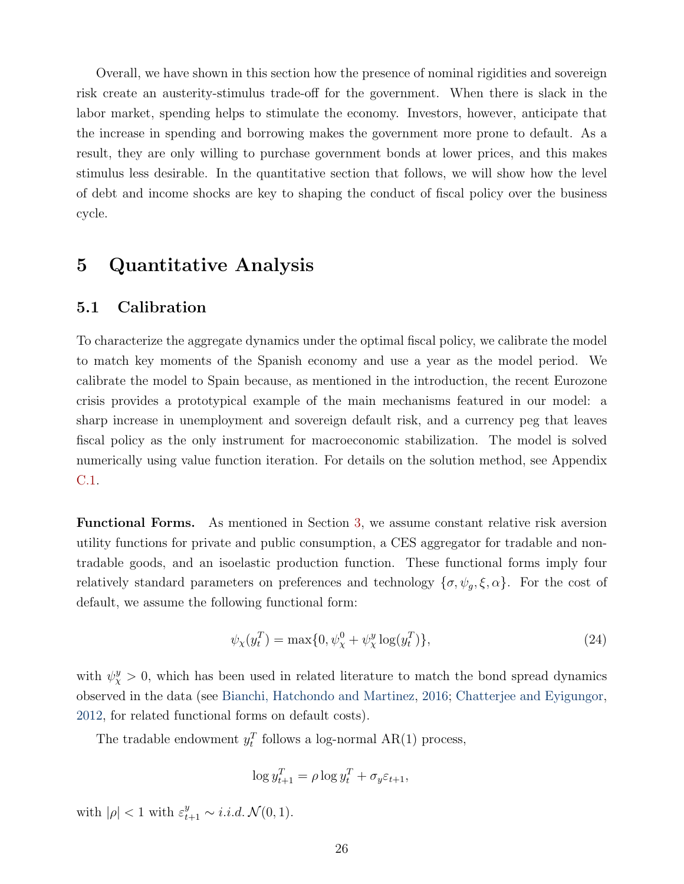Overall, we have shown in this section how the presence of nominal rigidities and sovereign risk create an austerity-stimulus trade-off for the government. When there is slack in the labor market, spending helps to stimulate the economy. Investors, however, anticipate that the increase in spending and borrowing makes the government more prone to default. As a result, they are only willing to purchase government bonds at lower prices, and this makes stimulus less desirable. In the quantitative section that follows, we will show how the level of debt and income shocks are key to shaping the conduct of fiscal policy over the business cycle.

### <span id="page-28-0"></span>5 Quantitative Analysis

### 5.1 Calibration

To characterize the aggregate dynamics under the optimal fiscal policy, we calibrate the model to match key moments of the Spanish economy and use a year as the model period. We calibrate the model to Spain because, as mentioned in the introduction, the recent Eurozone crisis provides a prototypical example of the main mechanisms featured in our model: a sharp increase in unemployment and sovereign default risk, and a currency peg that leaves fiscal policy as the only instrument for macroeconomic stabilization. The model is solved numerically using value function iteration. For details on the solution method, see Appendix [C.1.](#page-13-3)

Functional Forms. As mentioned in Section [3,](#page-13-0) we assume constant relative risk aversion utility functions for private and public consumption, a CES aggregator for tradable and nontradable goods, and an isoelastic production function. These functional forms imply four relatively standard parameters on preferences and technology  $\{\sigma, \psi_g, \xi, \alpha\}$ . For the cost of default, we assume the following functional form:

$$
\psi_{\chi}(y_t^T) = \max\{0, \psi_{\chi}^0 + \psi_{\chi}^y \log(y_t^T)\},\tag{24}
$$

with  $\psi_{\chi}^{y} > 0$ , which has been used in related literature to match the bond spread dynamics observed in the data (see [Bianchi, Hatchondo and Martinez,](#page-44-13) [2016;](#page-44-13) [Chatterjee and Eyigungor,](#page-44-8) [2012,](#page-44-8) for related functional forms on default costs).

The tradable endowment  $y_t^T$  follows a log-normal AR(1) process,

$$
\log y_{t+1}^T = \rho \log y_t^T + \sigma_y \varepsilon_{t+1},
$$

with  $|\rho| < 1$  with  $\varepsilon_{t+1}^y \sim i.i.d. \mathcal{N}(0, 1)$ .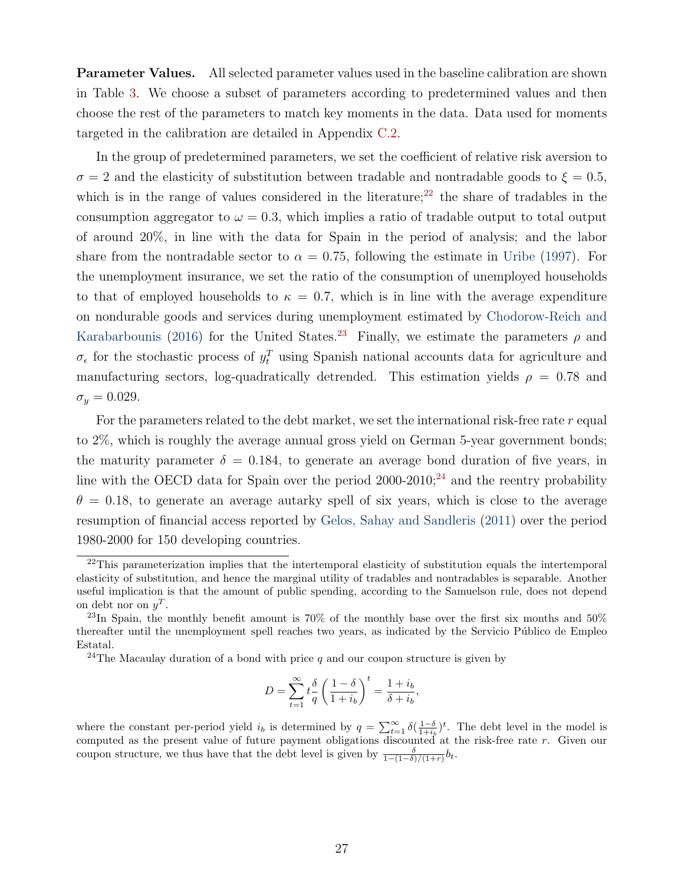Parameter Values. All selected parameter values used in the baseline calibration are shown in Table [3.](#page-30-0) We choose a subset of parameters according to predetermined values and then choose the rest of the parameters to match key moments in the data. Data used for moments targeted in the calibration are detailed in Appendix [C.2.](#page-15-1)

In the group of predetermined parameters, we set the coefficient of relative risk aversion to  $\sigma = 2$  and the elasticity of substitution between tradable and nontradable goods to  $\xi = 0.5$ , which is in the range of values considered in the literature;<sup>[22](#page-29-0)</sup> the share of tradables in the consumption aggregator to  $\omega = 0.3$ , which implies a ratio of tradable output to total output of around 20%, in line with the data for Spain in the period of analysis; and the labor share from the nontradable sector to  $\alpha = 0.75$ , following the estimate in [Uribe](#page-48-8) [\(1997\)](#page-48-8). For the unemployment insurance, we set the ratio of the consumption of unemployed households to that of employed households to  $\kappa = 0.7$ , which is in line with the average expenditure on nondurable goods and services during unemployment estimated by [Chodorow-Reich and](#page-45-12) [Karabarbounis](#page-45-12) [\(2016\)](#page-45-12) for the United States.<sup>[23](#page-29-1)</sup> Finally, we estimate the parameters  $\rho$  and  $\sigma_{\epsilon}$  for the stochastic process of  $y_t^T$  using Spanish national accounts data for agriculture and manufacturing sectors, log-quadratically detrended. This estimation yields  $\rho = 0.78$  and  $\sigma_y = 0.029$ .

For the parameters related to the debt market, we set the international risk-free rate  $r$  equal to 2%, which is roughly the average annual gross yield on German 5-year government bonds; the maturity parameter  $\delta = 0.184$ , to generate an average bond duration of five years, in line with the OECD data for Spain over the period  $2000-2010$ ;<sup>[24](#page-29-2)</sup> and the reentry probability  $\theta = 0.18$ , to generate an average autarky spell of six years, which is close to the average resumption of financial access reported by [Gelos, Sahay and Sandleris](#page-46-11) [\(2011\)](#page-46-11) over the period 1980-2000 for 150 developing countries.

$$
D = \sum_{t=1}^{\infty} t \frac{\delta}{q} \left( \frac{1-\delta}{1+i_b} \right)^t = \frac{1+i_b}{\delta + i_b},
$$

where the constant per-period yield  $i_b$  is determined by  $q = \sum_{t=1}^{\infty} \delta(\frac{1-\delta}{1+i_b})^t$ . The debt level in the model is computed as the present value of future payment obligations discounted at the risk-free rate r. Given our coupon structure, we thus have that the debt level is given by  $\frac{\delta}{1-(1-\delta)/(1+r)}b_t$ .

<span id="page-29-0"></span><sup>&</sup>lt;sup>22</sup>This parameterization implies that the intertemporal elasticity of substitution equals the intertemporal elasticity of substitution, and hence the marginal utility of tradables and nontradables is separable. Another useful implication is that the amount of public spending, according to the Samuelson rule, does not depend on debt nor on  $y^T$ .

<span id="page-29-1"></span><sup>&</sup>lt;sup>23</sup>In Spain, the monthly benefit amount is 70% of the monthly base over the first six months and 50% thereafter until the unemployment spell reaches two years, as indicated by the Servicio Público de Empleo Estatal.

<span id="page-29-2"></span><sup>&</sup>lt;sup>24</sup>The Macaulay duration of a bond with price q and our coupon structure is given by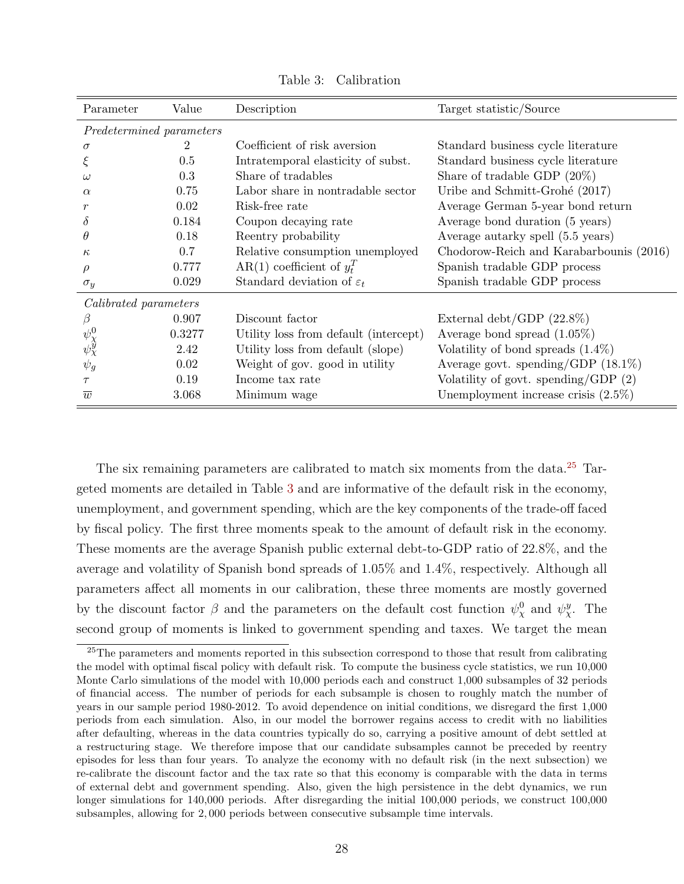| Parameter                    | Value  | Description                           | Target statistic/Source                 |
|------------------------------|--------|---------------------------------------|-----------------------------------------|
| Predetermined parameters     |        |                                       |                                         |
| $\sigma$                     | 2      | Coefficient of risk aversion          | Standard business cycle literature      |
| ξ                            | 0.5    | Intratemporal elasticity of subst.    | Standard business cycle literature      |
| $\omega$                     | 0.3    | Share of tradables                    | Share of tradable GDP $(20\%)$          |
| $\alpha$                     | 0.75   | Labor share in nontradable sector     | Uribe and Schmitt-Grohé (2017)          |
|                              | 0.02   | Risk-free rate                        | Average German 5-year bond return       |
| $\delta$                     | 0.184  | Coupon decaying rate                  | Average bond duration (5 years)         |
| $\theta$                     | 0.18   | Reentry probability                   | Average autarky spell (5.5 years)       |
| $\kappa$                     | 0.7    | Relative consumption unemployed       | Chodorow-Reich and Karabarbounis (2016) |
| $\rho$                       | 0.777  | AR(1) coefficient of $y_t^T$          | Spanish tradable GDP process            |
| $\sigma_y$                   | 0.029  | Standard deviation of $\varepsilon_t$ | Spanish tradable GDP process            |
| <i>Calibrated parameters</i> |        |                                       |                                         |
| ß                            | 0.907  | Discount factor                       | External debt/GDP $(22.8\%)$            |
|                              | 0.3277 | Utility loss from default (intercept) | Average bond spread $(1.05\%)$          |
| $\psi^0_\chi\ \psi^0_\chi$   | 2.42   | Utility loss from default (slope)     | Volatility of bond spreads $(1.4\%)$    |
| $\psi_g$                     | 0.02   | Weight of gov. good in utility        | Average govt. spending/GDP $(18.1\%)$   |
| $\tau$                       | 0.19   | Income tax rate                       | Volatility of govt. spending/GDP $(2)$  |
| $\overline{w}$               | 3.068  | Minimum wage                          | Unemployment increase crisis $(2.5\%)$  |

<span id="page-30-0"></span>Table 3: Calibration

The six remaining parameters are calibrated to match six moments from the data.<sup>[25](#page-30-1)</sup> Targeted moments are detailed in Table [3](#page-30-0) and are informative of the default risk in the economy, unemployment, and government spending, which are the key components of the trade-off faced by fiscal policy. The first three moments speak to the amount of default risk in the economy. These moments are the average Spanish public external debt-to-GDP ratio of 22.8%, and the average and volatility of Spanish bond spreads of 1.05% and 1.4%, respectively. Although all parameters affect all moments in our calibration, these three moments are mostly governed by the discount factor  $\beta$  and the parameters on the default cost function  $\psi_{\chi}^0$  and  $\psi_{\chi}^y$ . The second group of moments is linked to government spending and taxes. We target the mean

<span id="page-30-1"></span><sup>&</sup>lt;sup>25</sup>The parameters and moments reported in this subsection correspond to those that result from calibrating the model with optimal fiscal policy with default risk. To compute the business cycle statistics, we run 10,000 Monte Carlo simulations of the model with 10,000 periods each and construct 1,000 subsamples of 32 periods of financial access. The number of periods for each subsample is chosen to roughly match the number of years in our sample period 1980-2012. To avoid dependence on initial conditions, we disregard the first 1,000 periods from each simulation. Also, in our model the borrower regains access to credit with no liabilities after defaulting, whereas in the data countries typically do so, carrying a positive amount of debt settled at a restructuring stage. We therefore impose that our candidate subsamples cannot be preceded by reentry episodes for less than four years. To analyze the economy with no default risk (in the next subsection) we re-calibrate the discount factor and the tax rate so that this economy is comparable with the data in terms of external debt and government spending. Also, given the high persistence in the debt dynamics, we run longer simulations for 140,000 periods. After disregarding the initial 100,000 periods, we construct 100,000 subsamples, allowing for 2, 000 periods between consecutive subsample time intervals.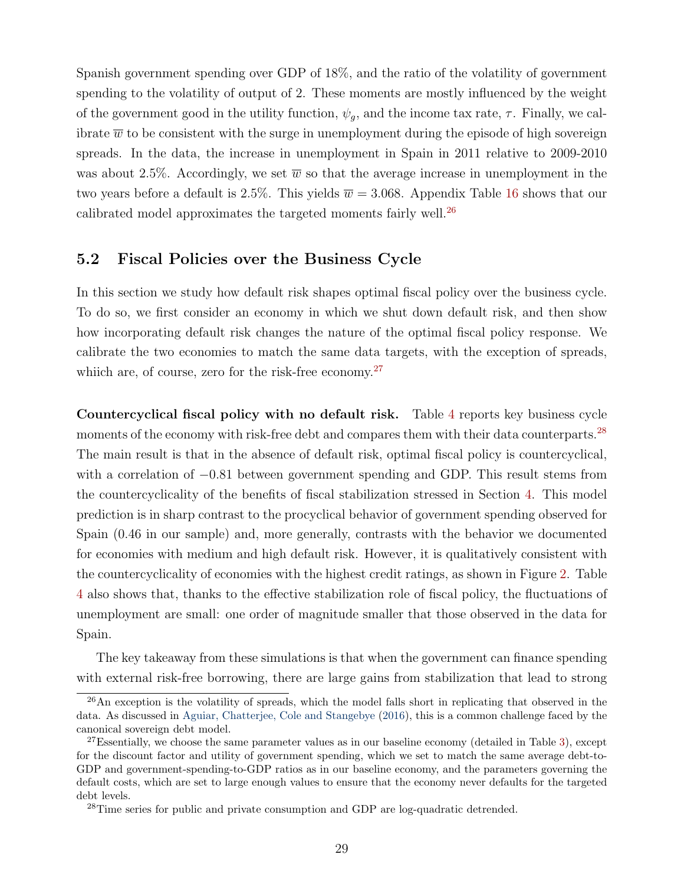Spanish government spending over GDP of 18%, and the ratio of the volatility of government spending to the volatility of output of 2. These moments are mostly influenced by the weight of the government good in the utility function,  $\psi_q$ , and the income tax rate,  $\tau$ . Finally, we calibrate  $\overline{w}$  to be consistent with the surge in unemployment during the episode of high sovereign spreads. In the data, the increase in unemployment in Spain in 2011 relative to 2009-2010 was about 2.5%. Accordingly, we set  $\overline{w}$  so that the average increase in unemployment in the two years before a default is 2.5%. This yields  $\overline{w} = 3.068$ . Appendix Table [16](#page-57-0) shows that our calibrated model approximates the targeted moments fairly well. $^{26}$  $^{26}$  $^{26}$ 

### <span id="page-31-3"></span>5.2 Fiscal Policies over the Business Cycle

In this section we study how default risk shapes optimal fiscal policy over the business cycle. To do so, we first consider an economy in which we shut down default risk, and then show how incorporating default risk changes the nature of the optimal fiscal policy response. We calibrate the two economies to match the same data targets, with the exception of spreads, whiich are, of course, zero for the risk-free economy.<sup>[27](#page-31-1)</sup>

Countercyclical fiscal policy with no default risk. Table [4](#page-32-0) reports key business cycle moments of the economy with risk-free debt and compares them with their data counterparts.<sup>[28](#page-31-2)</sup> The main result is that in the absence of default risk, optimal fiscal policy is countercyclical, with a correlation of −0.81 between government spending and GDP. This result stems from the countercyclicality of the benefits of fiscal stabilization stressed in Section [4.](#page-22-0) This model prediction is in sharp contrast to the procyclical behavior of government spending observed for Spain (0.46 in our sample) and, more generally, contrasts with the behavior we documented for economies with medium and high default risk. However, it is qualitatively consistent with the countercyclicality of economies with the highest credit ratings, as shown in Figure [2.](#page-10-0) Table [4](#page-32-0) also shows that, thanks to the effective stabilization role of fiscal policy, the fluctuations of unemployment are small: one order of magnitude smaller that those observed in the data for Spain.

The key takeaway from these simulations is that when the government can finance spending with external risk-free borrowing, there are large gains from stabilization that lead to strong

<span id="page-31-0"></span><sup>&</sup>lt;sup>26</sup>An exception is the volatility of spreads, which the model falls short in replicating that observed in the data. As discussed in [Aguiar, Chatterjee, Cole and Stangebye](#page-43-12) [\(2016\)](#page-43-12), this is a common challenge faced by the canonical sovereign debt model.

<span id="page-31-1"></span> $27$ Essentially, we choose the same parameter values as in our baseline economy (detailed in Table [3\)](#page-30-0), except for the discount factor and utility of government spending, which we set to match the same average debt-to-GDP and government-spending-to-GDP ratios as in our baseline economy, and the parameters governing the default costs, which are set to large enough values to ensure that the economy never defaults for the targeted debt levels.

<span id="page-31-2"></span><sup>&</sup>lt;sup>28</sup>Time series for public and private consumption and GDP are log-quadratic detrended.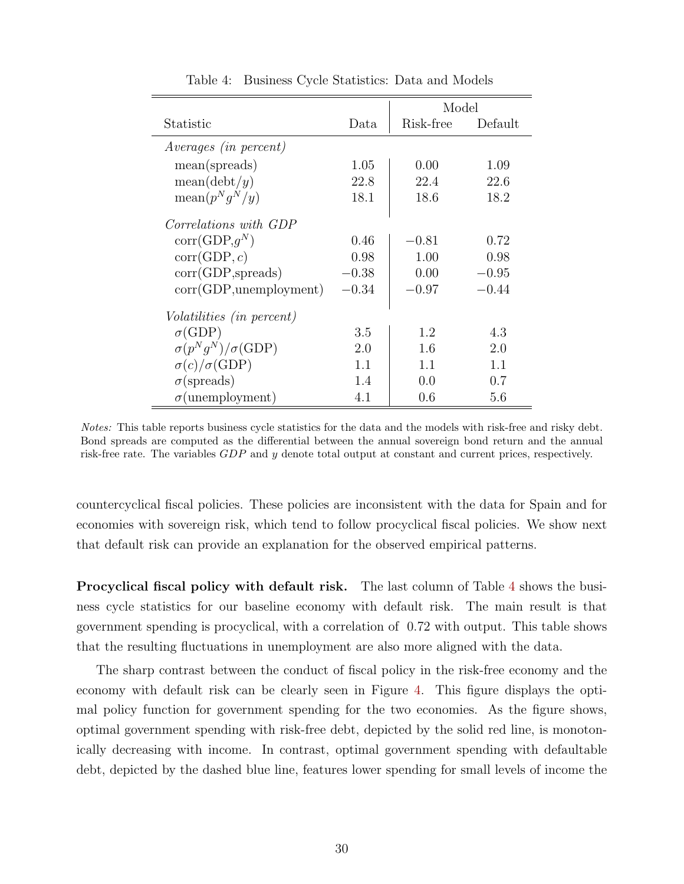|                                     |         | Model     |         |
|-------------------------------------|---------|-----------|---------|
| Statistic                           | Data    | Risk-free | Default |
| <i>Averages (in percent)</i>        |         |           |         |
| mean(spreads)                       | 1.05    | 0.00      | 1.09    |
| mean(debt/y)                        | 22.8    | 22.4      | 22.6    |
| $\text{mean}(p^Nq^N/y)$             | 18.1    | 18.6      | 18.2    |
| Correlations with GDP               |         |           |         |
| $corr(GDP,q^N)$                     | 0.46    | $-0.81$   | 0.72    |
| corr(GDP, c)                        | 0.98    | 1.00      | 0.98    |
| $corr(GDP,$ spreads)                | $-0.38$ | 0.00      | $-0.95$ |
| corr(GDP,unemployment)              | $-0.34$ | $-0.97$   | $-0.44$ |
| <i>Volatilities (in percent)</i>    |         |           |         |
| $\sigma$ (GDP)                      | 3.5     | 1.2       | 4.3     |
| $\sigma(p^Nq^N)/\sigma(\text{GDP})$ | 2.0     | 1.6       | 2.0     |
| $\sigma(c)/\sigma(\text{GDP})$      | 1.1     | 1.1       | 1.1     |
| $\sigma$ (spreads)                  | 1.4     | 0.0       | 0.7     |
| $\sigma$ (unemployment)             | 4.1     | 0.6       | 5.6     |

<span id="page-32-0"></span>Table 4: Business Cycle Statistics: Data and Models

Notes: This table reports business cycle statistics for the data and the models with risk-free and risky debt. Bond spreads are computed as the differential between the annual sovereign bond return and the annual risk-free rate. The variables GDP and y denote total output at constant and current prices, respectively.

countercyclical fiscal policies. These policies are inconsistent with the data for Spain and for economies with sovereign risk, which tend to follow procyclical fiscal policies. We show next that default risk can provide an explanation for the observed empirical patterns.

Procyclical fiscal policy with default risk. The last column of Table [4](#page-32-0) shows the business cycle statistics for our baseline economy with default risk. The main result is that government spending is procyclical, with a correlation of 0.72 with output. This table shows that the resulting fluctuations in unemployment are also more aligned with the data.

The sharp contrast between the conduct of fiscal policy in the risk-free economy and the economy with default risk can be clearly seen in Figure [4.](#page-33-0) This figure displays the optimal policy function for government spending for the two economies. As the figure shows, optimal government spending with risk-free debt, depicted by the solid red line, is monotonically decreasing with income. In contrast, optimal government spending with defaultable debt, depicted by the dashed blue line, features lower spending for small levels of income the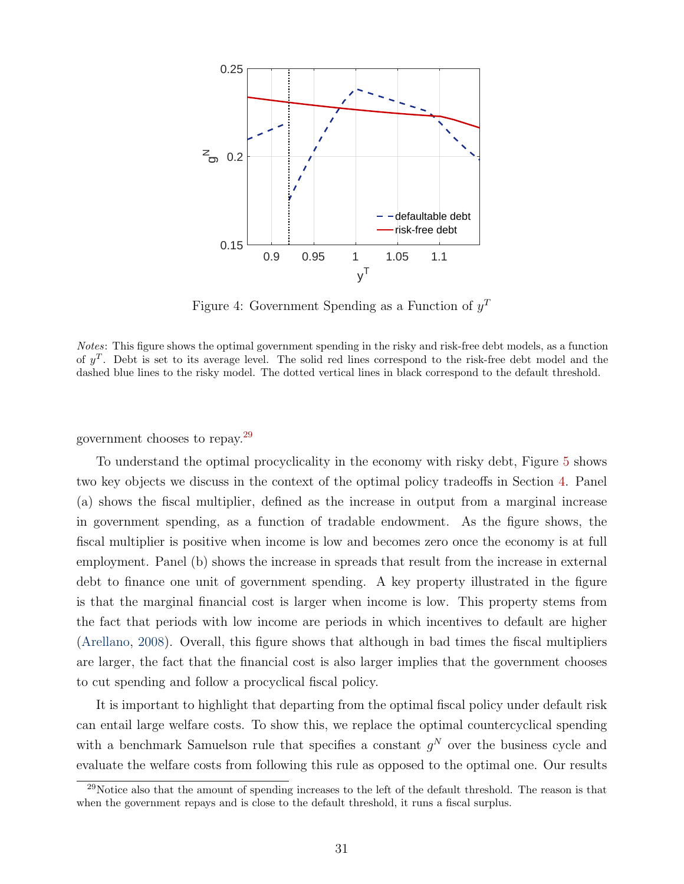

<span id="page-33-0"></span>Figure 4: Government Spending as a Function of  $y<sup>T</sup>$ 

Notes: This figure shows the optimal government spending in the risky and risk-free debt models, as a function of  $y^T$ . Debt is set to its average level. The solid red lines correspond to the risk-free debt model and the dashed blue lines to the risky model. The dotted vertical lines in black correspond to the default threshold.

government chooses to repay.[29](#page-33-1)

To understand the optimal procyclicality in the economy with risky debt, Figure [5](#page-34-0) shows two key objects we discuss in the context of the optimal policy tradeoffs in Section [4.](#page-22-0) Panel (a) shows the fiscal multiplier, defined as the increase in output from a marginal increase in government spending, as a function of tradable endowment. As the figure shows, the fiscal multiplier is positive when income is low and becomes zero once the economy is at full employment. Panel (b) shows the increase in spreads that result from the increase in external debt to finance one unit of government spending. A key property illustrated in the figure is that the marginal financial cost is larger when income is low. This property stems from the fact that periods with low income are periods in which incentives to default are higher [\(Arellano,](#page-43-1) [2008\)](#page-43-1). Overall, this figure shows that although in bad times the fiscal multipliers are larger, the fact that the financial cost is also larger implies that the government chooses to cut spending and follow a procyclical fiscal policy.

It is important to highlight that departing from the optimal fiscal policy under default risk can entail large welfare costs. To show this, we replace the optimal countercyclical spending with a benchmark Samuelson rule that specifies a constant  $g<sup>N</sup>$  over the business cycle and evaluate the welfare costs from following this rule as opposed to the optimal one. Our results

<span id="page-33-1"></span> $29$ Notice also that the amount of spending increases to the left of the default threshold. The reason is that when the government repays and is close to the default threshold, it runs a fiscal surplus.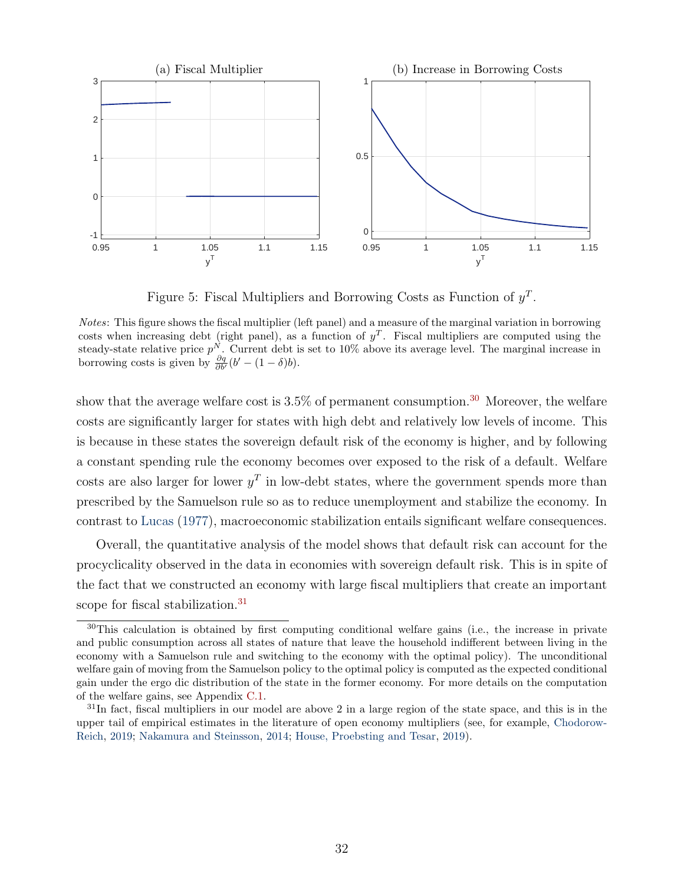

<span id="page-34-0"></span>Figure 5: Fiscal Multipliers and Borrowing Costs as Function of  $y<sup>T</sup>$ .

Notes: This figure shows the fiscal multiplier (left panel) and a measure of the marginal variation in borrowing costs when increasing debt (right panel), as a function of  $y<sup>T</sup>$ . Fiscal multipliers are computed using the steady-state relative price  $p^N$ . Current debt is set to 10% above its average level. The marginal increase in borrowing costs is given by  $\frac{\partial q}{\partial b'}(b' - (1 - \delta)b)$ .

show that the average welfare cost is  $3.5\%$  of permanent consumption.<sup>[30](#page-34-1)</sup> Moreover, the welfare costs are significantly larger for states with high debt and relatively low levels of income. This is because in these states the sovereign default risk of the economy is higher, and by following a constant spending rule the economy becomes over exposed to the risk of a default. Welfare costs are also larger for lower  $y<sup>T</sup>$  in low-debt states, where the government spends more than prescribed by the Samuelson rule so as to reduce unemployment and stabilize the economy. In contrast to [Lucas](#page-47-13) [\(1977\)](#page-47-13), macroeconomic stabilization entails significant welfare consequences.

Overall, the quantitative analysis of the model shows that default risk can account for the procyclicality observed in the data in economies with sovereign default risk. This is in spite of the fact that we constructed an economy with large fiscal multipliers that create an important scope for fiscal stabilization.<sup>[31](#page-34-2)</sup>

<span id="page-34-1"></span><sup>&</sup>lt;sup>30</sup>This calculation is obtained by first computing conditional welfare gains (i.e., the increase in private and public consumption across all states of nature that leave the household indifferent between living in the economy with a Samuelson rule and switching to the economy with the optimal policy). The unconditional welfare gain of moving from the Samuelson policy to the optimal policy is computed as the expected conditional gain under the ergo dic distribution of the state in the former economy. For more details on the computation of the welfare gains, see Appendix [C.1.](#page-13-3)

<span id="page-34-2"></span> $31$ In fact, fiscal multipliers in our model are above 2 in a large region of the state space, and this is in the upper tail of empirical estimates in the literature of open economy multipliers (see, for example, [Chodorow-](#page-45-13)[Reich,](#page-45-13) [2019;](#page-45-13) [Nakamura and Steinsson,](#page-47-3) [2014;](#page-47-3) [House, Proebsting and Tesar,](#page-46-12) [2019\)](#page-46-12).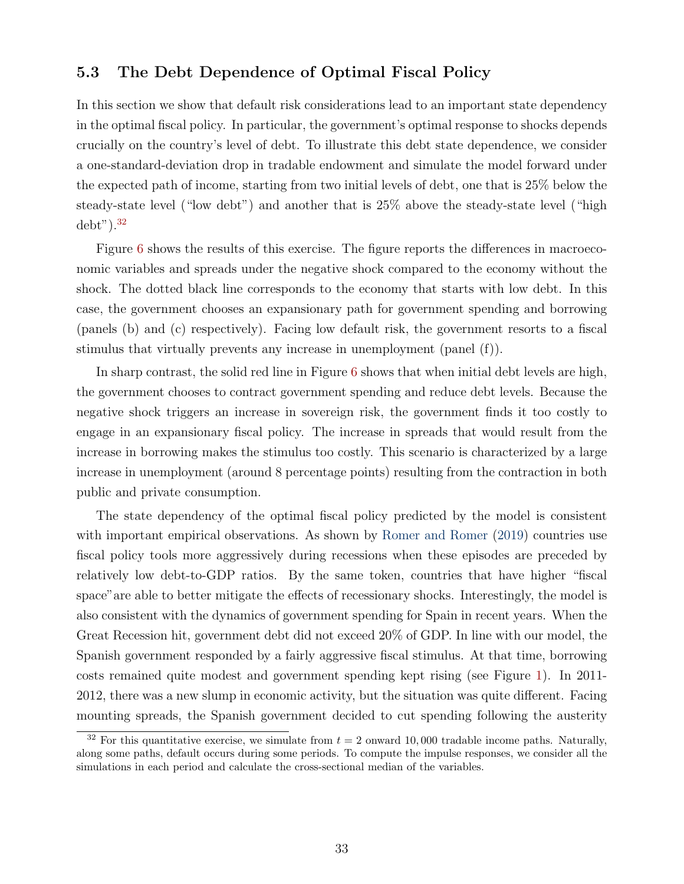### 5.3 The Debt Dependence of Optimal Fiscal Policy

In this section we show that default risk considerations lead to an important state dependency in the optimal fiscal policy. In particular, the government's optimal response to shocks depends crucially on the country's level of debt. To illustrate this debt state dependence, we consider a one-standard-deviation drop in tradable endowment and simulate the model forward under the expected path of income, starting from two initial levels of debt, one that is 25% below the steady-state level ("low debt") and another that is 25% above the steady-state level ("high  $debt$ ").<sup>[32](#page-35-0)</sup>

Figure [6](#page-36-0) shows the results of this exercise. The figure reports the differences in macroeconomic variables and spreads under the negative shock compared to the economy without the shock. The dotted black line corresponds to the economy that starts with low debt. In this case, the government chooses an expansionary path for government spending and borrowing (panels (b) and (c) respectively). Facing low default risk, the government resorts to a fiscal stimulus that virtually prevents any increase in unemployment (panel (f)).

In sharp contrast, the solid red line in Figure [6](#page-36-0) shows that when initial debt levels are high, the government chooses to contract government spending and reduce debt levels. Because the negative shock triggers an increase in sovereign risk, the government finds it too costly to engage in an expansionary fiscal policy. The increase in spreads that would result from the increase in borrowing makes the stimulus too costly. This scenario is characterized by a large increase in unemployment (around 8 percentage points) resulting from the contraction in both public and private consumption.

The state dependency of the optimal fiscal policy predicted by the model is consistent with important empirical observations. As shown by [Romer and Romer](#page-47-2) [\(2019\)](#page-47-2) countries use fiscal policy tools more aggressively during recessions when these episodes are preceded by relatively low debt-to-GDP ratios. By the same token, countries that have higher "fiscal space" are able to better mitigate the effects of recessionary shocks. Interestingly, the model is also consistent with the dynamics of government spending for Spain in recent years. When the Great Recession hit, government debt did not exceed 20% of GDP. In line with our model, the Spanish government responded by a fairly aggressive fiscal stimulus. At that time, borrowing costs remained quite modest and government spending kept rising (see Figure [1\)](#page-3-1). In 2011- 2012, there was a new slump in economic activity, but the situation was quite different. Facing mounting spreads, the Spanish government decided to cut spending following the austerity

<span id="page-35-0"></span><sup>&</sup>lt;sup>32</sup> For this quantitative exercise, we simulate from  $t = 2$  onward 10,000 tradable income paths. Naturally, along some paths, default occurs during some periods. To compute the impulse responses, we consider all the simulations in each period and calculate the cross-sectional median of the variables.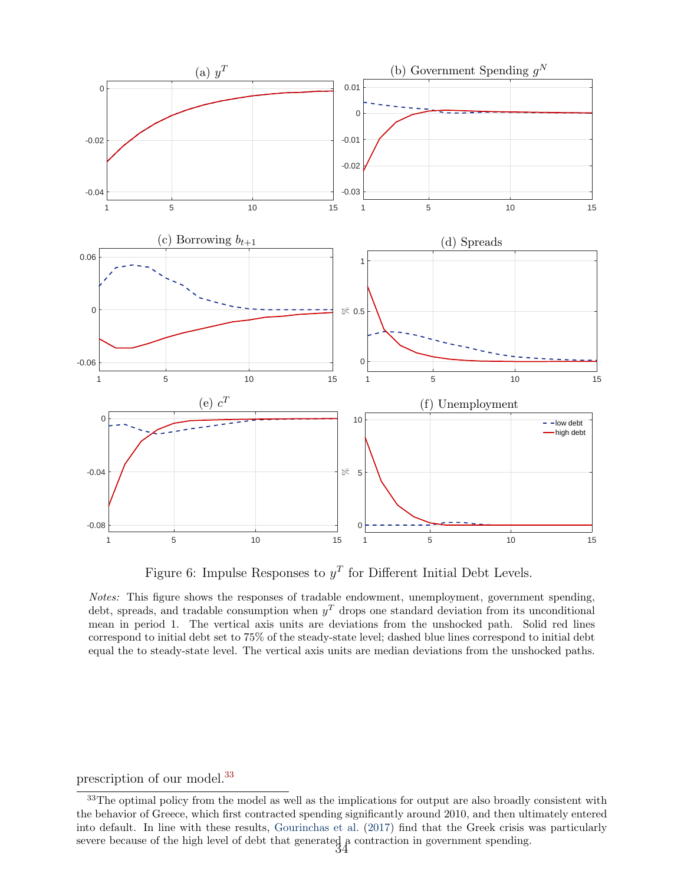

<span id="page-36-0"></span>Figure 6: Impulse Responses to  $y<sup>T</sup>$  for Different Initial Debt Levels.

Notes: This figure shows the responses of tradable endowment, unemployment, government spending, debt, spreads, and tradable consumption when  $y<sup>T</sup>$  drops one standard deviation from its unconditional mean in period 1. The vertical axis units are deviations from the unshocked path. Solid red lines correspond to initial debt set to 75% of the steady-state level; dashed blue lines correspond to initial debt equal the to steady-state level. The vertical axis units are median deviations from the unshocked paths.

#### prescription of our model.[33](#page-36-1)

<span id="page-36-1"></span><sup>&</sup>lt;sup>33</sup>The optimal policy from the model as well as the implications for output are also broadly consistent with the behavior of Greece, which first contracted spending significantly around 2010, and then ultimately entered into default. In line with these results, [Gourinchas et al.](#page-46-4) [\(2017\)](#page-46-4) find that the Greek crisis was particularly severe because of the high level of debt that generated  $\frac{3}{4}$  contraction in government spending.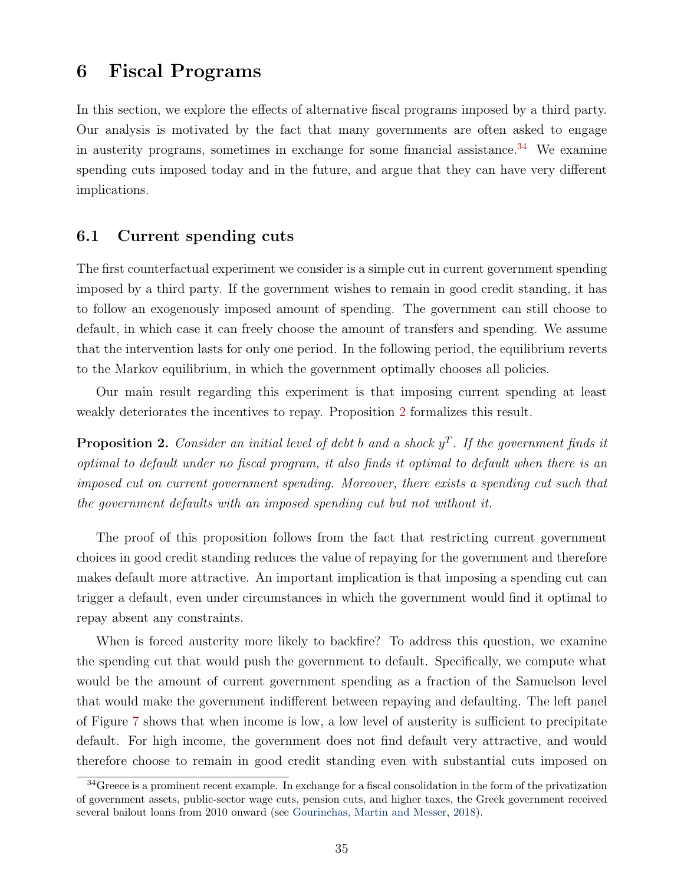### <span id="page-37-0"></span>6 Fiscal Programs

In this section, we explore the effects of alternative fiscal programs imposed by a third party. Our analysis is motivated by the fact that many governments are often asked to engage in austerity programs, sometimes in exchange for some financial assistance.<sup>[34](#page-37-1)</sup> We examine spending cuts imposed today and in the future, and argue that they can have very different implications.

### 6.1 Current spending cuts

The first counterfactual experiment we consider is a simple cut in current government spending imposed by a third party. If the government wishes to remain in good credit standing, it has to follow an exogenously imposed amount of spending. The government can still choose to default, in which case it can freely choose the amount of transfers and spending. We assume that the intervention lasts for only one period. In the following period, the equilibrium reverts to the Markov equilibrium, in which the government optimally chooses all policies.

Our main result regarding this experiment is that imposing current spending at least weakly deteriorates the incentives to repay. Proposition [2](#page-37-2) formalizes this result.

<span id="page-37-2"></span>**Proposition 2.** Consider an initial level of debt b and a shock  $y^T$ . If the government finds it optimal to default under no fiscal program, it also finds it optimal to default when there is an imposed cut on current government spending. Moreover, there exists a spending cut such that the government defaults with an imposed spending cut but not without it.

The proof of this proposition follows from the fact that restricting current government choices in good credit standing reduces the value of repaying for the government and therefore makes default more attractive. An important implication is that imposing a spending cut can trigger a default, even under circumstances in which the government would find it optimal to repay absent any constraints.

When is forced austerity more likely to backfire? To address this question, we examine the spending cut that would push the government to default. Specifically, we compute what would be the amount of current government spending as a fraction of the Samuelson level that would make the government indifferent between repaying and defaulting. The left panel of Figure [7](#page-38-0) shows that when income is low, a low level of austerity is sufficient to precipitate default. For high income, the government does not find default very attractive, and would therefore choose to remain in good credit standing even with substantial cuts imposed on

<span id="page-37-1"></span><sup>&</sup>lt;sup>34</sup>Greece is a prominent recent example. In exchange for a fiscal consolidation in the form of the privatization of government assets, public-sector wage cuts, pension cuts, and higher taxes, the Greek government received several bailout loans from 2010 onward (see [Gourinchas, Martin and Messer,](#page-46-13) [2018\)](#page-46-13).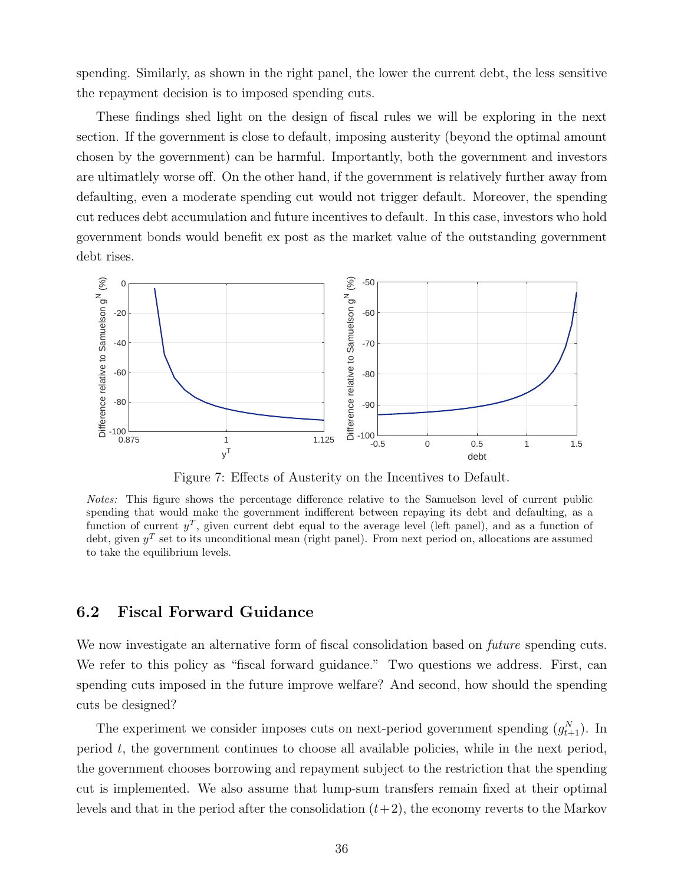spending. Similarly, as shown in the right panel, the lower the current debt, the less sensitive the repayment decision is to imposed spending cuts.

These findings shed light on the design of fiscal rules we will be exploring in the next section. If the government is close to default, imposing austerity (beyond the optimal amount chosen by the government) can be harmful. Importantly, both the government and investors are ultimatlely worse off. On the other hand, if the government is relatively further away from defaulting, even a moderate spending cut would not trigger default. Moreover, the spending cut reduces debt accumulation and future incentives to default. In this case, investors who hold government bonds would benefit ex post as the market value of the outstanding government debt rises.



<span id="page-38-0"></span>Figure 7: Effects of Austerity on the Incentives to Default.

Notes: This figure shows the percentage difference relative to the Samuelson level of current public spending that would make the government indifferent between repaying its debt and defaulting, as a function of current  $y^T$ , given current debt equal to the average level (left panel), and as a function of debt, given  $y<sup>T</sup>$  set to its unconditional mean (right panel). From next period on, allocations are assumed to take the equilibrium levels.

### 6.2 Fiscal Forward Guidance

We now investigate an alternative form of fiscal consolidation based on *future* spending cuts. We refer to this policy as "fiscal forward guidance." Two questions we address. First, can spending cuts imposed in the future improve welfare? And second, how should the spending cuts be designed?

The experiment we consider imposes cuts on next-period government spending  $(g_{t+1}^N)$ . In period t, the government continues to choose all available policies, while in the next period, the government chooses borrowing and repayment subject to the restriction that the spending cut is implemented. We also assume that lump-sum transfers remain fixed at their optimal levels and that in the period after the consolidation  $(t+2)$ , the economy reverts to the Markov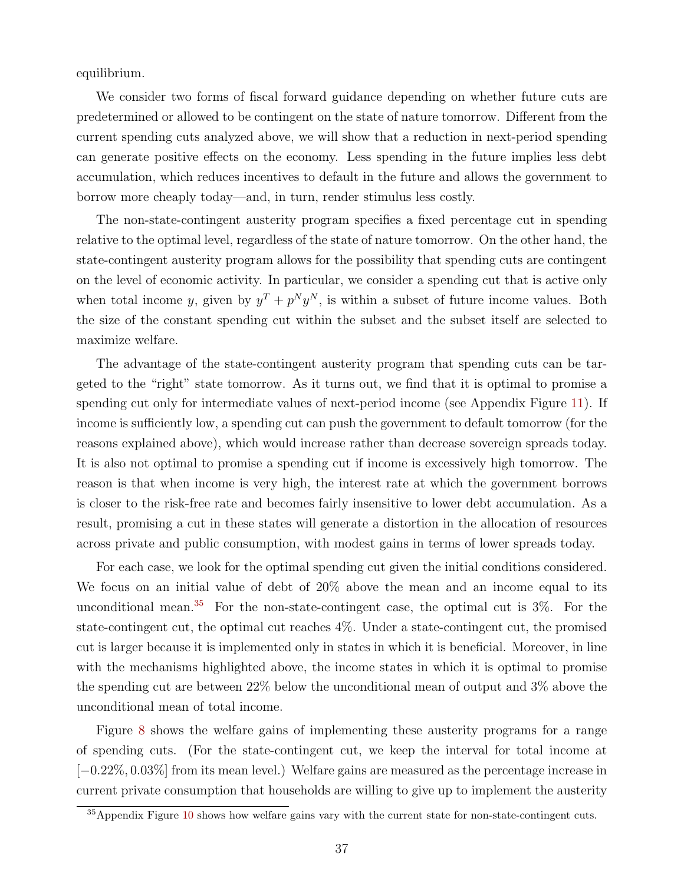equilibrium.

We consider two forms of fiscal forward guidance depending on whether future cuts are predetermined or allowed to be contingent on the state of nature tomorrow. Different from the current spending cuts analyzed above, we will show that a reduction in next-period spending can generate positive effects on the economy. Less spending in the future implies less debt accumulation, which reduces incentives to default in the future and allows the government to borrow more cheaply today—and, in turn, render stimulus less costly.

The non-state-contingent austerity program specifies a fixed percentage cut in spending relative to the optimal level, regardless of the state of nature tomorrow. On the other hand, the state-contingent austerity program allows for the possibility that spending cuts are contingent on the level of economic activity. In particular, we consider a spending cut that is active only when total income y, given by  $y^T + p^N y^N$ , is within a subset of future income values. Both the size of the constant spending cut within the subset and the subset itself are selected to maximize welfare.

The advantage of the state-contingent austerity program that spending cuts can be targeted to the "right" state tomorrow. As it turns out, we find that it is optimal to promise a spending cut only for intermediate values of next-period income (see Appendix Figure [11\)](#page-58-0). If income is sufficiently low, a spending cut can push the government to default tomorrow (for the reasons explained above), which would increase rather than decrease sovereign spreads today. It is also not optimal to promise a spending cut if income is excessively high tomorrow. The reason is that when income is very high, the interest rate at which the government borrows is closer to the risk-free rate and becomes fairly insensitive to lower debt accumulation. As a result, promising a cut in these states will generate a distortion in the allocation of resources across private and public consumption, with modest gains in terms of lower spreads today.

For each case, we look for the optimal spending cut given the initial conditions considered. We focus on an initial value of debt of 20% above the mean and an income equal to its unconditional mean.<sup>[35](#page-39-0)</sup> For the non-state-contingent case, the optimal cut is  $3\%$ . For the state-contingent cut, the optimal cut reaches 4%. Under a state-contingent cut, the promised cut is larger because it is implemented only in states in which it is beneficial. Moreover, in line with the mechanisms highlighted above, the income states in which it is optimal to promise the spending cut are between 22% below the unconditional mean of output and 3% above the unconditional mean of total income.

Figure [8](#page-40-0) shows the welfare gains of implementing these austerity programs for a range of spending cuts. (For the state-contingent cut, we keep the interval for total income at [−0.22%, 0.03%] from its mean level.) Welfare gains are measured as the percentage increase in current private consumption that households are willing to give up to implement the austerity

<span id="page-39-0"></span><sup>&</sup>lt;sup>35</sup>Appendix Figure [10](#page-58-1) shows how welfare gains vary with the current state for non-state-contingent cuts.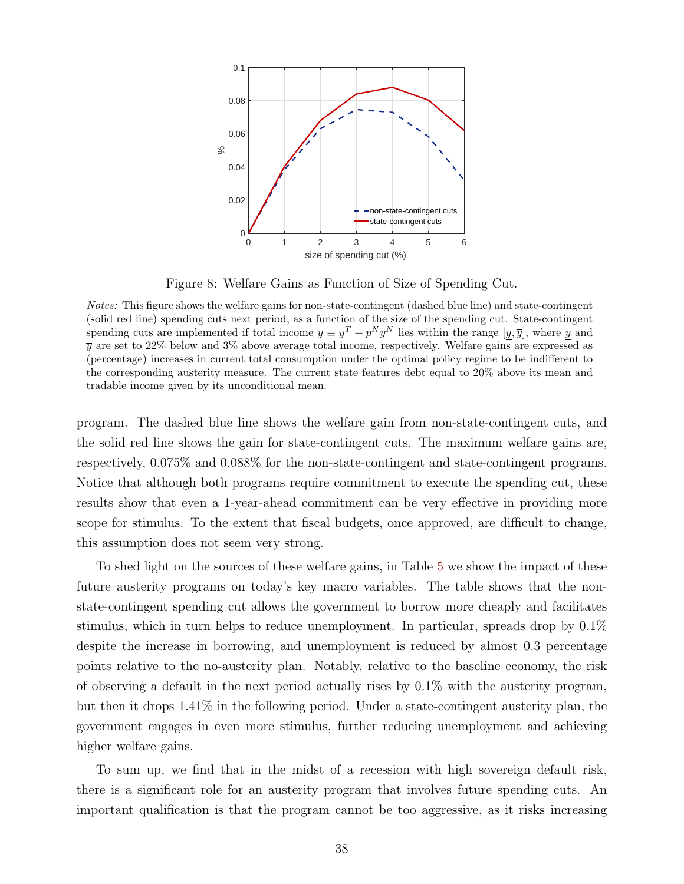

<span id="page-40-0"></span>Figure 8: Welfare Gains as Function of Size of Spending Cut.

Notes: This figure shows the welfare gains for non-state-contingent (dashed blue line) and state-contingent (solid red line) spending cuts next period, as a function of the size of the spending cut. State-contingent spending cuts are implemented if total income  $y \equiv y^T + p^N y^N$  lies within the range  $[y, \overline{y}]$ , where y and  $\bar{y}$  are set to 22% below and 3% above average total income, respectively. Welfare gains are expressed as (percentage) increases in current total consumption under the optimal policy regime to be indifferent to the corresponding austerity measure. The current state features debt equal to 20% above its mean and tradable income given by its unconditional mean.

program. The dashed blue line shows the welfare gain from non-state-contingent cuts, and the solid red line shows the gain for state-contingent cuts. The maximum welfare gains are, respectively, 0.075% and 0.088% for the non-state-contingent and state-contingent programs. Notice that although both programs require commitment to execute the spending cut, these results show that even a 1-year-ahead commitment can be very effective in providing more scope for stimulus. To the extent that fiscal budgets, once approved, are difficult to change, this assumption does not seem very strong.

To shed light on the sources of these welfare gains, in Table [5](#page-41-1) we show the impact of these future austerity programs on today's key macro variables. The table shows that the nonstate-contingent spending cut allows the government to borrow more cheaply and facilitates stimulus, which in turn helps to reduce unemployment. In particular, spreads drop by 0.1% despite the increase in borrowing, and unemployment is reduced by almost 0.3 percentage points relative to the no-austerity plan. Notably, relative to the baseline economy, the risk of observing a default in the next period actually rises by 0.1% with the austerity program, but then it drops 1.41% in the following period. Under a state-contingent austerity plan, the government engages in even more stimulus, further reducing unemployment and achieving higher welfare gains.

To sum up, we find that in the midst of a recession with high sovereign default risk, there is a significant role for an austerity program that involves future spending cuts. An important qualification is that the program cannot be too aggressive, as it risks increasing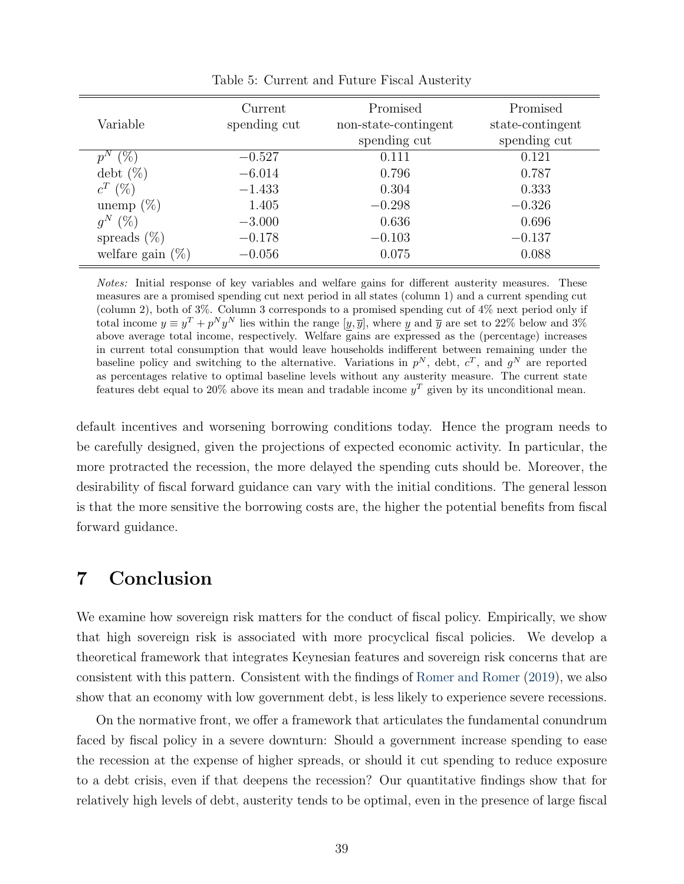|                               | Current      | Promised             | Promised         |
|-------------------------------|--------------|----------------------|------------------|
| Variable                      | spending cut | non-state-contingent | state-contingent |
|                               |              | spending cut         | spending cut     |
| $(\% )$<br>$p^{\prime\prime}$ | $-0.527$     | 0.111                | 0.121            |
| $\mathrm{debt}(\%)$           | $-6.014$     | 0.796                | 0.787            |
| $c^T$ (%)                     | $-1.433$     | 0.304                | 0.333            |
| unemp $(\%)$                  | 1.405        | $-0.298$             | $-0.326$         |
| $q^N$<br>$(\% )$              | $-3.000$     | 0.636                | 0.696            |
| spreads $(\%)$                | $-0.178$     | $-0.103$             | $-0.137$         |
| welfare gain $(\%)$           | $-0.056$     | 0.075                | 0.088            |

<span id="page-41-1"></span>Table 5: Current and Future Fiscal Austerity

Notes: Initial response of key variables and welfare gains for different austerity measures. These measures are a promised spending cut next period in all states (column 1) and a current spending cut (column 2), both of 3%. Column 3 corresponds to a promised spending cut of 4% next period only if total income  $y \equiv y^T + p^N y^N$  lies within the range  $[y, \overline{y}]$ , where y and  $\overline{y}$  are set to 22% below and 3% above average total income, respectively. Welfare gains are expressed as the (percentage) increases in current total consumption that would leave households indifferent between remaining under the baseline policy and switching to the alternative. Variations in  $p^N$ , debt,  $c^T$ , and  $g^N$  are reported as percentages relative to optimal baseline levels without any austerity measure. The current state features debt equal to 20% above its mean and tradable income  $y<sup>T</sup>$  given by its unconditional mean.

default incentives and worsening borrowing conditions today. Hence the program needs to be carefully designed, given the projections of expected economic activity. In particular, the more protracted the recession, the more delayed the spending cuts should be. Moreover, the desirability of fiscal forward guidance can vary with the initial conditions. The general lesson is that the more sensitive the borrowing costs are, the higher the potential benefits from fiscal forward guidance.

### <span id="page-41-0"></span>7 Conclusion

We examine how sovereign risk matters for the conduct of fiscal policy. Empirically, we show that high sovereign risk is associated with more procyclical fiscal policies. We develop a theoretical framework that integrates Keynesian features and sovereign risk concerns that are consistent with this pattern. Consistent with the findings of [Romer and Romer](#page-47-2) [\(2019\)](#page-47-2), we also show that an economy with low government debt, is less likely to experience severe recessions.

On the normative front, we offer a framework that articulates the fundamental conundrum faced by fiscal policy in a severe downturn: Should a government increase spending to ease the recession at the expense of higher spreads, or should it cut spending to reduce exposure to a debt crisis, even if that deepens the recession? Our quantitative findings show that for relatively high levels of debt, austerity tends to be optimal, even in the presence of large fiscal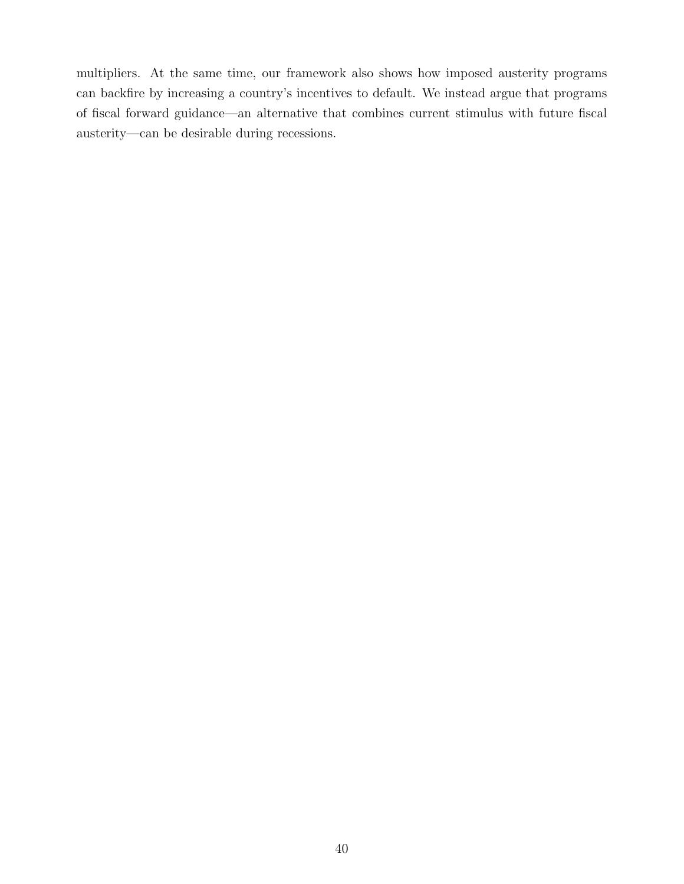multipliers. At the same time, our framework also shows how imposed austerity programs can backfire by increasing a country's incentives to default. We instead argue that programs of fiscal forward guidance—an alternative that combines current stimulus with future fiscal austerity—can be desirable during recessions.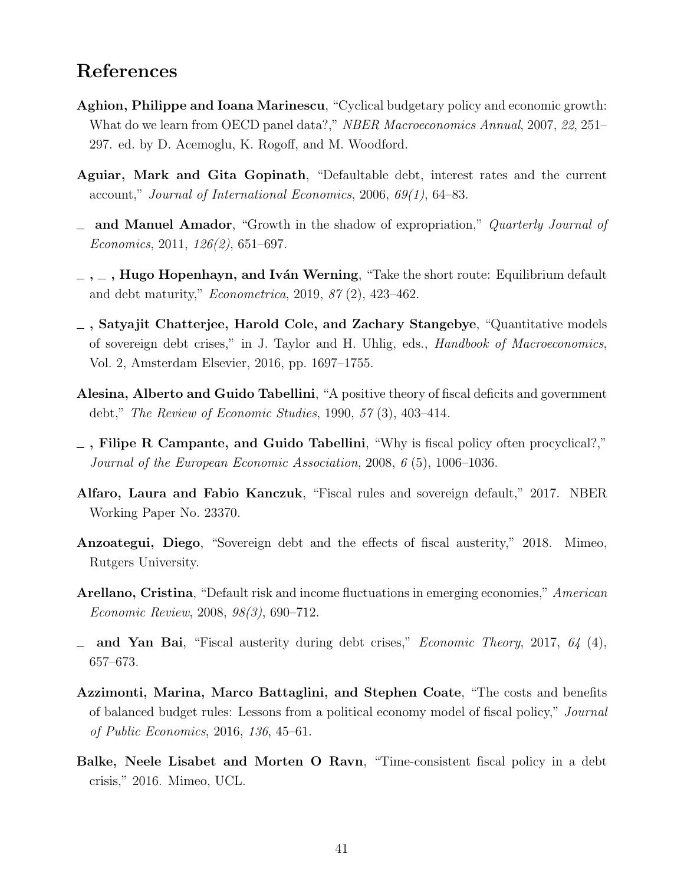### References

- <span id="page-43-11"></span>Aghion, Philippe and Ioana Marinescu, "Cyclical budgetary policy and economic growth: What do we learn from OECD panel data?," NBER Macroeconomics Annual, 2007, 22, 251– 297. ed. by D. Acemoglu, K. Rogoff, and M. Woodford.
- <span id="page-43-0"></span>Aguiar, Mark and Gita Gopinath, "Defaultable debt, interest rates and the current account," Journal of International Economics, 2006, 69(1), 64–83.
- <span id="page-43-3"></span>and Manuel Amador, "Growth in the shadow of expropriation," Quarterly Journal of Economics, 2011, 126(2), 651–697.
- <span id="page-43-5"></span> $, \ldots$ , Hugo Hopenhayn, and Iván Werning, "Take the short route: Equilibrium default and debt maturity," Econometrica, 2019, 87 (2), 423–462.
- <span id="page-43-12"></span>, Satyajit Chatterjee, Harold Cole, and Zachary Stangebye, "Quantitative models of sovereign debt crises," in J. Taylor and H. Uhlig, eds., Handbook of Macroeconomics, Vol. 2, Amsterdam Elsevier, 2016, pp. 1697–1755.
- <span id="page-43-7"></span>Alesina, Alberto and Guido Tabellini, "A positive theory of fiscal deficits and government debt," The Review of Economic Studies, 1990, 57 (3), 403–414.
- <span id="page-43-10"></span> $\overline{\phantom{a}}$ , Filipe R Campante, and Guido Tabellini, "Why is fiscal policy often procyclical?," Journal of the European Economic Association, 2008, 6 (5), 1006–1036.
- <span id="page-43-9"></span>Alfaro, Laura and Fabio Kanczuk, "Fiscal rules and sovereign default," 2017. NBER Working Paper No. 23370.
- <span id="page-43-6"></span>Anzoategui, Diego, "Sovereign debt and the effects of fiscal austerity," 2018. Mimeo, Rutgers University.
- <span id="page-43-1"></span>Arellano, Cristina, "Default risk and income fluctuations in emerging economies," American Economic Review, 2008, 98(3), 690–712.
- <span id="page-43-2"></span> $\equiv$  and Yan Bai, "Fiscal austerity during debt crises," *Economic Theory*, 2017, 64 (4), 657–673.
- <span id="page-43-8"></span>Azzimonti, Marina, Marco Battaglini, and Stephen Coate, "The costs and benefits of balanced budget rules: Lessons from a political economy model of fiscal policy," Journal of Public Economics, 2016, 136, 45–61.
- <span id="page-43-4"></span>Balke, Neele Lisabet and Morten O Ravn, "Time-consistent fiscal policy in a debt crisis," 2016. Mimeo, UCL.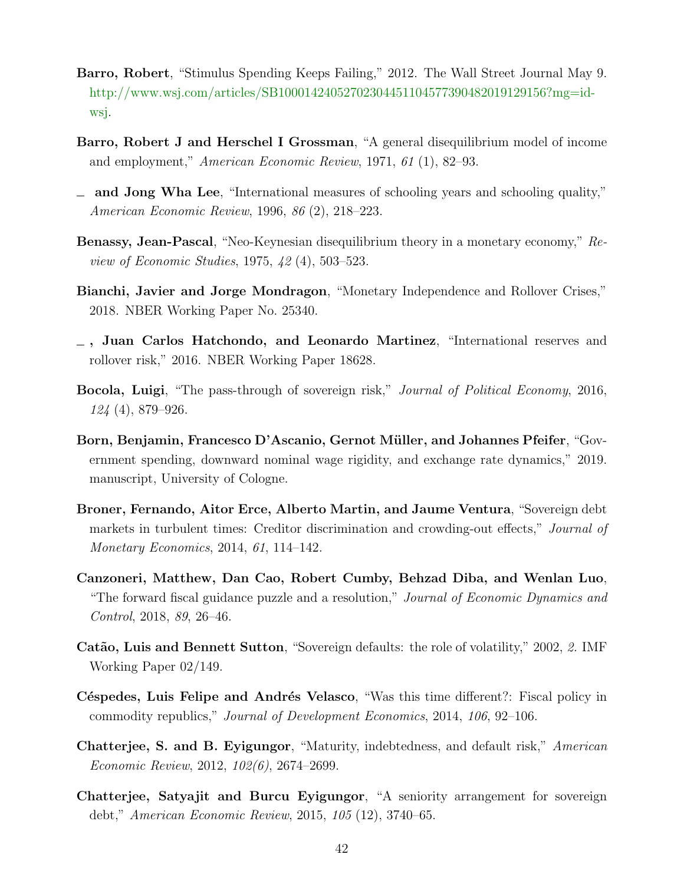- <span id="page-44-0"></span>Barro, Robert, "Stimulus Spending Keeps Failing," 2012. The Wall Street Journal May 9. [http://www.wsj.com/articles/SB10001424052702304451104577390482019129156?mg=id](http://www.wsj.com/articles/SB10001424052702304451104577390482019129156?mg=id-wsj)[wsj.](http://www.wsj.com/articles/SB10001424052702304451104577390482019129156?mg=id-wsj)
- <span id="page-44-9"></span>Barro, Robert J and Herschel I Grossman, "A general disequilibrium model of income and employment," American Economic Review, 1971, 61 (1), 82–93.
- <span id="page-44-6"></span>and Jong Wha Lee, "International measures of schooling years and schooling quality," American Economic Review, 1996, 86 (2), 218–223.
- <span id="page-44-10"></span>Benassy, Jean-Pascal, "Neo-Keynesian disequilibrium theory in a monetary economy," Review of Economic Studies, 1975, 42 (4), 503–523.
- <span id="page-44-11"></span>Bianchi, Javier and Jorge Mondragon, "Monetary Independence and Rollover Crises," 2018. NBER Working Paper No. 25340.
- <span id="page-44-13"></span>, Juan Carlos Hatchondo, and Leonardo Martinez, "International reserves and rollover risk," 2016. NBER Working Paper 18628.
- <span id="page-44-4"></span>Bocola, Luigi, "The pass-through of sovereign risk," Journal of Political Economy, 2016, 124 (4), 879–926.
- <span id="page-44-12"></span>Born, Benjamin, Francesco D'Ascanio, Gernot Müller, and Johannes Pfeifer, "Government spending, downward nominal wage rigidity, and exchange rate dynamics," 2019. manuscript, University of Cologne.
- <span id="page-44-3"></span>Broner, Fernando, Aitor Erce, Alberto Martin, and Jaume Ventura, "Sovereign debt markets in turbulent times: Creditor discrimination and crowding-out effects," *Journal of* Monetary Economics, 2014, 61, 114–142.
- <span id="page-44-1"></span>Canzoneri, Matthew, Dan Cao, Robert Cumby, Behzad Diba, and Wenlan Luo, "The forward fiscal guidance puzzle and a resolution," *Journal of Economic Dynamics and* Control, 2018, 89, 26–46.
- <span id="page-44-7"></span>Catão, Luis and Bennett Sutton, "Sovereign defaults: the role of volatility," 2002, 2. IMF Working Paper 02/149.
- <span id="page-44-5"></span>Céspedes, Luis Felipe and Andrés Velasco, "Was this time different?: Fiscal policy in commodity republics," Journal of Development Economics, 2014, 106, 92–106.
- <span id="page-44-8"></span>Chatterjee, S. and B. Eyigungor, "Maturity, indebtedness, and default risk," American Economic Review, 2012, 102(6), 2674–2699.
- <span id="page-44-2"></span>Chatterjee, Satyajit and Burcu Eyigungor, "A seniority arrangement for sovereign debt," American Economic Review, 2015, 105 (12), 3740–65.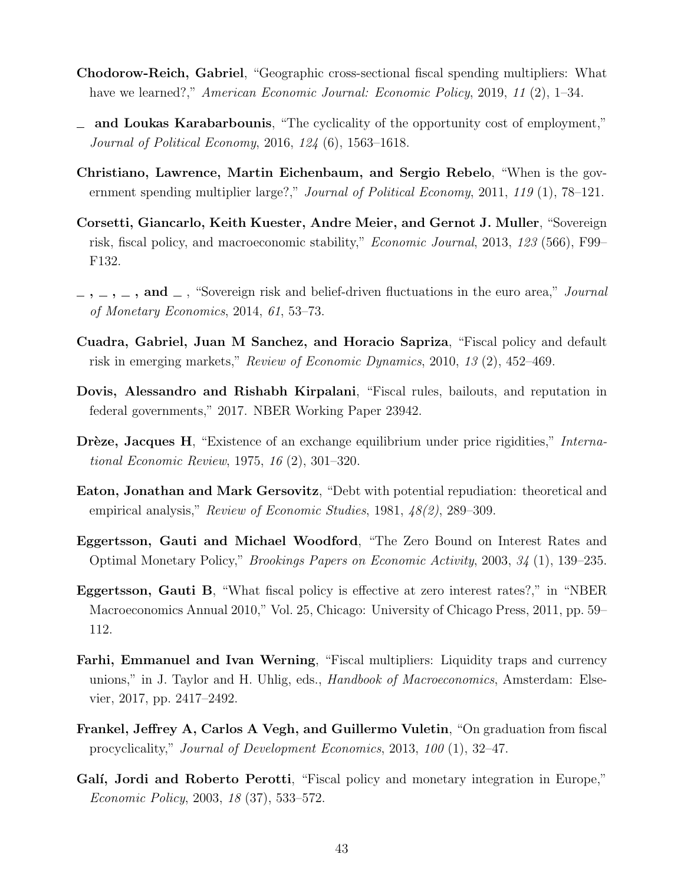- <span id="page-45-13"></span>Chodorow-Reich, Gabriel, "Geographic cross-sectional fiscal spending multipliers: What have we learned?," American Economic Journal: Economic Policy, 2019, 11 (2), 1–34.
- <span id="page-45-12"></span>and Loukas Karabarbounis, "The cyclicality of the opportunity cost of employment," Journal of Political Economy, 2016, 124 (6), 1563–1618.
- <span id="page-45-2"></span>Christiano, Lawrence, Martin Eichenbaum, and Sergio Rebelo, "When is the government spending multiplier large?," *Journal of Political Economy*, 2011, 119 (1), 78–121.
- <span id="page-45-7"></span>Corsetti, Giancarlo, Keith Kuester, Andre Meier, and Gernot J. Muller, "Sovereign risk, fiscal policy, and macroeconomic stability," Economic Journal, 2013, 123 (566), F99– F132.
- <span id="page-45-6"></span> $\ldots$ ,  $\ldots$ , and  $\ldots$ , "Sovereign risk and belief-driven fluctuations in the euro area," *Journal* of Monetary Economics, 2014, 61, 53–73.
- <span id="page-45-4"></span>Cuadra, Gabriel, Juan M Sanchez, and Horacio Sapriza, "Fiscal policy and default risk in emerging markets," Review of Economic Dynamics, 2010, 13 (2), 452–469.
- <span id="page-45-8"></span>Dovis, Alessandro and Rishabh Kirpalani, "Fiscal rules, bailouts, and reputation in federal governments," 2017. NBER Working Paper 23942.
- <span id="page-45-11"></span>Drèze, Jacques H, "Existence of an exchange equilibrium under price rigidities," International Economic Review, 1975, 16 (2), 301–320.
- <span id="page-45-0"></span>Eaton, Jonathan and Mark Gersovitz, "Debt with potential repudiation: theoretical and empirical analysis," Review of Economic Studies, 1981, 48(2), 289–309.
- <span id="page-45-5"></span>Eggertsson, Gauti and Michael Woodford, "The Zero Bound on Interest Rates and Optimal Monetary Policy," Brookings Papers on Economic Activity, 2003, 34 (1), 139–235.
- <span id="page-45-1"></span>Eggertsson, Gauti B, "What fiscal policy is effective at zero interest rates?," in "NBER Macroeconomics Annual 2010," Vol. 25, Chicago: University of Chicago Press, 2011, pp. 59– 112.
- <span id="page-45-3"></span>Farhi, Emmanuel and Ivan Werning, "Fiscal multipliers: Liquidity traps and currency unions," in J. Taylor and H. Uhlig, eds., Handbook of Macroeconomics, Amsterdam: Elsevier, 2017, pp. 2417–2492.
- <span id="page-45-10"></span>Frankel, Jeffrey A, Carlos A Vegh, and Guillermo Vuletin, "On graduation from fiscal procyclicality," Journal of Development Economics, 2013, 100 (1), 32–47.
- <span id="page-45-9"></span>Galí, Jordi and Roberto Perotti, "Fiscal policy and monetary integration in Europe," Economic Policy, 2003, 18 (37), 533–572.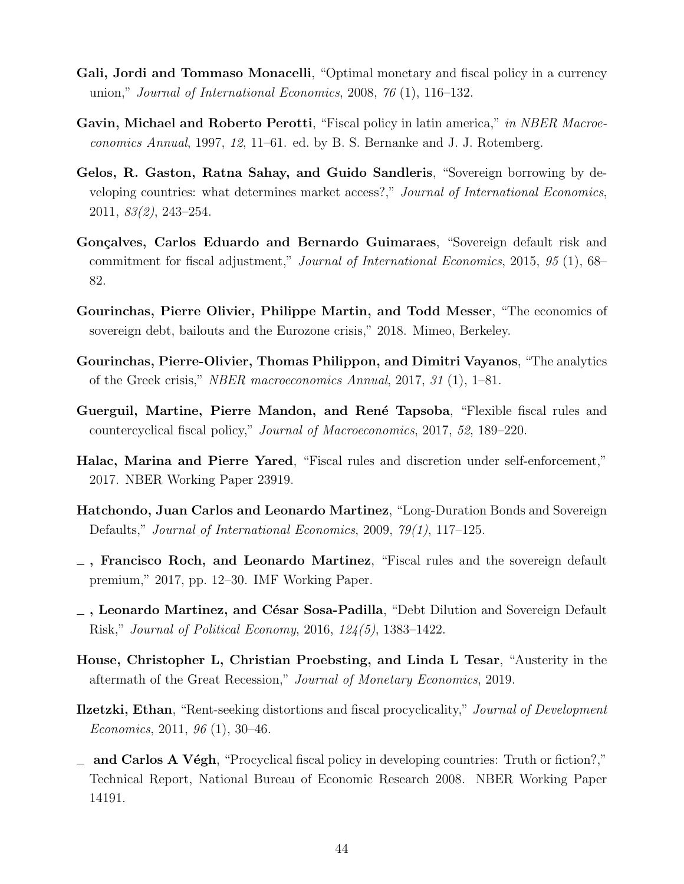- <span id="page-46-2"></span>Gali, Jordi and Tommaso Monacelli, "Optimal monetary and fiscal policy in a currency union," Journal of International Economics, 2008, 76 (1), 116–132.
- <span id="page-46-0"></span>Gavin, Michael and Roberto Perotti, "Fiscal policy in latin america," in NBER Macroeconomics Annual, 1997, 12, 11–61. ed. by B. S. Bernanke and J. J. Rotemberg.
- <span id="page-46-11"></span>Gelos, R. Gaston, Ratna Sahay, and Guido Sandleris, "Sovereign borrowing by developing countries: what determines market access?," Journal of International Economics, 2011, 83(2), 243–254.
- <span id="page-46-6"></span>Gonçalves, Carlos Eduardo and Bernardo Guimaraes, "Sovereign default risk and commitment for fiscal adjustment," Journal of International Economics, 2015, 95 (1), 68– 82.
- <span id="page-46-13"></span>Gourinchas, Pierre Olivier, Philippe Martin, and Todd Messer, "The economics of sovereign debt, bailouts and the Eurozone crisis," 2018. Mimeo, Berkeley.
- <span id="page-46-4"></span>Gourinchas, Pierre-Olivier, Thomas Philippon, and Dimitri Vayanos, "The analytics of the Greek crisis," NBER macroeconomics Annual, 2017, 31 (1), 1–81.
- <span id="page-46-9"></span>Guerguil, Martine, Pierre Mandon, and René Tapsoba, "Flexible fiscal rules and countercyclical fiscal policy," Journal of Macroeconomics, 2017, 52, 189–220.
- <span id="page-46-7"></span>Halac, Marina and Pierre Yared, "Fiscal rules and discretion under self-enforcement," 2017. NBER Working Paper 23919.
- <span id="page-46-10"></span>Hatchondo, Juan Carlos and Leonardo Martinez, "Long-Duration Bonds and Sovereign Defaults," Journal of International Economics, 2009, 79(1), 117–125.
- <span id="page-46-5"></span> $\overline{\phantom{a}}$ , Francisco Roch, and Leonardo Martinez, "Fiscal rules and the sovereign default premium," 2017, pp. 12–30. IMF Working Paper.
- <span id="page-46-3"></span> $\overline{\phantom{a}}$ , Leonardo Martinez, and César Sosa-Padilla, "Debt Dilution and Sovereign Default Risk," Journal of Political Economy, 2016, 124(5), 1383–1422.
- <span id="page-46-12"></span>House, Christopher L, Christian Proebsting, and Linda L Tesar, "Austerity in the aftermath of the Great Recession," Journal of Monetary Economics, 2019.
- <span id="page-46-8"></span>**Ilzetzki, Ethan**, "Rent-seeking distortions and fiscal procyclicality," *Journal of Development* Economics, 2011, 96 (1), 30–46.
- <span id="page-46-1"></span> $\equiv$  and Carlos A Végh, "Procyclical fiscal policy in developing countries: Truth or fiction?," Technical Report, National Bureau of Economic Research 2008. NBER Working Paper 14191.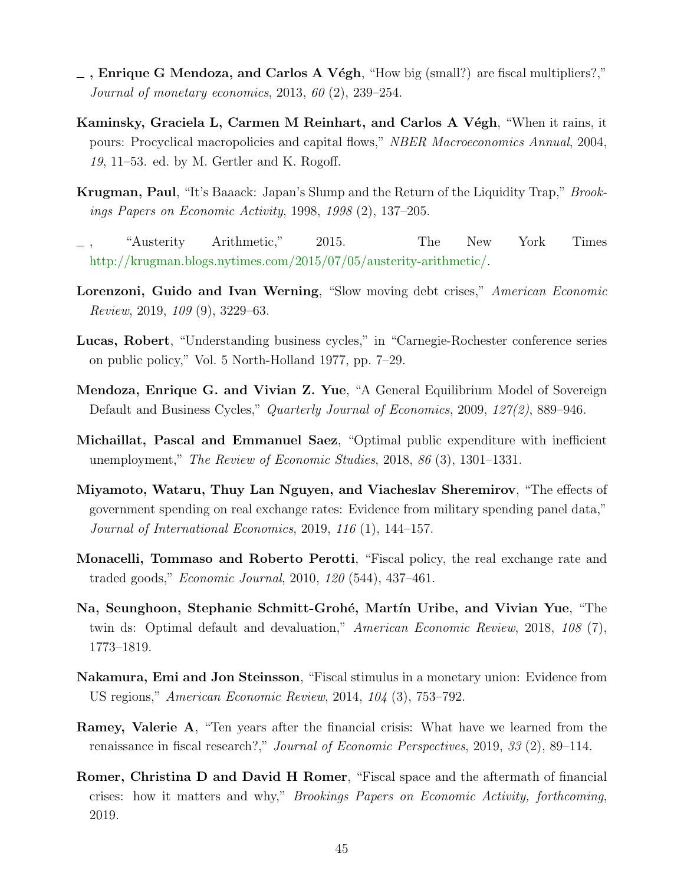- <span id="page-47-11"></span> $\overline{\phantom{a}}$ , Enrique G Mendoza, and Carlos A Végh, "How big (small?) are fiscal multipliers?," Journal of monetary economics, 2013, 60 (2), 239–254.
- <span id="page-47-0"></span>Kaminsky, Graciela L, Carmen M Reinhart, and Carlos A Végh, "When it rains, it pours: Procyclical macropolicies and capital flows," NBER Macroeconomics Annual, 2004, 19, 11–53. ed. by M. Gertler and K. Rogoff.
- <span id="page-47-5"></span>Krugman, Paul, "It's Baaack: Japan's Slump and the Return of the Liquidity Trap," Brookings Papers on Economic Activity, 1998, 1998 (2), 137–205.
- <span id="page-47-1"></span>, "Austerity Arithmetic," 2015. The New York Times [http://krugman.blogs.nytimes.com/2015/07/05/austerity-arithmetic/.](http://krugman.blogs.nytimes.com/2015/07/05/austerity-arithmetic/)
- <span id="page-47-9"></span>Lorenzoni, Guido and Ivan Werning, "Slow moving debt crises," American Economic Review, 2019, 109 (9), 3229–63.
- <span id="page-47-13"></span>Lucas, Robert, "Understanding business cycles," in "Carnegie-Rochester conference series on public policy," Vol. 5 North-Holland 1977, pp. 7–29.
- <span id="page-47-8"></span>Mendoza, Enrique G. and Vivian Z. Yue, "A General Equilibrium Model of Sovereign Default and Business Cycles," Quarterly Journal of Economics, 2009, 127(2), 889–946.
- <span id="page-47-4"></span>Michaillat, Pascal and Emmanuel Saez, "Optimal public expenditure with inefficient unemployment," The Review of Economic Studies, 2018, 86 (3), 1301–1331.
- <span id="page-47-12"></span>Miyamoto, Wataru, Thuy Lan Nguyen, and Viacheslav Sheremirov, "The effects of government spending on real exchange rates: Evidence from military spending panel data," Journal of International Economics, 2019, 116 (1), 144–157.
- <span id="page-47-10"></span>Monacelli, Tommaso and Roberto Perotti, "Fiscal policy, the real exchange rate and traded goods," Economic Journal, 2010, 120 (544), 437–461.
- <span id="page-47-7"></span>Na, Seunghoon, Stephanie Schmitt-Grohé, Martín Uribe, and Vivian Yue, "The twin ds: Optimal default and devaluation," American Economic Review, 2018, 108 (7), 1773–1819.
- <span id="page-47-3"></span>Nakamura, Emi and Jon Steinsson, "Fiscal stimulus in a monetary union: Evidence from US regions," American Economic Review, 2014, 104 (3), 753–792.
- <span id="page-47-6"></span>Ramey, Valerie A, "Ten years after the financial crisis: What have we learned from the renaissance in fiscal research?," Journal of Economic Perspectives, 2019, 33 (2), 89–114.
- <span id="page-47-2"></span>Romer, Christina D and David H Romer, "Fiscal space and the aftermath of financial crises: how it matters and why," Brookings Papers on Economic Activity, forthcoming, 2019.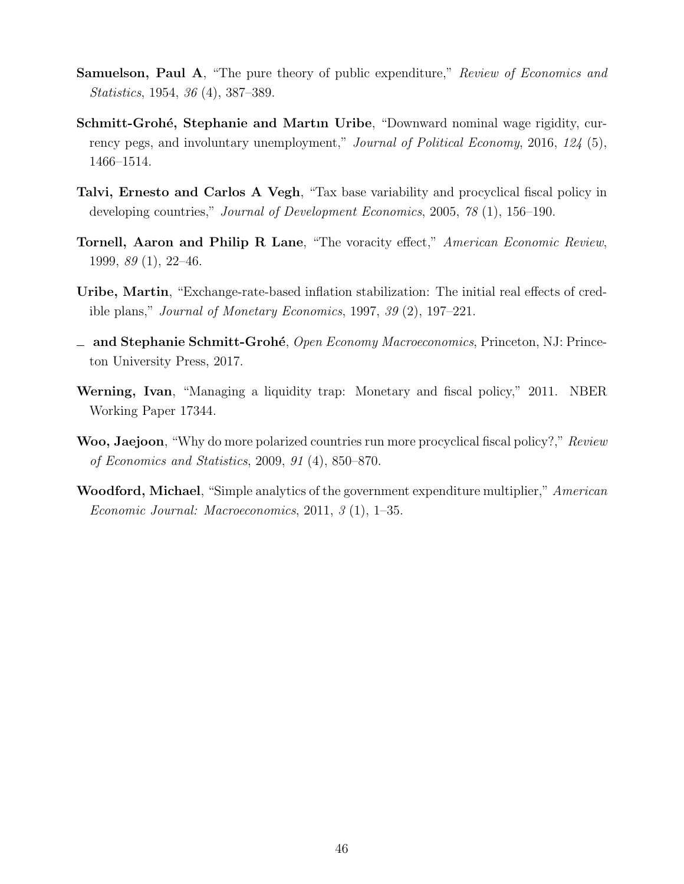- <span id="page-48-7"></span>Samuelson, Paul A, "The pure theory of public expenditure," Review of Economics and Statistics, 1954, 36 (4), 387–389.
- <span id="page-48-6"></span>Schmitt-Grohé, Stephanie and Martin Uribe, "Downward nominal wage rigidity, currency pegs, and involuntary unemployment," *Journal of Political Economy*, 2016, 124 (5), 1466–1514.
- <span id="page-48-0"></span>Talvi, Ernesto and Carlos A Vegh, "Tax base variability and procyclical fiscal policy in developing countries," Journal of Development Economics, 2005, 78 (1), 156–190.
- <span id="page-48-3"></span>Tornell, Aaron and Philip R Lane, "The voracity effect," American Economic Review, 1999, 89 (1), 22–46.
- <span id="page-48-8"></span>Uribe, Martin, "Exchange-rate-based inflation stabilization: The initial real effects of credible plans," Journal of Monetary Economics, 1997, 39 (2), 197–221.
- <span id="page-48-5"></span> $\Box$  and Stephanie Schmitt-Grohé, Open Economy Macroeconomics, Princeton, NJ: Princeton University Press, 2017.
- <span id="page-48-1"></span>Werning, Ivan, "Managing a liquidity trap: Monetary and fiscal policy," 2011. NBER Working Paper 17344.
- <span id="page-48-4"></span>Woo, Jaejoon, "Why do more polarized countries run more procyclical fiscal policy?," Review of Economics and Statistics, 2009, 91 (4), 850–870.
- <span id="page-48-2"></span>Woodford, Michael, "Simple analytics of the government expenditure multiplier," American Economic Journal: Macroeconomics, 2011, 3 (1), 1–35.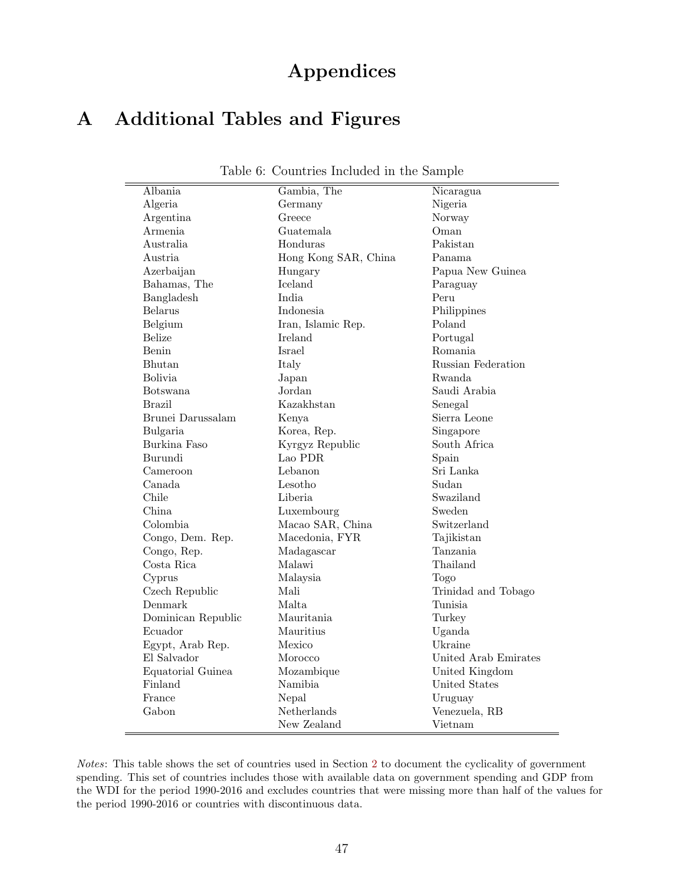# Appendices

## A Additional Tables and Figures

| Albania            |                      |                      |
|--------------------|----------------------|----------------------|
|                    | Gambia, The          | Nicaragua            |
| Algeria            | Germany              | Nigeria              |
| Argentina          | Greece               | Norway               |
| Armenia            | Guatemala            | Oman                 |
| Australia          | Honduras             | Pakistan             |
| Austria            | Hong Kong SAR, China | Panama               |
| Azerbaijan         | Hungary              | Papua New Guinea     |
| Bahamas, The       | Iceland              | Paraguay             |
| Bangladesh         | India                | Peru                 |
| Belarus            | Indonesia            | Philippines          |
| Belgium            | Iran, Islamic Rep.   | Poland               |
| <b>Belize</b>      | Ireland              | Portugal             |
| Benin              | Israel               | Romania              |
| Bhutan             | Italy                | Russian Federation   |
| <b>Bolivia</b>     | Japan                | Rwanda               |
| Botswana           | Jordan               | Saudi Arabia         |
| <b>Brazil</b>      | Kazakhstan           | Senegal              |
| Brunei Darussalam  | Kenya                | Sierra Leone         |
| Bulgaria           | Korea, Rep.          | Singapore            |
| Burkina Faso       | Kyrgyz Republic      | South Africa         |
| Burundi            | Lao PDR              | Spain                |
| Cameroon           | Lebanon              | Sri Lanka            |
| Canada             | Lesotho              | Sudan                |
| Chile              | Liberia              | Swaziland            |
| China              | Luxembourg           | Sweden               |
| Colombia           | Macao SAR, China     | Switzerland          |
| Congo, Dem. Rep.   | Macedonia, FYR       | Tajikistan           |
| Congo, Rep.        | Madagascar           | Tanzania             |
| Costa Rica         | Malawi               | Thailand             |
| Cyprus             | Malaysia             | Togo                 |
| Czech Republic     | Mali                 | Trinidad and Tobago  |
| Denmark            | Malta.               | Tunisia              |
| Dominican Republic | Mauritania           | Turkey               |
| Ecuador            | Mauritius            | Uganda               |
| Egypt, Arab Rep.   | Mexico               | Ukraine              |
| El Salvador        | Morocco              | United Arab Emirates |
| Equatorial Guinea  | Mozambique           | United Kingdom       |
| Finland            | Namibia              | United States        |
| France             | Nepal                | Uruguay              |
| Gabon              | Netherlands          | Venezuela, RB        |
|                    | New Zealand          | Vietnam              |
|                    |                      |                      |

<span id="page-49-0"></span>Table 6: Countries Included in the Sample

Notes: This table shows the set of countries used in Section [2](#page-8-1) to document the cyclicality of government spending. This set of countries includes those with available data on government spending and GDP from the WDI for the period 1990-2016 and excludes countries that were missing more than half of the values for the period 1990-2016 or countries with discontinuous data.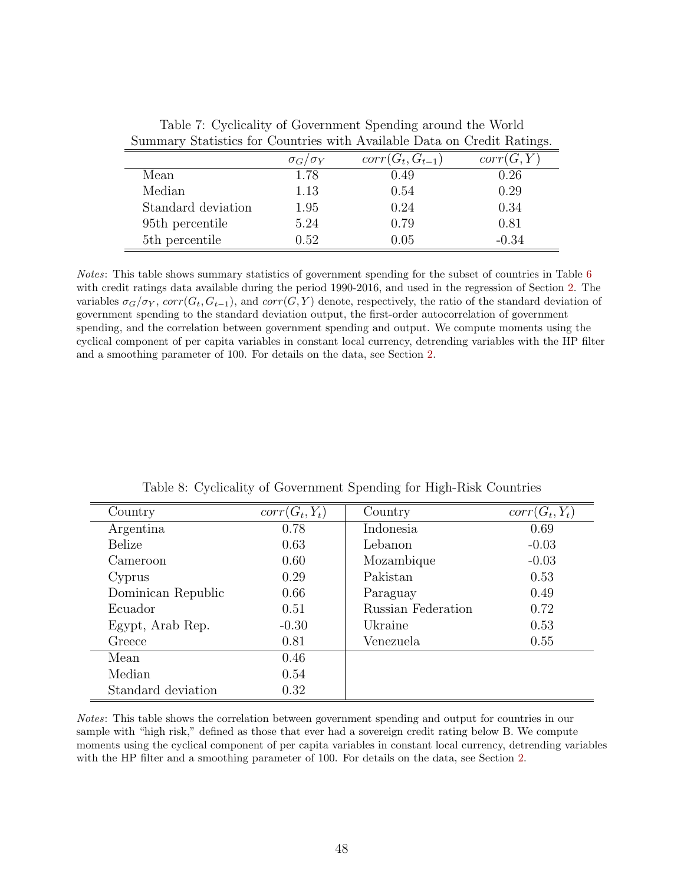|                            | $\sigma_G/\sigma_Y$ | $corr(G_t, G_{t-1})$ | corr(G, Y) |
|----------------------------|---------------------|----------------------|------------|
| Mean                       | 1.78                | 0.49                 | 0.26       |
| Median                     | 1.13                | 0.54                 | 0.29       |
| Standard deviation         | 1.95                | 0.24                 | 0.34       |
| 95th percentile            | 5.24                | 0.79                 | 0.81       |
| 5 <sup>th</sup> percentile | 0.52                | 0.05                 | $-0.34$    |

<span id="page-50-0"></span>Table 7: Cyclicality of Government Spending around the World Summary Statistics for Countries with Available Data on Credit Ratings.

Notes: This table shows summary statistics of government spending for the subset of countries in Table [6](#page-49-0) with credit ratings data available during the period 1990-2016, and used in the regression of Section [2.](#page-8-1) The variables  $\sigma_G/\sigma_Y$ ,  $corr(G_t, G_{t-1})$ , and  $corr(G, Y)$  denote, respectively, the ratio of the standard deviation of government spending to the standard deviation output, the first-order autocorrelation of government spending, and the correlation between government spending and output. We compute moments using the cyclical component of per capita variables in constant local currency, detrending variables with the HP filter and a smoothing parameter of 100. For details on the data, see Section [2.](#page-8-1)

| Country            | $corr(G_t, Y_t)$ | Country            | $corr(G_t, Y_t)$ |
|--------------------|------------------|--------------------|------------------|
| Argentina          | 0.78             | Indonesia          | 0.69             |
| Belize             | 0.63             | Lebanon            | $-0.03$          |
| Cameroon           | 0.60             | Mozambique         | $-0.03$          |
| Cyprus             | 0.29             | Pakistan           | 0.53             |
| Dominican Republic | 0.66             | Paraguay           | 0.49             |
| Ecuador            | 0.51             | Russian Federation | 0.72             |
| Egypt, Arab Rep.   | $-0.30$          | Ukraine            | 0.53             |
| Greece             | 0.81             | Venezuela          | 0.55             |
| Mean               | 0.46             |                    |                  |
| Median             | 0.54             |                    |                  |
| Standard deviation | 0.32             |                    |                  |

<span id="page-50-1"></span>Table 8: Cyclicality of Government Spending for High-Risk Countries

Notes: This table shows the correlation between government spending and output for countries in our sample with "high risk," defined as those that ever had a sovereign credit rating below B. We compute moments using the cyclical component of per capita variables in constant local currency, detrending variables with the HP filter and a smoothing parameter of 100. For details on the data, see Section [2.](#page-8-1)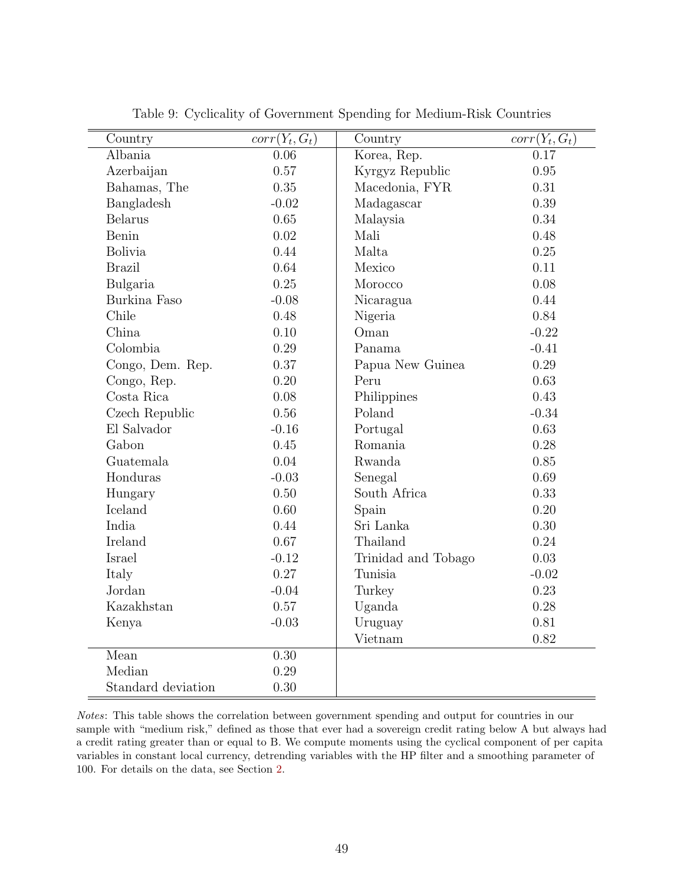| Country            | $corr(Y_t, G_t)$ | Country             | $corr(Y_t, G_t)$ |
|--------------------|------------------|---------------------|------------------|
| Albania            | 0.06             | Korea, Rep.         | 0.17             |
| Azerbaijan         | 0.57             | Kyrgyz Republic     | 0.95             |
| Bahamas, The       | 0.35             | Macedonia, FYR      | 0.31             |
| Bangladesh         | $-0.02$          | Madagascar          | 0.39             |
| <b>Belarus</b>     | 0.65             | Malaysia            | 0.34             |
| Benin              | 0.02             | Mali                | 0.48             |
| <b>Bolivia</b>     | 0.44             | Malta               | 0.25             |
| <b>Brazil</b>      | 0.64             | Mexico              | 0.11             |
| Bulgaria           | 0.25             | Morocco             | 0.08             |
| Burkina Faso       | $-0.08$          | Nicaragua           | 0.44             |
| Chile              | 0.48             | Nigeria             | 0.84             |
| China              | 0.10             | Oman                | $-0.22$          |
| Colombia           | 0.29             | Panama              | $-0.41$          |
| Congo, Dem. Rep.   | 0.37             | Papua New Guinea    | 0.29             |
| Congo, Rep.        | 0.20             | Peru                | 0.63             |
| Costa Rica         | 0.08             | Philippines         | 0.43             |
| Czech Republic     | 0.56             | Poland              | $-0.34$          |
| El Salvador        | $-0.16$          | Portugal            | 0.63             |
| Gabon              | 0.45             | Romania             | 0.28             |
| Guatemala          | 0.04             | Rwanda              | 0.85             |
| Honduras           | $-0.03$          | Senegal             | 0.69             |
| Hungary            | 0.50             | South Africa        | 0.33             |
| Iceland            | 0.60             | Spain               | 0.20             |
| India              | 0.44             | Sri Lanka           | 0.30             |
| Ireland            | 0.67             | Thailand            | 0.24             |
| Israel             | $-0.12$          | Trinidad and Tobago | 0.03             |
| Italy              | 0.27             | Tunisia             | $-0.02$          |
| Jordan             | $-0.04$          | Turkey              | 0.23             |
| Kazakhstan         | 0.57             | Uganda              | 0.28             |
| Kenya              | $-0.03$          | Uruguay             | 0.81             |
|                    |                  | Vietnam             | 0.82             |
| Mean               | 0.30             |                     |                  |
| Median             | 0.29             |                     |                  |
| Standard deviation | 0.30             |                     |                  |

Table 9: Cyclicality of Government Spending for Medium-Risk Countries

Notes: This table shows the correlation between government spending and output for countries in our sample with "medium risk," defined as those that ever had a sovereign credit rating below A but always had a credit rating greater than or equal to B. We compute moments using the cyclical component of per capita variables in constant local currency, detrending variables with the HP filter and a smoothing parameter of 100. For details on the data, see Section [2.](#page-8-1)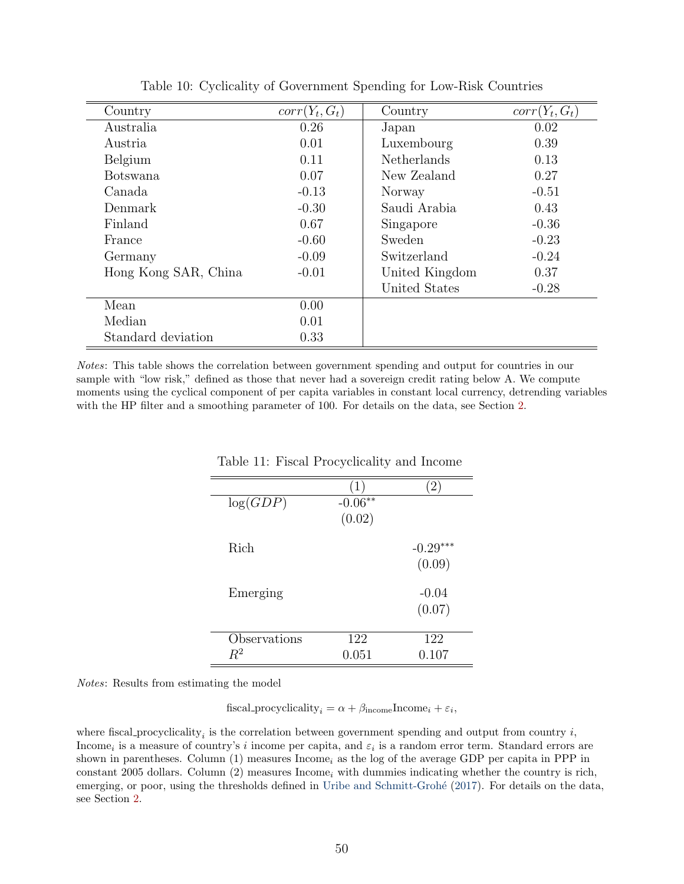| Country              | $corr(Y_t, G_t)$ | Country            | $corr(Y_t, G_t)$ |
|----------------------|------------------|--------------------|------------------|
| Australia            | 0.26             | Japan              | 0.02             |
| Austria              | 0.01             | Luxembourg         | 0.39             |
| Belgium              | 0.11             | <b>Netherlands</b> | 0.13             |
| <b>Botswana</b>      | 0.07             | New Zealand        | 0.27             |
| Canada               | $-0.13$          | Norway             | $-0.51$          |
| Denmark              | $-0.30$          | Saudi Arabia       | 0.43             |
| Finland              | 0.67             | Singapore          | $-0.36$          |
| France               | $-0.60$          | Sweden             | $-0.23$          |
| Germany              | $-0.09$          | Switzerland        | $-0.24$          |
| Hong Kong SAR, China | $-0.01$          | United Kingdom     | 0.37             |
|                      |                  | United States      | $-0.28$          |
| Mean                 | 0.00             |                    |                  |
| Median               | 0.01             |                    |                  |
| Standard deviation   | 0.33             |                    |                  |

<span id="page-52-0"></span>Table 10: Cyclicality of Government Spending for Low-Risk Countries

Notes: This table shows the correlation between government spending and output for countries in our sample with "low risk," defined as those that never had a sovereign credit rating below A. We compute moments using the cyclical component of per capita variables in constant local currency, detrending variables with the HP filter and a smoothing parameter of 100. For details on the data, see Section [2.](#page-8-1)

|              | (1)       | 2          |
|--------------|-----------|------------|
| log(GDP)     | $-0.06**$ |            |
|              | (0.02)    |            |
|              |           |            |
| Rich         |           | $-0.29***$ |
|              |           | (0.09)     |
|              |           |            |
| Emerging     |           | $-0.04$    |
|              |           | (0.07)     |
|              |           |            |
| Observations | 122       | 122        |
| $R^2$        | 0.051     | 0.107      |

<span id="page-52-1"></span>Table 11: Fiscal Procyclicality and Income

Notes: Results from estimating the model

fiscal procyclicality<sub>i</sub> =  $\alpha + \beta_{\text{income}}$ Income<sub>i</sub> +  $\varepsilon_i$ ,

where fiscal procyclicality<sub>i</sub> is the correlation between government spending and output from country  $i$ , Income<sub>i</sub> is a measure of country's i income per capita, and  $\varepsilon_i$  is a random error term. Standard errors are shown in parentheses. Column  $(1)$  measures Income<sub>i</sub> as the log of the average GDP per capita in PPP in constant 2005 dollars. Column  $(2)$  measures Income<sub>i</sub> with dummies indicating whether the country is rich, emerging, or poor, using the thresholds defined in Uribe and Schmitt-Grohé [\(2017\)](#page-48-5). For details on the data, see Section [2.](#page-8-1)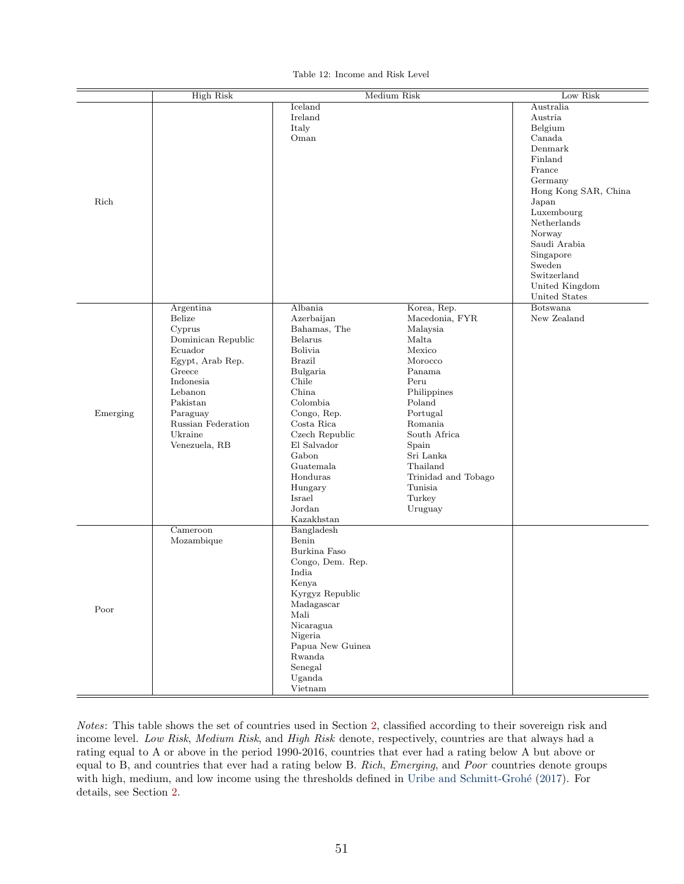|  |  | Table 12: Income and Risk Level |  |  |  |
|--|--|---------------------------------|--|--|--|
|--|--|---------------------------------|--|--|--|

<span id="page-53-0"></span>

|          | <b>High Risk</b>                                                                                                                                                                               |                                                                                                                                                                                                                                                                                        | Medium Risk                                                                                                                                                                                                                                        | Low Risk                                                                                                                                                                                                                                              |
|----------|------------------------------------------------------------------------------------------------------------------------------------------------------------------------------------------------|----------------------------------------------------------------------------------------------------------------------------------------------------------------------------------------------------------------------------------------------------------------------------------------|----------------------------------------------------------------------------------------------------------------------------------------------------------------------------------------------------------------------------------------------------|-------------------------------------------------------------------------------------------------------------------------------------------------------------------------------------------------------------------------------------------------------|
| Rich     |                                                                                                                                                                                                | Iceland<br>Ireland<br>Italy<br>Oman                                                                                                                                                                                                                                                    |                                                                                                                                                                                                                                                    | Australia<br>Austria<br>Belgium<br>Canada<br>Denmark<br>Finland<br>France<br>Germany<br>Hong Kong SAR, China<br>Japan<br>Luxembourg<br>Netherlands<br>Norway<br>Saudi Arabia<br>Singapore<br>Sweden<br>Switzerland<br>United Kingdom<br>United States |
| Emerging | Argentina<br>Belize<br>Cyprus<br>Dominican Republic<br>Ecuador<br>Egypt, Arab Rep.<br>Greece<br>Indonesia<br>Lebanon<br>Pakistan<br>Paraguay<br>Russian Federation<br>Ukraine<br>Venezuela, RB | Albania<br>Azerbaijan<br>Bahamas, The<br><b>Belarus</b><br>Bolivia<br><b>Brazil</b><br>Bulgaria<br>Chile<br>China<br>Colombia<br>Congo, Rep.<br>$\rm Costa$ $\rm Rica$<br>Czech Republic<br>El Salvador<br>Gabon<br>Guatemala<br>Honduras<br>Hungary<br>Israel<br>Jordan<br>Kazakhstan | Korea, Rep.<br>Macedonia, FYR<br>Malaysia<br>Malta<br>Mexico<br>Morocco<br>Panama<br>Peru<br>Philippines<br>Poland<br>Portugal<br>Romania<br>South Africa<br>Spain<br>Sri Lanka<br>Thailand<br>Trinidad and Tobago<br>Tunisia<br>Turkey<br>Uruguay | Botswana<br>New Zealand                                                                                                                                                                                                                               |
| Poor     | Cameroon<br>Mozambique                                                                                                                                                                         | Bangladesh<br>Benin<br>Burkina Faso<br>Congo, Dem. Rep.<br>India<br>Kenya<br>Kyrgyz Republic<br>Madagascar<br>Mali<br>Nicaragua<br>Nigeria<br>Papua New Guinea<br>Rwanda<br>Senegal<br>Uganda<br>Vietnam                                                                               |                                                                                                                                                                                                                                                    |                                                                                                                                                                                                                                                       |

Notes: This table shows the set of countries used in Section [2,](#page-8-1) classified according to their sovereign risk and income level. Low Risk, Medium Risk, and High Risk denote, respectively, countries are that always had a rating equal to A or above in the period 1990-2016, countries that ever had a rating below A but above or equal to B, and countries that ever had a rating below B. Rich, Emerging, and Poor countries denote groups with high, medium, and low income using the thresholds defined in Uribe and Schmitt-Grohé [\(2017\)](#page-48-5). For details, see Section [2.](#page-8-1)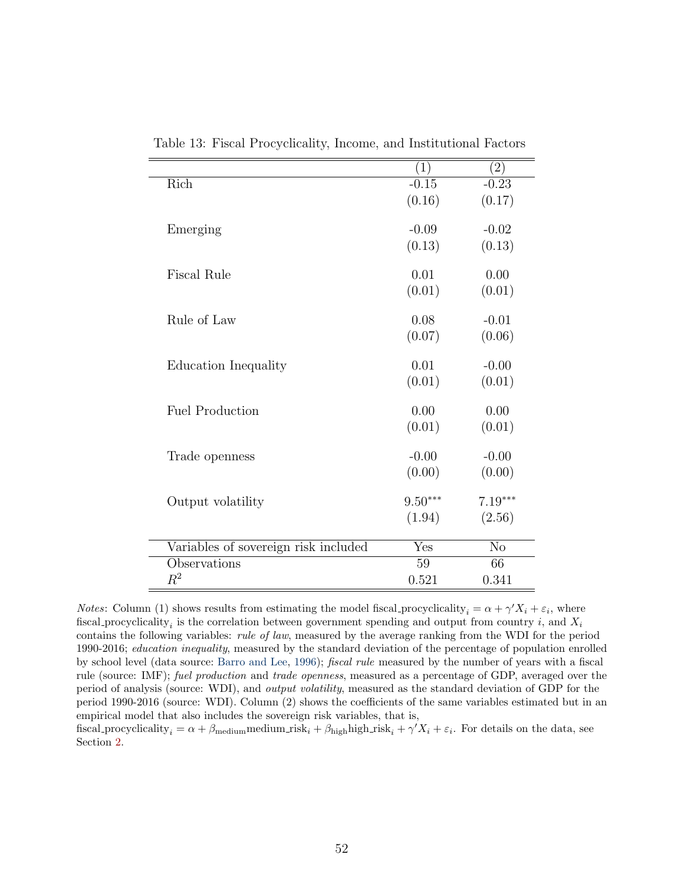|                                      | $\left( 1\right)$         | $\left( 2\right)$      |
|--------------------------------------|---------------------------|------------------------|
| Rich                                 | $-0.15$                   | $-0.23$                |
|                                      | (0.16)                    | (0.17)                 |
|                                      |                           |                        |
| Emerging                             | $-0.09$                   | $-0.02$                |
|                                      | (0.13)                    | (0.13)                 |
| <b>Fiscal Rule</b>                   | 0.01                      | 0.00                   |
|                                      |                           |                        |
|                                      | (0.01)                    | (0.01)                 |
| Rule of Law                          | 0.08                      | $-0.01$                |
|                                      | (0.07)                    | (0.06)                 |
|                                      |                           |                        |
| Education Inequality                 | 0.01                      | $-0.00$                |
|                                      | (0.01)                    | (0.01)                 |
| <b>Fuel Production</b>               | 0.00                      | 0.00                   |
|                                      | (0.01)                    | (0.01)                 |
|                                      |                           |                        |
| Trade openness                       | $-0.00$                   | $-0.00$                |
|                                      | (0.00)                    | (0.00)                 |
| Output volatility                    | $9.50***$                 | $7.19***$              |
|                                      | (1.94)                    | (2.56)                 |
|                                      |                           |                        |
| Variables of sovereign risk included | $\overline{\mathrm{Yes}}$ | $\overline{\text{No}}$ |
| Observations                         | 59                        | 66                     |
| $\mathbb{R}^2$                       | 0.521                     | 0.341                  |
|                                      |                           |                        |

<span id="page-54-0"></span>Table 13: Fiscal Procyclicality, Income, and Institutional Factors

*Notes*: Column (1) shows results from estimating the model fiscal procyclicality<sub>i</sub> =  $\alpha + \gamma' X_i + \varepsilon_i$ , where fiscal procyclicality<sub>i</sub> is the correlation between government spending and output from country i, and  $X_i$ contains the following variables: rule of law, measured by the average ranking from the WDI for the period 1990-2016; education inequality, measured by the standard deviation of the percentage of population enrolled by school level (data source: [Barro and Lee,](#page-44-6) [1996\)](#page-44-6); fiscal rule measured by the number of years with a fiscal rule (source: IMF); fuel production and trade openness, measured as a percentage of GDP, averaged over the period of analysis (source: WDI), and output volatility, measured as the standard deviation of GDP for the period 1990-2016 (source: WDI). Column (2) shows the coefficients of the same variables estimated but in an empirical model that also includes the sovereign risk variables, that is,

fiscal procyclicality<sub>i</sub> =  $\alpha + \beta_{\text{medium}}$ medium risk<sub>i</sub> +  $\beta_{\text{high}}$ high risk<sub>i</sub> +  $\gamma' X_i + \varepsilon_i$ . For details on the data, see Section [2.](#page-8-1)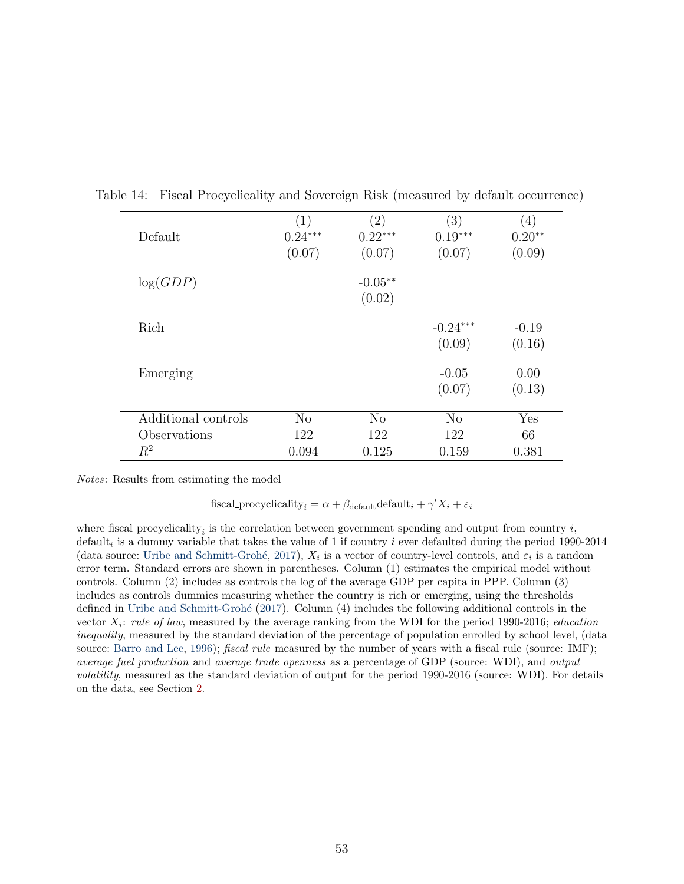<span id="page-55-0"></span>

|                     | $\left( 1\right)$ | $\left( 2\right)$ | $\left( 3\right)$ | $\left(4\right)$ |
|---------------------|-------------------|-------------------|-------------------|------------------|
| Default             | $0.24***$         | $0.22***$         | $0.19***$         | $0.20**$         |
|                     | (0.07)            | (0.07)            | (0.07)            | (0.09)           |
|                     |                   | $-0.05**$         |                   |                  |
| log(GDP)            |                   |                   |                   |                  |
|                     |                   | (0.02)            |                   |                  |
|                     |                   |                   |                   |                  |
| Rich                |                   |                   | $-0.24***$        | $-0.19$          |
|                     |                   |                   | (0.09)            | (0.16)           |
| Emerging            |                   |                   | $-0.05$           | 0.00             |
|                     |                   |                   |                   |                  |
|                     |                   |                   | (0.07)            | (0.13)           |
| Additional controls | N <sub>o</sub>    | N <sub>o</sub>    | N <sub>o</sub>    | Yes              |
| Observations        | 122               | 122               | 122               | 66               |
| $R^2$               | 0.094             | 0.125             | 0.159             | 0.381            |

Table 14: Fiscal Procyclicality and Sovereign Risk (measured by default occurrence)

Notes: Results from estimating the model

fiscal procyclicality<sub>i</sub> =  $\alpha + \beta_{\text{default}} \cdot \text{default}_i + \gamma' X_i + \varepsilon_i$ 

where fiscal procyclicality<sub>i</sub> is the correlation between government spending and output from country  $i$ , default<sub>i</sub> is a dummy variable that takes the value of 1 if country *i* ever defaulted during the period 1990-2014 (data source: Uribe and Schmitt-Grohé, [2017\)](#page-48-5),  $X_i$  is a vector of country-level controls, and  $\varepsilon_i$  is a random error term. Standard errors are shown in parentheses. Column (1) estimates the empirical model without controls. Column (2) includes as controls the log of the average GDP per capita in PPP. Column (3) includes as controls dummies measuring whether the country is rich or emerging, using the thresholds defined in Uribe and Schmitt-Grohé [\(2017\)](#page-48-5). Column (4) includes the following additional controls in the vector  $X_i$ : rule of law, measured by the average ranking from the WDI for the period 1990-2016; education inequality, measured by the standard deviation of the percentage of population enrolled by school level, (data source: [Barro and Lee,](#page-44-6) [1996\)](#page-44-6); *fiscal rule* measured by the number of years with a fiscal rule (source: IMF); average fuel production and average trade openness as a percentage of GDP (source: WDI), and output volatility, measured as the standard deviation of output for the period 1990-2016 (source: WDI). For details on the data, see Section [2.](#page-8-1)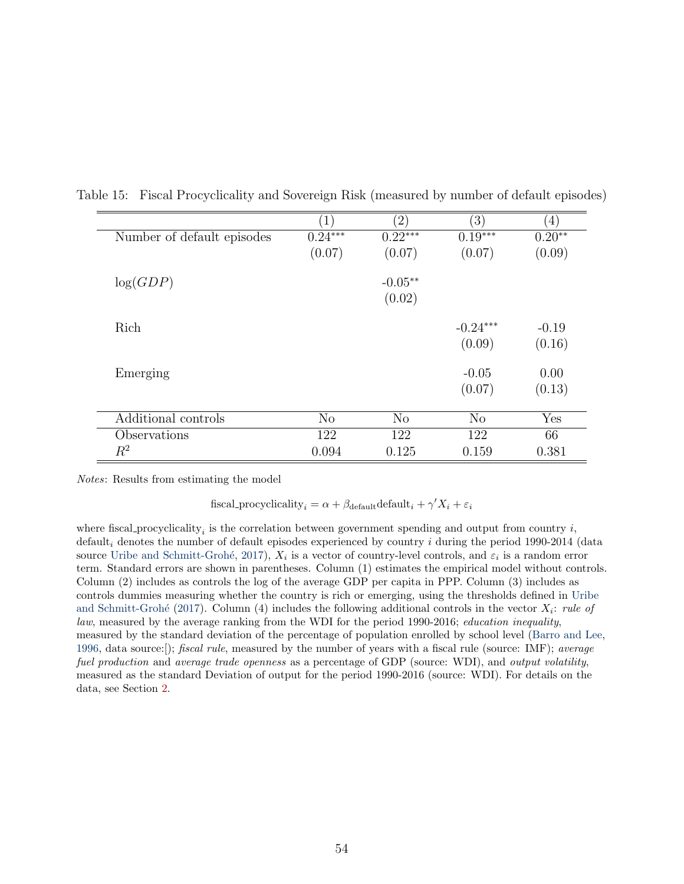<span id="page-56-0"></span>

| $\left(1\right)$<br>$0.24***$<br>(0.07) | $\left( 2\right)$<br>$0.22***$<br>(0.07) | $\left(3\right)$<br>$0.19***$ | $\left(4\right)$<br>$0.20**$ |
|-----------------------------------------|------------------------------------------|-------------------------------|------------------------------|
|                                         |                                          |                               |                              |
|                                         |                                          |                               |                              |
|                                         |                                          | (0.07)                        | (0.09)                       |
|                                         | $-0.05**$                                |                               |                              |
|                                         | (0.02)                                   |                               |                              |
|                                         |                                          | $-0.24***$                    | $-0.19$                      |
|                                         |                                          | (0.09)                        | (0.16)                       |
|                                         |                                          | $-0.05$                       | 0.00                         |
|                                         |                                          | (0.07)                        | (0.13)                       |
|                                         | N <sub>o</sub>                           | N <sub>o</sub>                | Yes                          |
|                                         | 122                                      | 122                           | 66                           |
|                                         | 0.125                                    | 0.159                         | 0.381                        |
|                                         | N <sub>o</sub><br>122<br>0.094           |                               |                              |

Table 15: Fiscal Procyclicality and Sovereign Risk (measured by number of default episodes)

Notes: Results from estimating the model

fiscal procyclicality<sub>i</sub> =  $\alpha + \beta_{\text{default}} \cdot \text{default}_i + \gamma' X_i + \varepsilon_i$ 

where fiscal procyclicality<sub>i</sub> is the correlation between government spending and output from country  $i$ , default<sub>i</sub> denotes the number of default episodes experienced by country i during the period 1990-2014 (data source Uribe and Schmitt-Grohé, [2017\)](#page-48-5),  $X_i$  is a vector of country-level controls, and  $\varepsilon_i$  is a random error term. Standard errors are shown in parentheses. Column (1) estimates the empirical model without controls. Column (2) includes as controls the log of the average GDP per capita in PPP. Column (3) includes as controls dummies measuring whether the country is rich or emerging, using the thresholds defined in [Uribe](#page-48-5) and Schmitt-Grohé [\(2017\)](#page-48-5). Column (4) includes the following additional controls in the vector  $X_i$ : rule of law, measured by the average ranking from the WDI for the period 1990-2016; education inequality, measured by the standard deviation of the percentage of population enrolled by school level [\(Barro and Lee,](#page-44-6) [1996,](#page-44-6) data source:[); fiscal rule, measured by the number of years with a fiscal rule (source: IMF); average fuel production and average trade openness as a percentage of GDP (source: WDI), and output volatility, measured as the standard Deviation of output for the period 1990-2016 (source: WDI). For details on the data, see Section [2.](#page-8-1)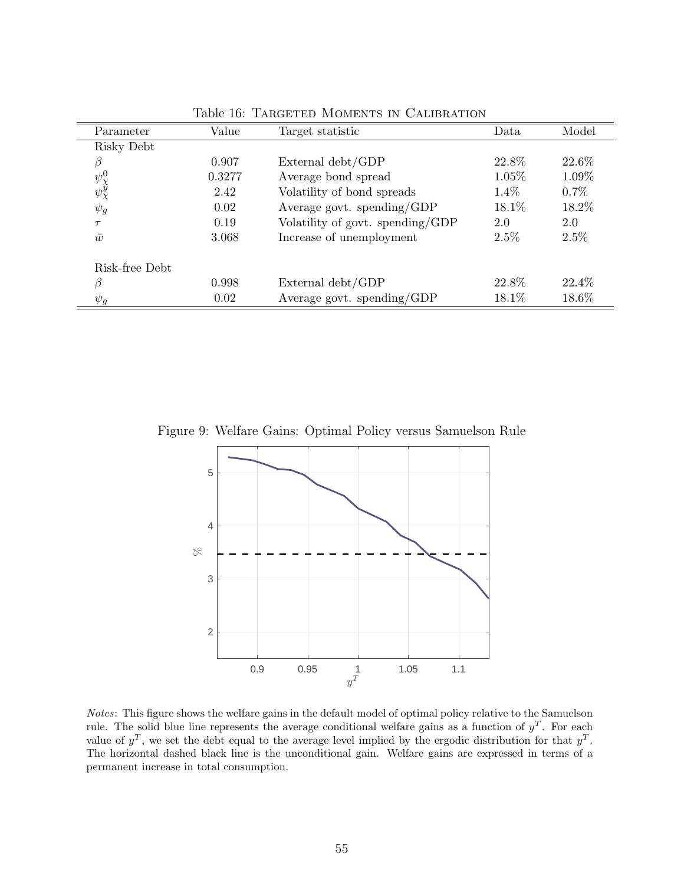| Parameter                   | Value  | Target statistic                 | Data     | Model    |
|-----------------------------|--------|----------------------------------|----------|----------|
| Risky Debt                  |        |                                  |          |          |
| $\beta$                     | 0.907  | External debt/GDP                | 22.8\%   | 22.6\%   |
|                             | 0.3277 | Average bond spread              | $1.05\%$ | 1.09%    |
| $\psi_\chi^0\\ \psi_\chi^y$ | 2.42   | Volatility of bond spreads       | $1.4\%$  | $0.7\%$  |
| $\psi_g$                    | 0.02   | Average govt. spending/GDP       | 18.1\%   | 18.2%    |
| $\tau$                      | 0.19   | Volatility of govt. spending/GDP | 2.0      | 2.0      |
| $\bar{w}$                   | 3.068  | Increase of unemployment         | $2.5\%$  | $2.5\%$  |
| Risk-free Debt              |        |                                  |          |          |
| β                           | 0.998  | External debt/GDP                | 22.8%    | $22.4\%$ |
| $\psi_g$                    | 0.02   | Average govt. spending/GDP       | 18.1%    | 18.6%    |

<span id="page-57-0"></span>Table 16: TARGETED MOMENTS IN CALIBRATION

Figure 9: Welfare Gains: Optimal Policy versus Samuelson Rule



Notes: This figure shows the welfare gains in the default model of optimal policy relative to the Samuelson rule. The solid blue line represents the average conditional welfare gains as a function of  $y<sup>T</sup>$ . For each value of  $y^T$ , we set the debt equal to the average level implied by the ergodic distribution for that  $y^T$ . The horizontal dashed black line is the unconditional gain. Welfare gains are expressed in terms of a permanent increase in total consumption.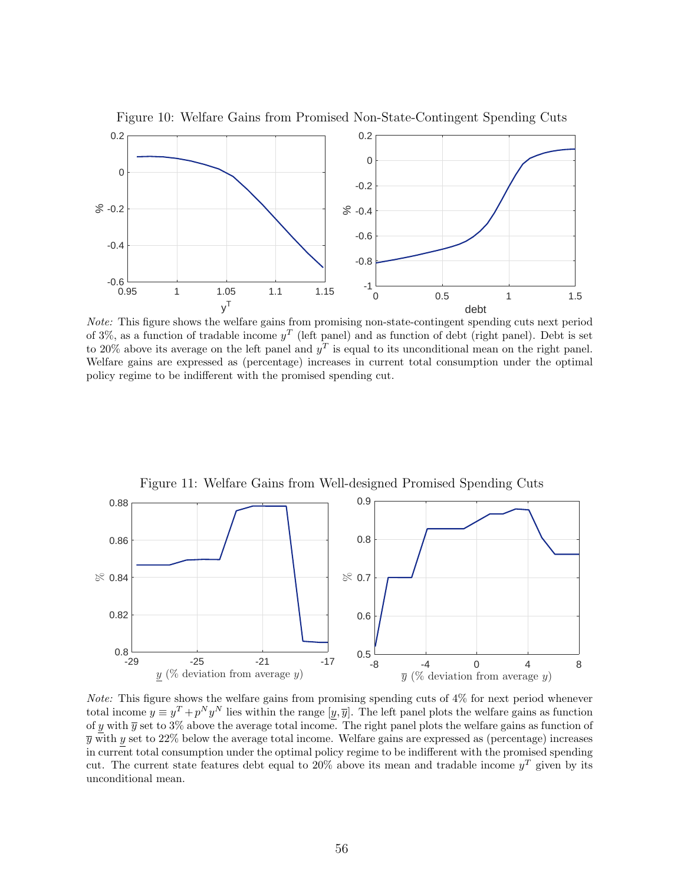

<span id="page-58-1"></span>Figure 10: Welfare Gains from Promised Non-State-Contingent Spending Cuts

Note: This figure shows the welfare gains from promising non-state-contingent spending cuts next period of 3%, as a function of tradable income  $y<sup>T</sup>$  (left panel) and as function of debt (right panel). Debt is set to 20% above its average on the left panel and  $y<sup>T</sup>$  is equal to its unconditional mean on the right panel. Welfare gains are expressed as (percentage) increases in current total consumption under the optimal policy regime to be indifferent with the promised spending cut.



<span id="page-58-0"></span>Figure 11: Welfare Gains from Well-designed Promised Spending Cuts

Note: This figure shows the welfare gains from promising spending cuts of 4% for next period whenever total income  $y \equiv y^T + p^N y^N$  lies within the range  $[y, \overline{y}]$ . The left panel plots the welfare gains as function of y with  $\overline{y}$  set to 3% above the average total income. The right panel plots the welfare gains as function of  $\overline{y}$  with y set to 22% below the average total income. Welfare gains are expressed as (percentage) increases in current total consumption under the optimal policy regime to be indifferent with the promised spending cut. The current state features debt equal to 20% above its mean and tradable income  $y<sup>T</sup>$  given by its unconditional mean.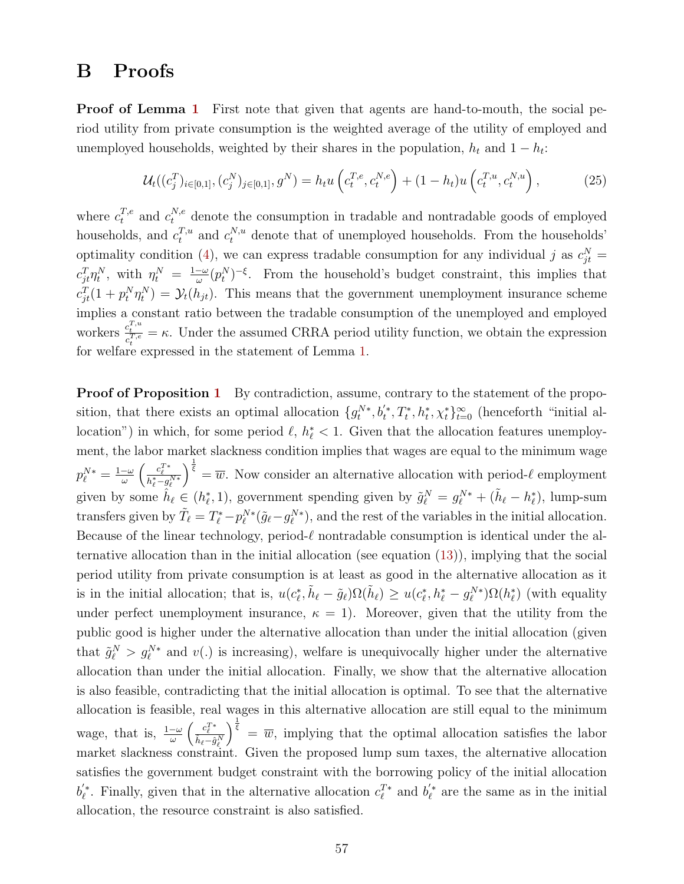### B Proofs

**Proof of Lemma [1](#page-20-0)** First note that given that agents are hand-to-mouth, the social period utility from private consumption is the weighted average of the utility of employed and unemployed households, weighted by their shares in the population,  $h_t$  and  $1 - h_t$ :

$$
\mathcal{U}_t((c_j^T)_{i \in [0,1]}, (c_j^N)_{j \in [0,1]}, g^N) = h_t u\left(c_t^{T,e}, c_t^{N,e}\right) + (1 - h_t) u\left(c_t^{T,u}, c_t^{N,u}\right),\tag{25}
$$

where  $c_t^{T,e}$  and  $c_t^{N,e}$  denote the consumption in tradable and nontradable goods of employed households, and  $c_t^{T,u}$  and  $c_t^{N,u}$  denote that of unemployed households. From the households' optimality condition [\(4\)](#page-14-2), we can express tradable consumption for any individual j as  $c_{jt}^N =$  $c_{jt}^T \eta_t^N$ , with  $\eta_t^N = \frac{1-\omega}{\omega}$  $-\frac{\omega}{\omega}(p_t^N)^{-\xi}$ . From the household's budget constraint, this implies that  $c_{jt}^T(1 + p_t^N \eta_t^N) = \mathcal{Y}_t(h_{jt})$ . This means that the government unemployment insurance scheme implies a constant ratio between the tradable consumption of the unemployed and employed workers  $\frac{c_t^{T,u}}{c_t^{T,e}} = \kappa$ . Under the assumed CRRA period utility function, we obtain the expression for welfare expressed in the statement of Lemma [1.](#page-20-0)

**Proof of Proposition [1](#page-25-0)** By contradiction, assume, contrary to the statement of the proposition, that there exists an optimal allocation  $\{g_t^{N*}, b_t^*, T_t^*, h_t^*, \chi_t^*\}_{t=0}^{\infty}$  (henceforth "initial allocation") in which, for some period  $\ell, h^*_{\ell} < 1$ . Given that the allocation features unemployment, the labor market slackness condition implies that wages are equal to the minimum wage  $p_{\ell}^{N*} = \frac{1-\omega}{\omega}$  $\frac{-\omega}{\omega}\left(\frac{c_\ell^{T*}}{h_\ell^*-g_\ell^{N*}}\right)$  $\int_{\overline{\xi}}^{\frac{1}{\xi}} = \overline{w}$ . Now consider an alternative allocation with period- $\ell$  employment given by some  $\hat{h}_{\ell} \in (h_{\ell}^*, 1)$ , government spending given by  $\tilde{g}_{\ell}^N = g_{\ell}^{N*} + (\tilde{h}_{\ell} - h_{\ell}^*)$ , lump-sum transfers given by  $\tilde{T}_{\ell} = T_{\ell}^* - p_{\ell}^{N*}(\tilde{g}_{\ell} - g_{\ell}^{N*})$ , and the rest of the variables in the initial allocation. Because of the linear technology, period- $\ell$  nontradable consumption is identical under the alternative allocation than in the initial allocation (see equation [\(13\)](#page-18-0)), implying that the social period utility from private consumption is at least as good in the alternative allocation as it is in the initial allocation; that is,  $u(c_{\ell}^*, \tilde{h}_{\ell} - \tilde{g}_{\ell})\Omega(\tilde{h}_{\ell}) \geq u(c_{\ell}^*, h_{\ell}^* - g_{\ell}^{N*})\Omega(h_{\ell}^*)$  (with equality under perfect unemployment insurance,  $\kappa = 1$ ). Moreover, given that the utility from the public good is higher under the alternative allocation than under the initial allocation (given that  $\tilde{g}_{\ell}^{N} > g_{\ell}^{N*}$  and  $v(.)$  is increasing), welfare is unequivocally higher under the alternative allocation than under the initial allocation. Finally, we show that the alternative allocation is also feasible, contradicting that the initial allocation is optimal. To see that the alternative allocation is feasible, real wages in this alternative allocation are still equal to the minimum wage, that is,  $\frac{1-\omega}{\omega} \left( \frac{c_{\ell}^{T*}}{\hat{h}_{\ell} - \hat{g}_{\ell}^{N}} \right)$  $\int_{\bar{\xi}}^{\frac{1}{\bar{\xi}}}$  =  $\overline{w}$ , implying that the optimal allocation satisfies the labor market slackness constraint. Given the proposed lump sum taxes, the alternative allocation satisfies the government budget constraint with the borrowing policy of the initial allocation  $b_{\ell}^{'}$ . Finally, given that in the alternative allocation  $c_{\ell}^{T*}$  and  $b_{\ell}^{'}*$  are the same as in the initial allocation, the resource constraint is also satisfied.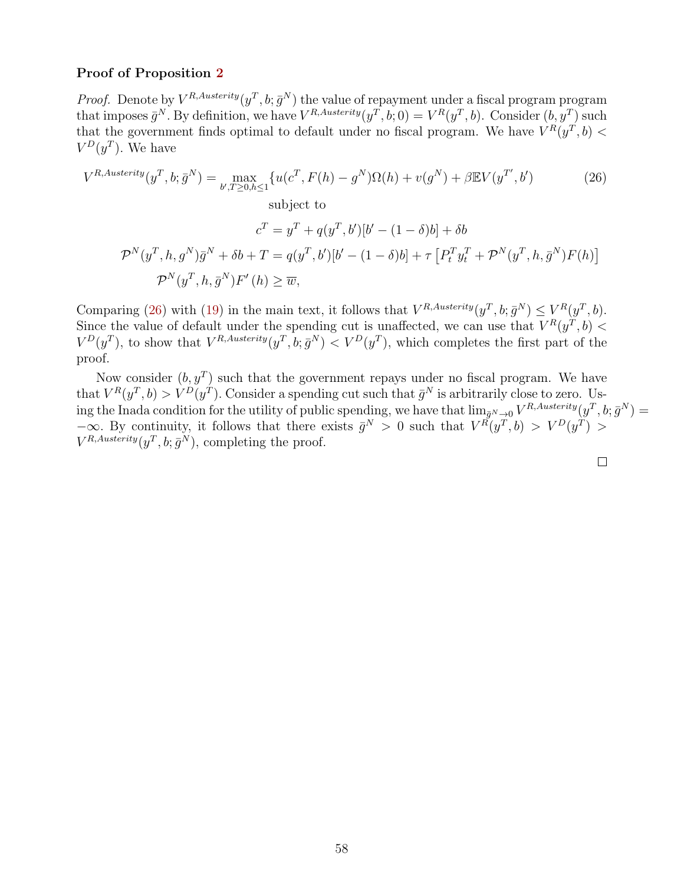#### Proof of Proposition [2](#page-37-2)

*Proof.* Denote by  $V^{R,Austerity}(y^T, b; \bar{g}^N)$  the value of repayment under a fiscal program program that imposes  $\bar{g}^N$ . By definition, we have  $V^{R,Austerity}(y^T, b; 0) = V^R(y^T, b)$ . Consider  $(b, y^T)$  such that the government finds optimal to default under no fiscal program. We have  $V^R(y^T, b)$  <  $V^D(y^T)$ . We have

$$
V^{R, Austerity}(y^T, b; \bar{g}^N) = \max_{b', T \ge 0, h \le 1} \{ u(c^T, F(h) - g^N) \Omega(h) + v(g^N) + \beta \mathbb{E} V(y^{T'}, b') \tag{26}
$$
  
subject to  

$$
c^T = y^T + q(y^T, b')[b' - (1 - \delta)b] + \delta b
$$

$$
\mathcal{P}^N(y^T, h, g^N)\bar{g}^N + \delta b + T = q(y^T, b')[b' - (1 - \delta)b] + \tau [P_t^T y_t^T + \mathcal{P}^N(y^T, h, \bar{g}^N) F(h)]
$$

$$
\mathcal{P}^N(y^T, h, \bar{g}^N) F'(h) \ge \overline{w},
$$
 (10.10)

Comparing [\(26\)](#page-60-0) with [\(19\)](#page-21-1) in the main text, it follows that  $V^{R,Austerity}(y^T, b; \bar{g}^N) \leq V^R(y^T, b)$ . Since the value of default under the spending cut is unaffected, we can use that  $V^R(y^T, b)$  $V^D(y^T)$ , to show that  $V^{R,Austerity}(y^T, b; \bar{g}^N) < V^D(y^T)$ , which completes the first part of the proof.

Now consider  $(b, y^T)$  such that the government repays under no fiscal program. We have that  $V^R(y^T, b) > V^D(y^T)$ . Consider a spending cut such that  $\bar{g}^N$  is arbitrarily close to zero. Using the Inada condition for the utility of public spending, we have that  $\lim_{\bar{g}^N\to 0} V^{R,Austerity}(y^T, b; \bar{g}^N)$  $-\infty$ . By continuity, it follows that there exists  $\bar{g}^N > 0$  such that  $V^R(y^T, b) > V^D(y^T) >$  $V^{R, Austerity}(y^T, b; \bar{g}^N)$ , completing the proof.

<span id="page-60-0"></span>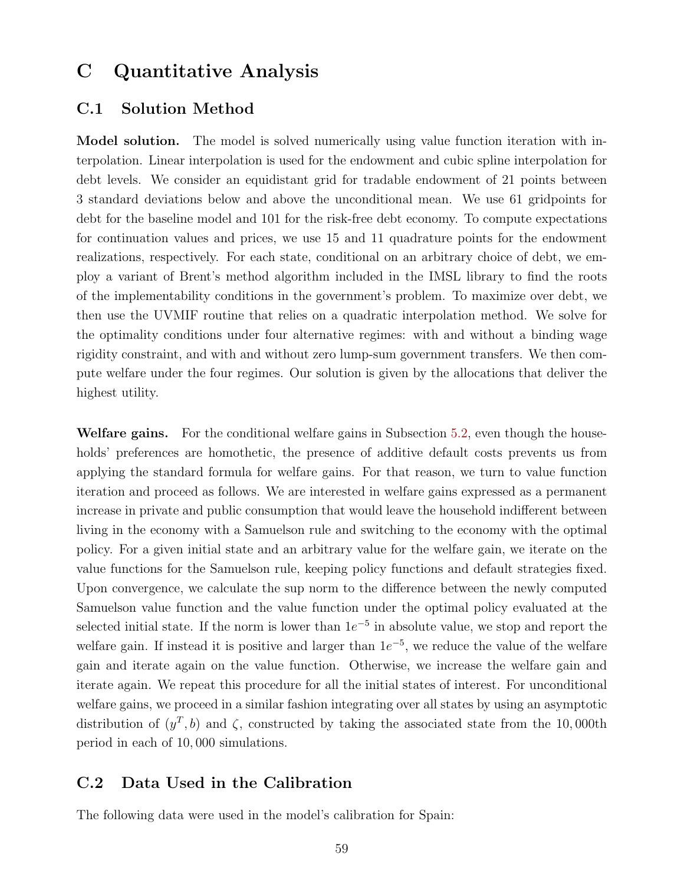### C Quantitative Analysis

### C.1 Solution Method

Model solution. The model is solved numerically using value function iteration with interpolation. Linear interpolation is used for the endowment and cubic spline interpolation for debt levels. We consider an equidistant grid for tradable endowment of 21 points between 3 standard deviations below and above the unconditional mean. We use 61 gridpoints for debt for the baseline model and 101 for the risk-free debt economy. To compute expectations for continuation values and prices, we use 15 and 11 quadrature points for the endowment realizations, respectively. For each state, conditional on an arbitrary choice of debt, we employ a variant of Brent's method algorithm included in the IMSL library to find the roots of the implementability conditions in the government's problem. To maximize over debt, we then use the UVMIF routine that relies on a quadratic interpolation method. We solve for the optimality conditions under four alternative regimes: with and without a binding wage rigidity constraint, and with and without zero lump-sum government transfers. We then compute welfare under the four regimes. Our solution is given by the allocations that deliver the highest utility.

Welfare gains. For the conditional welfare gains in Subsection [5.2,](#page-31-3) even though the households' preferences are homothetic, the presence of additive default costs prevents us from applying the standard formula for welfare gains. For that reason, we turn to value function iteration and proceed as follows. We are interested in welfare gains expressed as a permanent increase in private and public consumption that would leave the household indifferent between living in the economy with a Samuelson rule and switching to the economy with the optimal policy. For a given initial state and an arbitrary value for the welfare gain, we iterate on the value functions for the Samuelson rule, keeping policy functions and default strategies fixed. Upon convergence, we calculate the sup norm to the difference between the newly computed Samuelson value function and the value function under the optimal policy evaluated at the selected initial state. If the norm is lower than  $1e^{-5}$  in absolute value, we stop and report the welfare gain. If instead it is positive and larger than  $1e^{-5}$ , we reduce the value of the welfare gain and iterate again on the value function. Otherwise, we increase the welfare gain and iterate again. We repeat this procedure for all the initial states of interest. For unconditional welfare gains, we proceed in a similar fashion integrating over all states by using an asymptotic distribution of  $(y^T, b)$  and  $\zeta$ , constructed by taking the associated state from the 10,000th period in each of 10, 000 simulations.

### C.2 Data Used in the Calibration

The following data were used in the model's calibration for Spain: